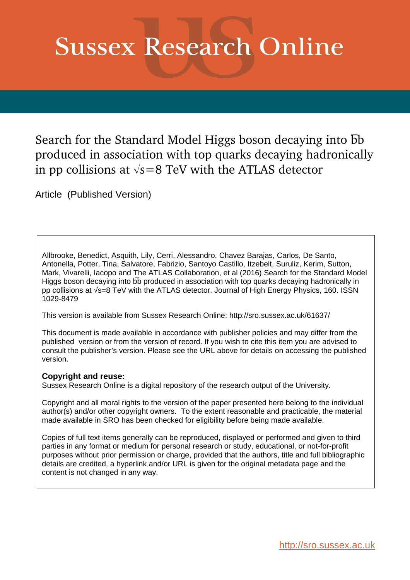# **Sussex Research Online**

Search for the Standard Model Higgs boson decaying into  $\overline{b}$ produced in association with top quarks decaying hadronically in pp collisions at  $\sqrt{s}=8$  TeV with the ATLAS detector

Article (Published Version)

Allbrooke, Benedict, Asquith, Lily, Cerri, Alessandro, Chavez Barajas, Carlos, De Santo, Antonella, Potter, Tina, Salvatore, Fabrizio, Santoyo Castillo, Itzebelt, Suruliz, Kerim, Sutton, Mark, Vivarelli, Iacopo and The ATLAS Collaboration, et al (2016) Search for the Standard Model Higgs boson decaying into bb produced in association with top quarks decaying hadronically in pp collisions at √s=8 TeV with the ATLAS detector. Journal of High Energy Physics, 160. ISSN 1029-8479

This version is available from Sussex Research Online: http://sro.sussex.ac.uk/61637/

This document is made available in accordance with publisher policies and may differ from the published version or from the version of record. If you wish to cite this item you are advised to consult the publisher's version. Please see the URL above for details on accessing the published version.

#### **Copyright and reuse:**

Sussex Research Online is a digital repository of the research output of the University.

Copyright and all moral rights to the version of the paper presented here belong to the individual author(s) and/or other copyright owners. To the extent reasonable and practicable, the material made available in SRO has been checked for eligibility before being made available.

Copies of full text items generally can be reproduced, displayed or performed and given to third parties in any format or medium for personal research or study, educational, or not-for-profit purposes without prior permission or charge, provided that the authors, title and full bibliographic details are credited, a hyperlink and/or URL is given for the original metadata page and the content is not changed in any way.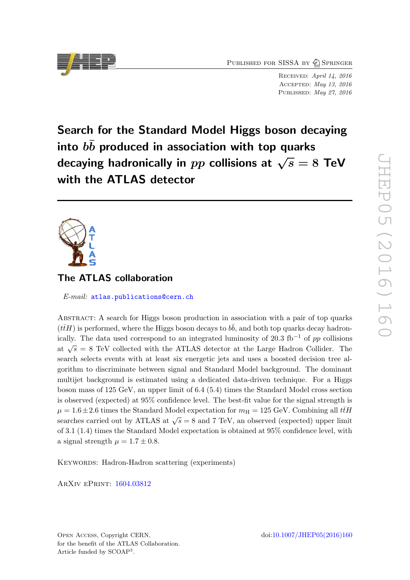PUBLISHED FOR SISSA BY 2 SPRINGER

RECEIVED: April 14, 2016 Accepted : May 13, 2016 PUBLISHED: May 27, 2016

Search for the Standard Model Higgs boson decaying into  $b\bar{b}$  produced in association with top quarks decaying hadronically in  $pp$  collisions at  $\sqrt{s}=8$  TeV with the ATLAS detector

# The ATLAS collaboration

E-mail: [atlas.publications@cern.ch](mailto:atlas.publications@cern.ch)

ABSTRACT: A search for Higgs boson production in association with a pair of top quarks  $(t\bar{t}H)$  is performed, where the Higgs boson decays to  $b\bar{b}$ , and both top quarks decay hadronically. The data used correspond to an integrated luminosity of 20.3 fb<sup>-1</sup> of pp collisions at  $\sqrt{s} = 8$  TeV collected with the ATLAS detector at the Large Hadron Collider. The search selects events with at least six energetic jets and uses a boosted decision tree algorithm to discriminate between signal and Standard Model background. The dominant multijet background is estimated using a dedicated data-driven technique. For a Higgs boson mass of 125 GeV, an upper limit of 6.4 (5.4) times the Standard Model cross section is observed (expected) at 95% confidence level. The best-fit value for the signal strength is  $\mu = 1.6 \pm 2.6$  times the Standard Model expectation for  $m_H = 125$  GeV. Combining all  $t\bar{t}H$ searches carried out by ATLAS at  $\sqrt{s} = 8$  and 7 TeV, an observed (expected) upper limit of 3.1 (1.4) times the Standard Model expectation is obtained at 95% confidence level, with a signal strength  $\mu = 1.7 \pm 0.8$ .

KEYWORDS: Hadron-Hadron scattering (experiments)

ArXiv ePrint: [1604.03812](http://arxiv.org/abs/1604.03812)

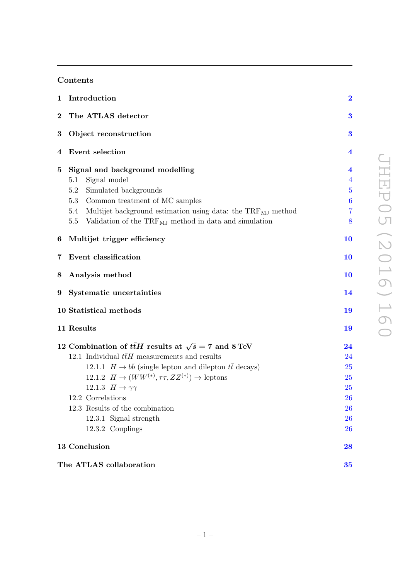## <span id="page-2-0"></span>Contents

| $\mathbf{1}$ | Introduction                                                                   | $\bf{2}$         |
|--------------|--------------------------------------------------------------------------------|------------------|
| $\bf{2}$     | The ATLAS detector                                                             | $\bf{3}$         |
| 3            | Object reconstruction                                                          | 3                |
| 4            | <b>Event</b> selection                                                         | 4                |
| 5            | Signal and background modelling                                                | 4                |
|              | Signal model<br>5.1                                                            | $\overline{4}$   |
|              | 5.2<br>Simulated backgrounds                                                   | $\overline{5}$   |
|              | Common treatment of MC samples<br>5.3                                          | $\boldsymbol{6}$ |
|              | Multijet background estimation using data: the TRF <sub>MJ</sub> method<br>5.4 | $\overline{7}$   |
|              | Validation of the TRF <sub>MJ</sub> method in data and simulation<br>5.5       | 8                |
| 6            | Multijet trigger efficiency                                                    | <b>10</b>        |
| 7            | Event classification                                                           | <b>10</b>        |
| 8            | Analysis method                                                                | <b>10</b>        |
| 9            | Systematic uncertainties                                                       | 14               |
|              | 10 Statistical methods                                                         | 19               |
|              | 11 Results                                                                     | 19               |
|              | 12 Combination of $t\bar{t}H$ results at $\sqrt{s} = 7$ and 8 TeV              | 24               |
|              | 12.1 Individual $t\bar{t}H$ measurements and results                           | 24               |
|              | 12.1.1 $H \rightarrow b\bar{b}$ (single lepton and dilepton $t\bar{t}$ decays) | <b>25</b>        |
|              | 12.1.2 $H \to (WW^{(*)}, \tau \tau, ZZ^{(*)}) \to$ leptons                     | <b>25</b>        |
|              | 12.1.3 $H \rightarrow \gamma \gamma$                                           | <b>25</b>        |
|              | 12.2 Correlations                                                              | 26               |
|              | 12.3 Results of the combination                                                | 26               |
|              | 12.3.1 Signal strength                                                         | 26               |
|              | 12.3.2 Couplings                                                               | 26               |
|              | <b>13 Conclusion</b>                                                           | 28               |
|              | The ATLAS collaboration                                                        | 35               |
|              |                                                                                |                  |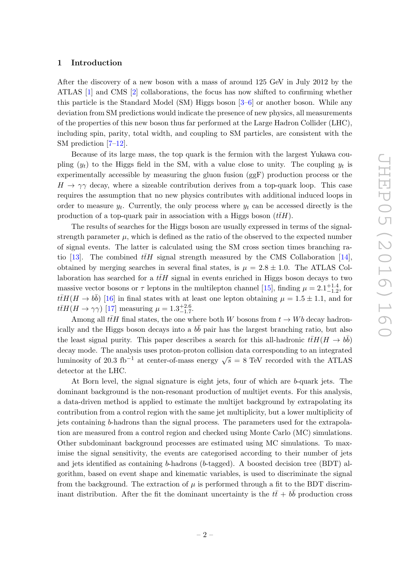#### 1 Introduction

<span id="page-3-0"></span>After the discovery of a new boson with a mass of around 125 GeV in July 2012 by the ATLAS [ [1\]](#page-30-0) and CMS [ [2\]](#page-30-1) collaborations, the focus has now shifted to confirming whether this particle is the Standard Model (SM) Higgs boson [ [3](#page-30-2) – [6\]](#page-30-3) or another boson. While any deviation from SM predictions would indicate the presence of new physics, all measurements of the properties of this new boson thus far performed at the Large Hadron Collider (LHC), including spin, parity, total width, and coupling to SM particles, are consistent with the SM prediction [[7](#page-30-4)-12].

Because of its large mass, the top quark is the fermion with the largest Yukawa coupling  $(y_t)$  to the Higgs field in the SM, with a value close to unity. The coupling  $y_t$  is experimentally accessible by measuring the gluon fusion (ggF) production process or the  $H \to \gamma\gamma$  decay, where a sizeable contribution derives from a top-quark loop. This case requires the assumption that no new physics contributes with additional induced loops in order to measure  $y_t$ . Currently, the only process where  $y_t$  can be accessed directly is the production of a top-quark pair in association with a Higgs boson  $(t\bar{t}H)$ .

The results of searches for the Higgs boson are usually expressed in terms of the signalstrength parameter  $\mu$ , which is defined as the ratio of the observed to the expected number of signal events. The latter is calculated using the SM cross section times branching ra-tio [\[13\]](#page-31-1). The combined  $t\bar{t}H$  signal strength measured by the CMS Collaboration [\[14\]](#page-31-2), obtained by merging searches in several final states, is  $\mu = 2.8 \pm 1.0$ . The ATLAS Collaboration has searched for a  $t\bar{t}H$  signal in events enriched in Higgs boson decays to two massive vector bosons or  $\tau$  leptons in the multilepton channel [\[15\]](#page-31-3), finding  $\mu = 2.1^{+1.4}_{-1.2}$ , for  $t\bar{t}H(H \to b\bar{b})$  [\[16\]](#page-31-4) in final states with at least one lepton obtaining  $\mu = 1.5 \pm 1.1$ , and for  $t\bar{t}H(H \to \gamma\gamma)$  [\[17\]](#page-31-5) measuring  $\mu = 1.3^{+2.6}_{-1.7}$ .

<span id="page-3-1"></span>Among all  $t\bar{t}H$  final states, the one where both W bosons from  $t \to Wb$  decay hadronically and the Higgs boson decays into a  $b\bar{b}$  pair has the largest branching ratio, but also the least signal purity. This paper describes a search for this all-hadronic  $t\bar{t}H(H \to b\bar{b})$ decay mode. The analysis uses proton-proton collision data corresponding to an integrated luminosity of 20.3 fb<sup>-1</sup> at center-of-mass energy  $\sqrt{s} = 8$  TeV recorded with the ATLAS detector at the LHC.

<span id="page-3-2"></span>At Born level, the signal signature is eight jets, four of which are b-quark jets. The dominant background is the non-resonant production of multijet events. For this analysis, a data-driven method is applied to estimate the multijet background by extrapolating its contribution from a control region with the same jet multiplicity, but a lower multiplicity of jets containing b-hadrons than the signal process. The parameters used for the extrapolation are measured from a control region and checked using Monte Carlo (MC) simulations. Other subdominant background processes are estimated using MC simulations. To maximise the signal sensitivity, the events are categorised according to their number of jets and jets identified as containing b-hadrons ( b-tagged). A boosted decision tree (BDT) algorithm, based on event shape and kinematic variables, is used to discriminate the signal from the background. The extraction of  $\mu$  is performed through a fit to the BDT discriminant distribution. After the fit the dominant uncertainty is the  $t\bar{t} + b\bar{b}$  production cross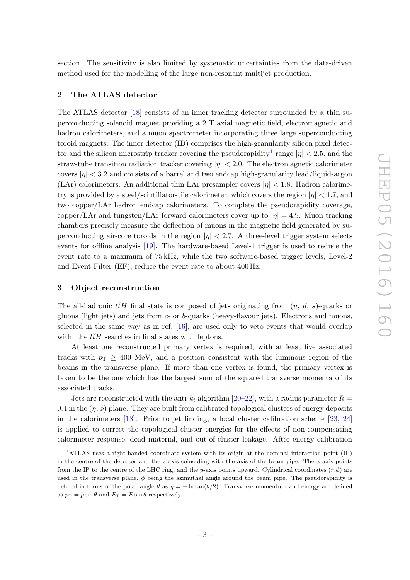section. The sensitivity is also limited by systematic uncertainties from the data-driven method used for the modelling of the large non-resonant multijet production.

#### 2 The ATLAS detector

The ATLAS detector [\[18\]](#page-31-6) consists of an inner tracking detector surrounded by a thin superconducting solenoid magnet providing a 2 T axial magnetic field, electromagnetic and hadron calorimeters, and a muon spectrometer incorporating three large superconducting toroid magnets. The inner detector (ID) comprises the high-granularity silicon pixel detec-tor and the silicon microstrip tracker covering the pseudorapidity<sup>[1](#page-3-2)</sup> range  $|\eta| < 2.5$ , and the straw-tube transition radiation tracker covering  $|\eta| < 2.0$ . The electromagnetic calorimeter covers  $|\eta| < 3.2$  and consists of a barrel and two endcap high-granularity lead/liquid-argon  $(LAr)$  calorimeters. An additional thin LAr presampler covers  $|\eta| < 1.8$ . Hadron calorimetry is provided by a steel/scintillator-tile calorimeter, which covers the region  $|\eta| < 1.7$ , and two copper/LAr hadron endcap calorimeters. To complete the pseudorapidity coverage,  $\text{copper/LAr}$  and tungsten/LAr forward calorimeters cover up to  $|\eta| = 4.9$ . Muon tracking chambers precisely measure the deflection of muons in the magnetic field generated by superconducting air-core toroids in the region  $|\eta| < 2.7$ . A three-level trigger system selects events for offline analysis [\[19\]](#page-31-7). The hardware-based Level-1 trigger is used to reduce the event rate to a maximum of 75 kHz, while the two software-based trigger levels, Level-2 and Event Filter (EF), reduce the event rate to about 400 Hz.

#### <span id="page-4-0"></span>3 Object reconstruction

The all-hadronic  $t\bar{t}H$  final state is composed of jets originating from  $(u, d, s)$ -quarks or gluons (light jets) and jets from c- or b-quarks (heavy-flavour jets). Electrons and muons, selected in the same way as in ref.  $[16]$ , are used only to veto events that would overlap with the  $t\bar{t}H$  searches in final states with leptons.

At least one reconstructed primary vertex is required, with at least five associated tracks with  $p_T \geq 400$  MeV, and a position consistent with the luminous region of the beams in the transverse plane. If more than one vertex is found, the primary vertex is taken to be the one which has the largest sum of the squared transverse momenta of its associated tracks.

<span id="page-4-2"></span><span id="page-4-1"></span>Jets are reconstructed with the anti- $k_t$  algorithm  $[20-22]$ , with a radius parameter  $R =$ 0.4 in the  $(\eta, \phi)$  plane. They are built from calibrated topological clusters of energy deposits in the calorimeters [\[18\]](#page-31-6). Prior to jet finding, a local cluster calibration scheme [\[23](#page-31-10), [24](#page-31-11)] is applied to correct the topological cluster energies for the effects of non-compensating calorimeter response, dead material, and out-of-cluster leakage. After energy calibration

<sup>1</sup>ATLAS uses a right-handed coordinate system with its origin at the nominal interaction point (IP) in the centre of the detector and the z-axis coinciding with the axis of the beam pipe. The x-axis points from the IP to the centre of the LHC ring, and the y-axis points upward. Cylindrical coordinates  $(r,\phi)$  are used in the transverse plane,  $\phi$  being the azimuthal angle around the beam pipe. The pseudorapidity is defined in terms of the polar angle  $\theta$  as  $\eta = -\ln \tan(\theta/2)$ . Transverse momentum and energy are defined as  $p_T = p \sin \theta$  and  $E_T = E \sin \theta$  respectively.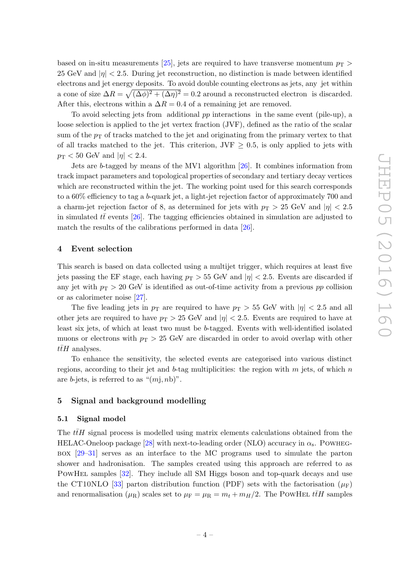based on in-situ measurements [\[25\]](#page-31-12), jets are required to have transverse momentum  $p_T$  >  $25 \text{ GeV}$  and  $|\eta| < 2.5$ . During jet reconstruction, no distinction is made between identified electrons and jet energy deposits. To avoid double counting electrons as jets, any jet within a cone of size  $\Delta R = \sqrt{(\Delta \phi)^2 + (\Delta \eta)^2} = 0.2$  around a reconstructed electron is discarded. After this, electrons within a  $\Delta R = 0.4$  of a remaining jet are removed.

To avoid selecting jets from additional pp interactions in the same event (pile-up), a loose selection is applied to the jet vertex fraction (JVF), defined as the ratio of the scalar sum of the  $p_{\rm T}$  of tracks matched to the jet and originating from the primary vertex to that of all tracks matched to the jet. This criterion,  $JVF \geq 0.5$ , is only applied to jets with  $p_{\rm T}$  < 50 GeV and  $|\eta|$  < 2.4.

<span id="page-5-0"></span>Jets are b-tagged by means of the MV1 algorithm [\[26\]](#page-31-13). It combines information from track impact parameters and topological properties of secondary and tertiary decay vertices which are reconstructed within the jet. The working point used for this search corresponds to a 60% efficiency to tag a b-quark jet, a light-jet rejection factor of approximately 700 and a charm-jet rejection factor of 8, as determined for jets with  $p_T > 25$  GeV and  $|\eta| < 2.5$ in simulated  $t\bar{t}$  events [\[26\]](#page-31-13). The tagging efficiencies obtained in simulation are adjusted to match the results of the calibrations performed in data [\[26\]](#page-31-13).

#### 4 Event selection

This search is based on data collected using a multijet trigger, which requires at least five jets passing the EF stage, each having  $p_T > 55$  GeV and  $|\eta| < 2.5$ . Events are discarded if any jet with  $p_T > 20$  GeV is identified as out-of-time activity from a previous  $pp$  collision or as calorimeter noise [\[27\]](#page-31-14).

The five leading jets in  $p_T$  are required to have  $p_T > 55$  GeV with  $|\eta| < 2.5$  and all other jets are required to have  $p_T > 25$  GeV and  $|\eta| < 2.5$ . Events are required to have at least six jets, of which at least two must be b-tagged. Events with well-identified isolated muons or electrons with  $p_T > 25$  GeV are discarded in order to avoid overlap with other  $t\bar{t}H$  analyses.

To enhance the sensitivity, the selected events are categorised into various distinct regions, according to their jet and b-tag multiplicities: the region with  $m$  jets, of which  $n$ are *b*-jets, is referred to as " $(mj, nb)$ ".

#### 5 Signal and background modelling

#### 5.1 Signal model

The  $t\bar{t}H$  signal process is modelled using matrix elements calculations obtained from the HELAC-Oneloop package [\[28\]](#page-32-0) with next-to-leading order (NLO) accuracy in  $\alpha_{\rm s}$ . Powheg-BOX  $[29-31]$  $[29-31]$  serves as an interface to the MC programs used to simulate the parton shower and hadronisation. The samples created using this approach are referred to as PowHel samples [\[32\]](#page-32-3). They include all SM Higgs boson and top-quark decays and use the CT10NLO [\[33\]](#page-32-4) parton distribution function (PDF) sets with the factorisation  $(\mu_F)$ and renormalisation  $(\mu_R)$  scales set to  $\mu_F = \mu_R = m_t + m_H/2$ . The POWHEL  $t\bar{t}H$  samples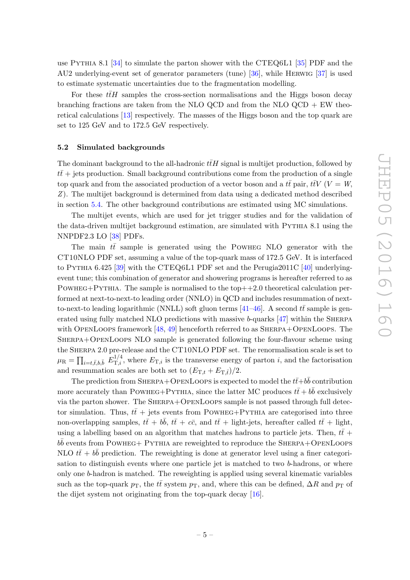use PYTHIA 8.1 [\[34\]](#page-32-5) to simulate the parton shower with the CTEQ6L1 [\[35\]](#page-32-6) PDF and the AU2 underlying-event set of generator parameters (tune) [\[36\]](#page-32-7), while HERWIG [\[37\]](#page-32-8) is used to estimate systematic uncertainties due to the fragmentation modelling.

For these  $t\bar{t}H$  samples the cross-section normalisations and the Higgs boson decay branching fractions are taken from the NLO QCD and from the NLO QCD  $+$  EW theoretical calculations [\[13\]](#page-31-1) respectively. The masses of the Higgs boson and the top quark are set to 125 GeV and to 172 .5 GeV respectively.

#### 5.2 Simulated backgrounds

The dominant background to the all-hadronic  $\bar{t}H$  signal is multijet production, followed by  $t\bar{t}$  + jets production. Small background contributions come from the production of a single top quark and from the associated production of a vector boson and a  $t\bar{t}$  pair,  $t\bar{t}V$  ( $V = W$ , Z). The multijet background is determined from data using a dedicated method described in section [5.4.](#page-7-0) The other background contributions are estimated using MC simulations.

The multijet events, which are used for jet trigger studies and for the validation of the data-driven multijet background estimation, are simulated with PYTHIA 8.1 using the NNPDF2.3 LO [\[38\]](#page-32-9) PDFs.

The main  $t\bar{t}$  sample is generated using the POWHEG NLO generator with the CT10NLO PDF set, assuming a value of the top-quark mass of 172 .5 GeV. It is interfaced to Pythia 6.425 [\[39\]](#page-32-10) with the CTEQ6L1 PDF set and the Perugia2011C [\[40\]](#page-32-11) underlyingevent tune; this combination of generator and showering programs is hereafter referred to as POWHEG+PYTHIA. The sample is normalised to the top++2.0 theoretical calculation performed at next-to-next-to leading order (NNLO) in QCD and includes resummation of next-to-next-to leading logarithmic (NNLL) soft gluon terms [\[41–](#page-32-12)[46\]](#page-32-13). A second  $t\bar{t}$  sample is generated using fully matched NLO predictions with massive b-quarks [\[47\]](#page-33-0) within the Sherpa with OPENLOOPS framework [\[48](#page-33-1), [49\]](#page-33-2) henceforth referred to as SHERPA+OPENLOOPS. The Sherpa+OpenLoops NLO sample is generated following the four-flavour scheme using the Sherpa 2.0 pre-release and the CT10NLO PDF set. The renormalisation scale is set to  $\mu_R = \prod_{i=t,\bar{t},b,\bar{b}} \tilde{E}_{\mathrm{T},i}^{1/4}$ , where  $E_{\mathrm{T},i}$  is the transverse energy of parton i, and the factorisation and resummation scales are both set to  $(E_{T,t} + E_{T,\bar{t}})/2$ .

<span id="page-6-0"></span>The prediction from SHERPA+OPENLOOPS is expected to model the  $t\bar{t}+b\bar{b}$  contribution more accurately than POWHEG+PYTHIA, since the latter MC produces  $t\bar{t} + b\bar{b}$  exclusively via the parton shower. The Sherpa+OpenLoops sample is not passed through full detector simulation. Thus,  $t\bar{t}$  + jets events from POWHEG+PYTHIA are categorised into three non-overlapping samples,  $t\bar{t} + b\bar{b}$ ,  $t\bar{t} + c\bar{c}$ , and  $t\bar{t}$  + light-jets, hereafter called  $t\bar{t}$  + light, using a labelling based on an algorithm that matches hadrons to particle jets. Then,  $t\bar{t}$  +  $b\bar{b}$  events from POWHEG+ PYTHIA are reweighted to reproduce the SHERPA+OPENLOOPS NLO  $t\bar{t} + b\bar{b}$  prediction. The reweighting is done at generator level using a finer categorisation to distinguish events where one particle jet is matched to two b-hadrons, or where only one b-hadron is matched. The reweighting is applied using several kinematic variables such as the top-quark  $p_T$ , the  $t\bar{t}$  system  $p_T$ , and, where this can be defined,  $\Delta R$  and  $p_T$  of the dijet system not originating from the top-quark decay [\[16\]](#page-31-4).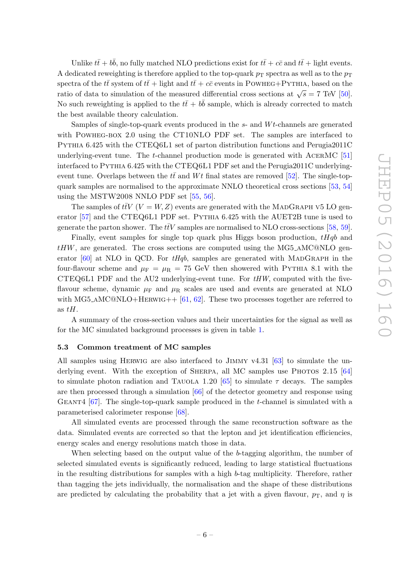Unlike  $t\bar{t} + b\bar{b}$ , no fully matched NLO predictions exist for  $t\bar{t} + c\bar{c}$  and  $t\bar{t} +$  light events. A dedicated reweighting is therefore applied to the top-quark  $p_{\text{T}}$  spectra as well as to the  $p_{\text{T}}$ spectra of the  $t\bar{t}$  system of  $t\bar{t}$  + light and  $t\bar{t}$  +  $c\bar{c}$  events in POWHEG+PYTHIA, based on the ratio of data to simulation of the measured differential cross sections at  $\sqrt{s} = 7$  TeV [\[50\]](#page-33-3). No such reweighting is applied to the  $t\bar{t} + b\bar{b}$  sample, which is already corrected to match the best available theory calculation.

Samples of single-top-quark events produced in the  $s$ - and  $Wt$ -channels are generated with POWHEG-BOX 2.0 using the CT10NLO PDF set. The samples are interfaced to Pythia 6.425 with the CTEQ6L1 set of parton distribution functions and Perugia2011C underlying-event tune. The *t*-channel production mode is generated with ACERMC [\[51](#page-33-4)] interfaced to Pythia 6.425 with the CTEQ6L1 PDF set and the Perugia2011C underlyingevent tune. Overlaps between the  $t\bar{t}$  and  $Wt$  final states are removed [\[52\]](#page-33-5). The single-topquark samples are normalised to the approximate NNLO theoretical cross sections [\[53,](#page-33-6) [54\]](#page-33-7) using the MSTW2008 NNLO PDF set [\[55](#page-33-8) , [56\]](#page-33-9).

<span id="page-7-1"></span>The samples of  $\bar{t} \bar{t} V$  ( $V = W, Z$ ) events are generated with the MADGRAPH v5 LO generator [\[57\]](#page-33-10) and the CTEQ6L1 PDF set. Pythia 6.425 with the AUET2B tune is used to generate the parton shower. The  $\bar{t}V$  samples are normalised to NLO cross-sections [\[58](#page-33-11), [59\]](#page-33-12).

Finally, event samples for single top quark plus Higgs boson production,  $tHqb$  and  $tHW$ , are generated. The cross sections are computed using the MG5\_AMC@NLO generator  $[60]$  at NLO in QCD. For  $tHqb$ , samples are generated with MADGRAPH in the four-flavour scheme and  $\mu_F = \mu_R = 75$  GeV then showered with PYTHIA 8.1 with the CTEQ6L1 PDF and the AU2 underlying-event tune. For  $tHW$ , computed with the fiveflavour scheme, dynamic  $\mu_F$  and  $\mu_R$  scales are used and events are generated at NLO with MG5\_AMC@NLO+HERWIG++ [\[61](#page-33-14), [62\]](#page-33-15). These two processes together are referred to as  $tH$ .

<span id="page-7-0"></span>A summary of the cross-section values and their uncertainties for the signal as well as for the MC simulated background processes is given in table [1](#page-7-1).

#### 5.3 Common treatment of MC samples

All samples using Herwig are also interfaced to Jimmy v4.31 [\[63\]](#page-33-16) to simulate the underlying event. With the exception of SHERPA, all MC samples use PHOTOS  $2.15$  [\[64\]](#page-33-17) to simulate photon radiation and TAUOLA 1.20 [\[65\]](#page-34-0) to simulate  $\tau$  decays. The samples are then processed through a simulation [\[66\]](#page-34-1) of the detector geometry and response using GEANT4 [\[67\]](#page-34-2). The single-top-quark sample produced in the *t*-channel is simulated with a parameterised calorimeter response [\[68\]](#page-34-3).

All simulated events are processed through the same reconstruction software as the data. Simulated events are corrected so that the lepton and jet identification efficiencies, energy scales and energy resolutions match those in data.

When selecting based on the output value of the b-tagging algorithm, the number of selected simulated events is significantly reduced, leading to large statistical fluctuations in the resulting distributions for samples with a high b-tag multiplicity. Therefore, rather than tagging the jets individually, the normalisation and the shape of these distributions are predicted by calculating the probability that a jet with a given flavour,  $p_T$ , and  $\eta$  is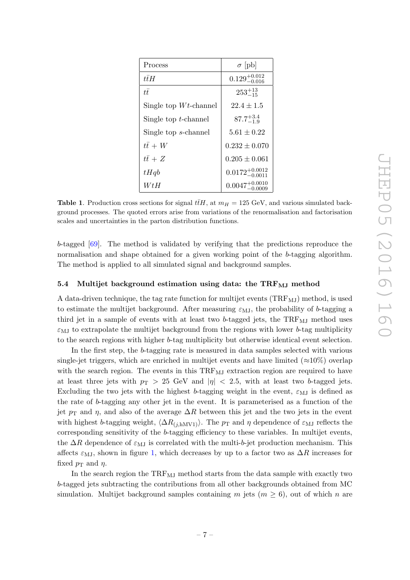| Process                  | $\sigma$ [pb]                |
|--------------------------|------------------------------|
| ttH                      | $0.129_{-0.016}^{+0.012}$    |
| $t\bar{t}$               | $253^{+13}_{-15}$            |
| Single top $Wt$ -channel | $22.4 \pm 1.5$               |
| Single top $t$ -channel  | $87.7^{+3.4}_{-1.9}$         |
| Single top s-channel     | $5.61 \pm 0.22$              |
| $t\bar{t}+W$             | $0.232 \pm 0.070$            |
| $t\bar{t}+Z$             | $0.205 \pm 0.061$            |
| tHqb                     | $0.0172^{+0.0012}_{-0.0011}$ |
| WtH                      | $0.0047^{+0.00}_{-0.00}$     |

<span id="page-8-1"></span>Table 1. Production cross sections for signal  $t\bar{t}H$ , at  $m_H = 125$  GeV, and various simulated background processes. The quoted errors arise from variations of the renormalisation and factorisation scales and uncertainties in the parton distribution functions.

b-tagged [\[69\]](#page-34-4). The method is validated by verifying that the predictions reproduce the normalisation and shape obtained for a given working point of the b-tagging algorithm. The method is applied to all simulated signal and background samples.

#### 5.4 Multijet background estimation using data: the  $\text{TRF}_{\text{MJ}}$  method

<span id="page-8-0"></span>A data-driven technique, the tag rate function for multijet events  $(TRF_{\text{MJ}})$  method, is used to estimate the multijet background. After measuring  $\varepsilon_{\text{MJ}}$ , the probability of b-tagging a third jet in a sample of events with at least two b-tagged jets, the  $\text{TRF}_{\text{MJ}}$  method uses  $\varepsilon_{\text{MJ}}$  to extrapolate the multijet background from the regions with lower b-tag multiplicity to the search regions with higher b-tag multiplicity but otherwise identical event selection.

In the first step, the b-tagging rate is measured in data samples selected with various single-jet triggers, which are enriched in multijet events and have limited  $(\approx 10\%)$  overlap with the search region. The events in this  $TRF_{MJ}$  extraction region are required to have at least three jets with  $p_T > 25$  GeV and  $|\eta| < 2.5$ , with at least two b-tagged jets. Excluding the two jets with the highest b-tagging weight in the event,  $\varepsilon_{\text{MJ}}$  is defined as the rate of b-tagging any other jet in the event. It is parameterised as a function of the jet  $p_{\text{T}}$  and  $\eta$ , and also of the average  $\Delta R$  between this jet and the two jets in the event with highest b-tagging weight,  $\langle \Delta R_{(j),\mathrm{hNU1}} \rangle$ . The  $p_\mathrm{T}$  and  $\eta$  dependence of  $\varepsilon_{\text{MJ}}$  reflects the corresponding sensitivity of the b-tagging efficiency to these variables. In multijet events, the  $\Delta R$  dependence of  $\varepsilon_{\text{MJ}}$  is correlated with the multi-b-jet production mechanism. This affects  $\varepsilon_{\text{MJ}}$ , shown in figure [1,](#page-8-1) which decreases by up to a factor two as  $\Delta R$  increases for fixed  $p_T$  and  $\eta$ .

In the search region the TRF $_{\rm MJ}$  method starts from the data sample with exactly two b-tagged jets subtracting the contributions from all other backgrounds obtained from MC simulation. Multijet background samples containing  $m$  jets  $(m \geq 6)$ , out of which  $n$  are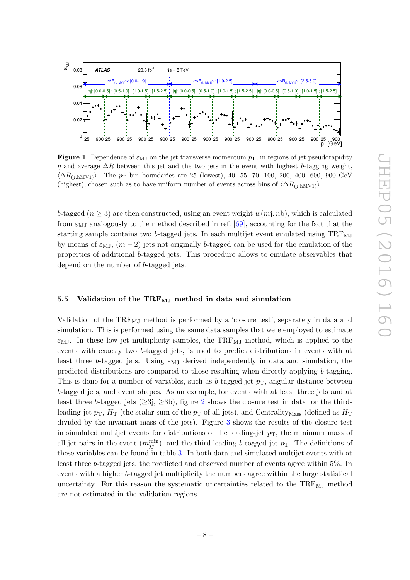

Figure 1. Dependence of  $\varepsilon_{\text{MJ}}$  on the jet transverse momentum  $p_{\text{T}}$ , in regions of jet pseudorapidity  $η$  and average  $ΔR$  between this jet and the two jets in the event with highest b-tagging weight,  $\langle \Delta R_{(j,\mathrm{hMVI})} \rangle$ . The  $p_{\mathrm{T}}$  bin boundaries are 25 (lowest), 40, 55, 70, 100, 200, 400, 600, 900 GeV (highest), chosen such as to have uniform number of events across bins of  $\langle \Delta R_{(j, hMV1)} \rangle$ .

<span id="page-9-0"></span>b-tagged  $(n \ge 3)$  are then constructed, using an event weight  $w(mj, nb)$ , which is calculated from  $\varepsilon_{\text{MJ}}$  analogously to the method described in ref. [\[69\]](#page-34-4), accounting for the fact that the starting sample contains two b-tagged jets. In each multijet event emulated using  $\text{TRF}_{\text{MJ}}$ by means of  $\varepsilon_{\text{MJ}}$ ,  $(m-2)$  jets not originally b-tagged can be used for the emulation of the properties of additional b-tagged jets. This procedure allows to emulate observables that depend on the number of b-tagged jets.

#### 5.5 Validation of the  $TRF_{\text{MJ}}$  method in data and simulation

<span id="page-9-1"></span>Validation of the  $TRF_{MJ}$  method is performed by a 'closure test', separately in data and simulation. This is performed using the same data samples that were employed to estimate  $\varepsilon_{\text{MJ}}$ . In these low jet multiplicity samples, the TRF<sub>MJ</sub> method, which is applied to the events with exactly two b-tagged jets, is used to predict distributions in events with at least three b-tagged jets. Using  $\varepsilon_{\text{MJ}}$  derived independently in data and simulation, the predicted distributions are compared to those resulting when directly applying b-tagging. This is done for a number of variables, such as b-tagged jet  $p_T$ , angular distance between b-tagged jets, and event shapes. As an example, for events with at least three jets and at least three b-tagged jets  $(\geq 3j, \geq 3b)$ , figure [2](#page-9-0) shows the closure test in data for the thirdleading-jet  $p_T$ ,  $H_T$  (the scalar sum of the  $p_T$  of all jets), and Centrality<sub>Mass</sub> (defined as  $H_T$ divided by the invariant mass of the jets). Figure [3](#page-9-1) shows the results of the closure test in simulated multijet events for distributions of the leading-jet  $p_T$ , the minimum mass of all jet pairs in the event  $(m_{jj}^{\min})$ , and the third-leading b-tagged jet  $p_T$ . The definitions of these variables can be found in table [3.](#page-13-0) In both data and simulated multijet events with at least three b-tagged jets, the predicted and observed number of events agree within 5%. In events with a higher b-tagged jet multiplicity the numbers agree within the large statistical uncertainty. For this reason the systematic uncertainties related to the  $TRF_{\rm MJ}$  method are not estimated in the validation regions.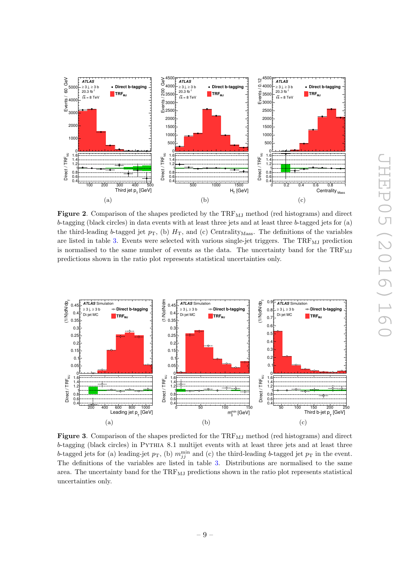<span id="page-10-0"></span>

Figure 2. Comparison of the shapes predicted by the  $TRF_{MJ}$  method (red histograms) and direct b-tagging (black circles) in data events with at least three jets and at least three b-tagged jets for (a) the third-leading b-tagged jet  $p_T$ , (b)  $H_T$ , and (c) Centrality<sub>Mass</sub>. The definitions of the variables are listed in table [3.](#page-13-0) Events were selected with various single-jet triggers. The  $\text{TRF}_{\text{MJ}}$  prediction is normalised to the same number of events as the data. The uncertainty band for the  $TRF_{\rm MJ}$ predictions shown in the ratio plot represents statistical uncertainties only.

<span id="page-10-1"></span>

<span id="page-10-2"></span>Figure 3. Comparison of the shapes predicted for the  $TRF_{MJ}$  method (red histograms) and direct b-tagging (black circles) in Pythia 8.1 multijet events with at least three jets and at least three b-tagged jets for (a) leading-jet  $p_T$ , (b)  $m_{jj}^{\text{min}}$  and (c) the third-leading b-tagged jet  $p_T$  in the event. The definitions of the variables are listed in table [3.](#page-13-0) Distributions are normalised to the same area. The uncertainty band for the  $TRF_{MJ}$  predictions shown in the ratio plot represents statistical uncertainties only.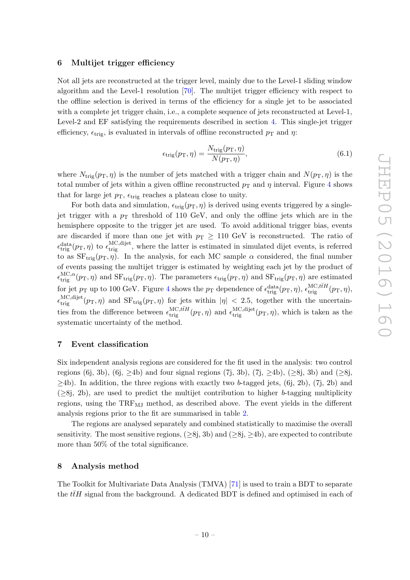#### 6 Multijet trigger efficiency

Not all jets are reconstructed at the trigger level, mainly due to the Level-1 sliding window algorithm and the Level-1 resolution [\[70\]](#page-34-5). The multijet trigger efficiency with respect to the offline selection is derived in terms of the efficiency for a single jet to be associated with a complete jet trigger chain, i.e., a complete sequence of jets reconstructed at Level-1, Level-2 and EF satisfying the requirements described in section [4.](#page-4-0) This single-jet trigger efficiency,  $\epsilon_{\text{trig}}$ , is evaluated in intervals of offline reconstructed  $p_{\text{T}}$  and  $\eta$ :

$$
\epsilon_{\rm trig}(p_{\rm T}, \eta) = \frac{N_{\rm trig}(p_{\rm T}, \eta)}{N(p_{\rm T}, \eta)},\tag{6.1}
$$

where  $N_{\text{trig}}(p_{\text{T}}, \eta)$  is the number of jets matched with a trigger chain and  $N(p_{\text{T}}, \eta)$  is the total number of jets within a given offline reconstructed  $p_T$  and  $\eta$  interval. Figure [4](#page-11-0) shows that for large jet  $p_T$ ,  $\epsilon_{\text{trig}}$  reaches a plateau close to unity.

<span id="page-11-0"></span>For both data and simulation,  $\epsilon_{\text{trig}}(p_T, \eta)$  is derived using events triggered by a singlejet trigger with a  $p_T$  threshold of 110 GeV, and only the offline jets which are in the hemisphere opposite to the trigger jet are used. To avoid additional trigger bias, events are discarded if more than one jet with  $p_T \geq 110$  GeV is reconstructed. The ratio of  $\epsilon_{\text{trig}}^{\text{data}}(p_{\text{T}}, \eta)$  to  $\epsilon_{\text{trig}}^{\text{MC,dijet}}$ , where the latter is estimated in simulated dijet events, is referred to as  $SF_{trig}(p_T, \eta)$ . In the analysis, for each MC sample  $\alpha$  considered, the final number of events passing the multijet trigger is estimated by weighting each jet by the product of  $\epsilon^{\mathrm{MC},\alpha}_{\mathrm{trig}}$  $\lim_{\text{trig}}$  ( $p_T$ ,  $\eta$ ) and  $SF_{\text{trig}}(p_T, \eta)$ . The parameters  $\epsilon_{\text{trig}}(p_T, \eta)$  and  $SF_{\text{trig}}(p_T, \eta)$  are estimated for jet  $p_T$  up to 100 GeV. Figure [4](#page-11-0) shows the  $p_T$  dependence of  $\epsilon_{\text{trig}}^{\text{data}}(p_T, \eta)$ ,  $\epsilon_{\text{trig}}^{\text{MC}, t\bar{t}H}$  $\lim_{\text{trig}} (p_T, \eta),$  $\epsilon_{\text{trig}}^{\text{MC,dijet}}$  $\lim_{\text{trig}} (p_T, \eta)$  and  $SF_{\text{trig}}(p_T, \eta)$  for jets within  $|\eta| < 2.5$ , together with the uncertainties from the difference between  $\epsilon_{\text{trig}}^{\text{MC},t\bar{t}H}$  ${}^{\text{MC},t\bar{t}H}_{\text{trig}}(p_{\text{T}},\eta)$  and  $\epsilon^{\text{MC},\text{dijet}}_{\text{trig}}$  $\lim_{\text{trig}} (p_T, \eta)$ , which is taken as the systematic uncertainty of the method.

#### 7 Event classification

Six independent analysis regions are considered for the fit used in the analysis: two control regions (6j, 3b), (6j,  $\geq$ 4b) and four signal regions (7j, 3b), (7j,  $\geq$ 4b), ( $\geq$ 8j, 3b) and ( $\geq$ 8j,  $\geq$ 4b). In addition, the three regions with exactly two b-tagged jets, (6j, 2b), (7j, 2b) and  $(\geq 8)$ , 2b), are used to predict the multijet contribution to higher b-tagging multiplicity regions, using the  $TRF_{MJ}$  method, as described above. The event yields in the different analysis regions prior to the fit are summarised in table [2](#page-11-1) .

<span id="page-11-1"></span>The regions are analysed separately and combined statistically to maximise the overall sensitivity. The most sensitive regions,  $(\geq 8j, 3b)$  and  $(\geq 8j, \geq 4b)$ , are expected to contribute more than 50% of the total significance.

#### 8 Analysis method

The Toolkit for Multivariate Data Analysis (TMVA) [\[71\]](#page-34-6) is used to train a BDT to separate the  $t\bar{t}H$  signal from the background. A dedicated BDT is defined and optimised in each of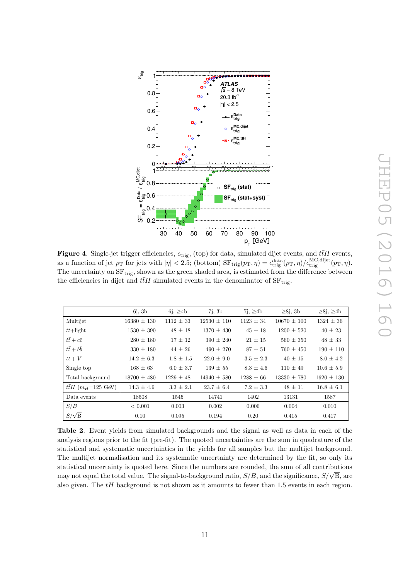

**Figure 4.** Single-jet trigger efficiencies,  $\epsilon_{\text{trig}}$ , (top) for data, simulated dijet events, and  $t\bar{t}H$  events, as a function of jet  $p_T$  for jets with  $|\eta| < 2.5$ ; (bottom)  $SF_{\text{trig}}(p_T, \eta) = \epsilon_{\text{trig}}^{\text{data}}(p_T, \eta) / \epsilon_{\text{trig}}^{\text{MC,dijet}}(p_T, \eta)$ . The uncertainty on  $SF_{\text{trig}}$ , shown as the green shaded area, is estimated from the difference between the efficiencies in dijet and  $t\bar{t}H$  simulated events in the denominator of  $SF_{\text{trig}}$ .

|                         | $6j$ , 3b       | 6i, >4b       | 7j, 3b          | 7i, >4b       | $>8i$ , 3b      | $>8i$ , $>4b$  |
|-------------------------|-----------------|---------------|-----------------|---------------|-----------------|----------------|
| Multijet                | $16380 \pm 130$ | $1112 \pm 33$ | $12530 \pm 110$ | $1123 \pm 34$ | $10670 \pm 100$ | $1324 \pm 36$  |
| $tt+light$              | $1530 \pm 390$  | $48 \pm 18$   | $1370 \pm 430$  | $45 \pm 18$   | $1200 \pm 520$  | $40 \pm 23$    |
| $t\bar{t}+c\bar{c}$     | $280 \pm 180$   | $17 \pm 12$   | $390 \pm 240$   | $21 \pm 15$   | $560 \pm 350$   | $48 \pm 33$    |
| $t\bar{t}+bb$           | $330 \pm 180$   | $44 \pm 26$   | $490 \pm 270$   | $87 \pm 51$   | $760 \pm 450$   | $190 \pm 110$  |
| $t\bar{t}+V$            | $14.2 \pm 6.3$  | $1.8 \pm 1.5$ | $22.0 \pm 9.0$  | $3.5 \pm 2.3$ | $40 \pm 15$     | $8.0 \pm 4.2$  |
| Single top              | $168 \pm 63$    | $6.0 \pm 3.7$ | $139 \pm 55$    | $8.3 \pm 4.6$ | $110 \pm 49$    | $10.6 \pm 5.9$ |
| Total background        | $18700 \pm 480$ | $1229 \pm 48$ | $14940 \pm 580$ | $1288 \pm 66$ | $13330 \pm 780$ | $1620 \pm 130$ |
| $ttH$ ( $m_H$ =125 GeV) | $14.3 \pm 4.6$  | $3.3 \pm 2.1$ | $23.7 \pm 6.4$  | $7.2 \pm 3.3$ | $48 \pm 11$     | $16.8 \pm 6.1$ |
| Data events             | 18508           | 1545          | 14741           | 1402          | 13131           | 1587           |
| S/B                     | < 0.001         | 0.003         | 0.002           | 0.006         | 0.004           | 0.010          |
| $S/\sqrt{B}$            | 0.10            | 0.095         | 0.194           | 0.20          | 0.415           | 0.417          |

Table 2. Event yields from simulated backgrounds and the signal as well as data in each of the analysis regions prior to the fit (pre-fit). The quoted uncertainties are the sum in quadrature of the statistical and systematic uncertainties in the yields for all samples but the multijet background. The multijet normalisation and its systematic uncertainty are determined by the fit, so only its statistical uncertainty is quoted here. Since the numbers are rounded, the sum of all contributions may not equal the total value. The signal-to-background ratio,  $S/B$ , and the significance,  $S/\sqrt{B}$ , are also given. The  $tH$  background is not shown as it amounts to fewer than 1.5 events in each region.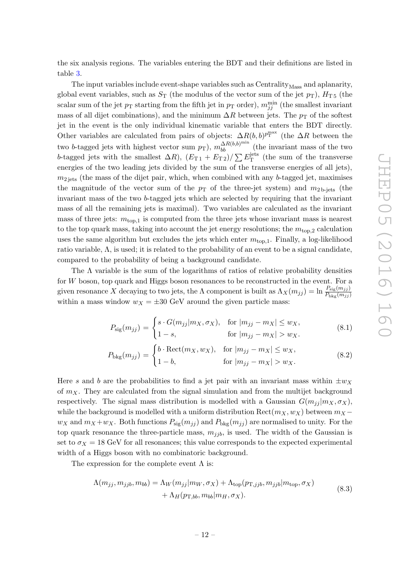<span id="page-13-0"></span>the six analysis regions. The variables entering the BDT and their definitions are listed in table [3](#page-13-0) .

The input variables include event-shape variables such as  $Centrality<sub>Mass</sub>$  and aplanarity, global event variables, such as  $S_T$  (the modulus of the vector sum of the jet  $p_T$ ),  $H_{T5}$  (the scalar sum of the jet  $p_{\text{T}}$  starting from the fifth jet in  $p_{\text{T}}$  order),  $m_{jj}^{\text{min}}$  (the smallest invariant mass of all dijet combinations), and the minimum  $\Delta R$  between jets. The  $p_T$  of the softest jet in the event is the only individual kinematic variable that enters the BDT directly. Other variables are calculated from pairs of objects:  $\Delta R(b, b)^{p_T^{\max}}$  (the  $\Delta R$  between the two b-tagged jets with highest vector sum  $p_T$ ),  $m_{bb}^{\Delta R(b,b)^{\text{min}}}$  (the invariant mass of the two b-tagged jets with the smallest  $\Delta R$ ),  $(E_{T1} + E_{T2})/\sum E_T^{\text{jets}}$  $T<sup>jets</sup>$  (the sum of the transverse energies of the two leading jets divided by the sum of the transverse energies of all jets),  $m_{2,\text{lets}}$  (the mass of the dijet pair, which, when combined with any b-tagged jet, maximises the magnitude of the vector sum of the  $p_T$  of the three-jet system) and  $m_{2 \text{ b-jets}}$  (the invariant mass of the two b-tagged jets which are selected by requiring that the invariant mass of all the remaining jets is maximal). Two variables are calculated as the invariant mass of three jets:  $m_{\text{top},1}$  is computed from the three jets whose invariant mass is nearest to the top quark mass, taking into account the jet energy resolutions; the  $m_{\text{top},2}$  calculation uses the same algorithm but excludes the jets which enter  $m_{\text{top},1}$ . Finally, a log-likelihood ratio variable,  $\Lambda$ , is used; it is related to the probability of an event to be a signal candidate, compared to the probability of being a background candidate.

The  $\Lambda$  variable is the sum of the logarithms of ratios of relative probability densities for W boson, top quark and Higgs boson resonances to be reconstructed in the event. For a given resonance X decaying to two jets, the  $\Lambda$  component is built as  $\Lambda_X(m_{jj}) = \ln \frac{P_{\text{sig}}(m_{jj})}{P_{\text{thr}}(m_{jj})}$  $P_{\text{bkg}}(m_{jj})$ within a mass window  $w_X = \pm 30$  GeV around the given particle mass:

$$
P_{\text{sig}}(m_{jj}) = \begin{cases} s \cdot G(m_{jj}|m_X, \sigma_X), & \text{for } |m_{jj} - m_X| \le w_X, \\ 1 - s, & \text{for } |m_{jj} - m_X| > w_X. \end{cases} \tag{8.1}
$$

$$
P_{\text{bkg}}(m_{jj}) = \begin{cases} b \cdot \text{Rect}(m_X, w_X), & \text{for } |m_{jj} - m_X| \le w_X, \\ 1 - b, & \text{for } |m_{jj} - m_X| > w_X. \end{cases} \tag{8.2}
$$

Here s and b are the probabilities to find a jet pair with an invariant mass within  $\pm w_X$ of  $m_X$ . They are calculated from the signal simulation and from the multijet background respectively. The signal mass distribution is modelled with a Gaussian  $G(m_{jj} | m_X, \sigma_X)$ , while the background is modelled with a uniform distribution  $\text{Rect}(m_X, w_X)$  between  $m_X$  $w_X$  and  $m_X + w_X$ . Both functions  $P_{\text{sig}}(m_{jj})$  and  $P_{\text{bkg}}(m_{jj})$  are normalised to unity. For the top quark resonance the three-particle mass,  $m_{jjb}$ , is used. The width of the Gaussian is set to  $\sigma_X = 18$  GeV for all resonances; this value corresponds to the expected experimental width of a Higgs boson with no combinatoric background.

The expression for the complete event  $\Lambda$  is:

$$
\Lambda(m_{jj}, m_{jjb}, m_{bb}) = \Lambda_W(m_{jj}|m_W, \sigma_X) + \Lambda_{\text{top}}(p_{\text{T},jjb}, m_{jjb}|m_{\text{top}}, \sigma_X) + \Lambda_H(p_{\text{T},bb}, m_{bb}|m_H, \sigma_X).
$$
\n(8.3)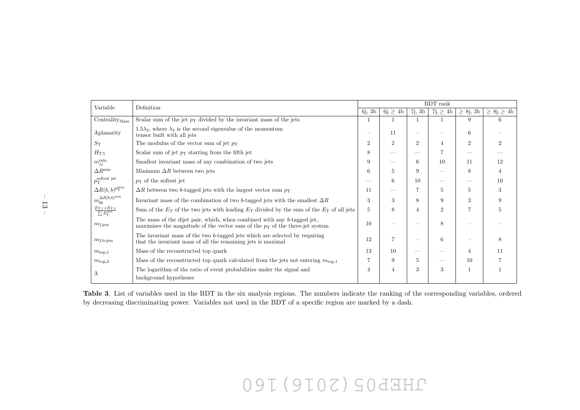| Variable                                                   | Definition<br>6j, 3b                                                                                                                                      |                          | <b>BDT</b> rank |                |                |                |                    |  |  |
|------------------------------------------------------------|-----------------------------------------------------------------------------------------------------------------------------------------------------------|--------------------------|-----------------|----------------|----------------|----------------|--------------------|--|--|
|                                                            |                                                                                                                                                           |                          | $6j \geq 4b$    | 7j, 3b         | $7j \geq 4b$   | $\geq$ 8j, 3b  | $\geq 8j, \geq 4b$ |  |  |
| $\operatorname{Centrality}_{\operatorname{Mass}}$          | Scalar sum of the jet $p_T$ divided by the invariant mass of the jets                                                                                     |                          |                 |                |                | 9              | 6                  |  |  |
| Aplanarity                                                 | $1.5\lambda_2$ , where $\lambda_2$ is the second eigenvalue of the momentum<br>tensor built with all jets                                                 | $\overline{\phantom{a}}$ | 11              |                |                | 6              |                    |  |  |
| $S_{\mathrm{T}}$                                           | The modulus of the vector sum of jet $p_T$                                                                                                                | $\overline{2}$           | $\overline{2}$  | $\overline{2}$ | 4              | $\overline{2}$ | $\overline{2}$     |  |  |
| $H_{\rm T5}$                                               | Scalar sum of jet $p_T$ starting from the fifth jet                                                                                                       | 8                        |                 |                |                |                |                    |  |  |
| $m_{ii}^{\min}$                                            | Smallest invariant mass of any combination of two jets                                                                                                    | 9                        |                 | 6              | 10             | 11             | 12                 |  |  |
| $\Delta R^{\text{min}}$                                    | Minimum $\Delta R$ between two jets                                                                                                                       | 6                        | 5               | 9              |                | 8              | $\overline{4}$     |  |  |
| $p_{\rm T}^{\rm softest}$ jet                              | $p_T$ of the softest jet                                                                                                                                  |                          | 6               | 10             |                |                | 10                 |  |  |
| $\Delta R(b,b) ^{p_{\rm T}^{\rm max}}$                     | $\Delta R$ between two b-tagged jets with the largest vector sum $p_T$                                                                                    | 11                       |                 |                | 5              | 5              | 3                  |  |  |
| $m_{bb}^{\Delta R(b,b)^{\rm min}}$                         | Invariant mass of the combination of two b-tagged jets with the smallest $\Delta R$                                                                       | 3                        | 3               | 8              | 9              | 3              | 9                  |  |  |
| $E_{\rm T\,1}+E_{\rm T\,2}$<br>$\sum E^{\rm jets}_{\rm T}$ | Sum of the $E_T$ of the two jets with leading $E_T$ divided by the sum of the $E_T$ of all jets                                                           | 5                        | 8               | 4              | $\overline{2}$ | 7              | 5                  |  |  |
| $m_{2}$ jets                                               | The mass of the dijet pair, which, when combined with any b-tagged jet,<br>maximises the magnitude of the vector sum of the $p_T$ of the three-jet system | 10                       |                 |                | 8              |                |                    |  |  |
| $m_{2\,\text{b-jets}}$                                     | The invariant mass of the two b-tagged jets which are selected by requiring<br>that the invariant mass of all the remaining jets is maximal               | 12                       | $\overline{7}$  |                | 6              |                | 8                  |  |  |
| $m_{\text{top},1}$                                         | Mass of the reconstructed top quark                                                                                                                       | 13                       | 10              |                |                | 4              | 11                 |  |  |
| $m_{\text{top},2}$                                         | Mass of the reconstructed top quark calculated from the jets not entering $m_{\text{top,1}}$                                                              | 7                        | 9               | 5              |                | 10             |                    |  |  |
| Λ                                                          | The logarithm of the ratio of event probabilities under the signal and<br>background hypotheses                                                           | 4                        |                 | 3              | 3              |                |                    |  |  |

<span id="page-14-0"></span>Table 3. List of variables used in the BDT in the six analysis regions. The numbers indicate the ranking of the corresponding variables, ordered by decreasing discriminating power. Variables not used in the BDT of <sup>a</sup> specific region are marked by <sup>a</sup> dash.

# JHEP05(2016)160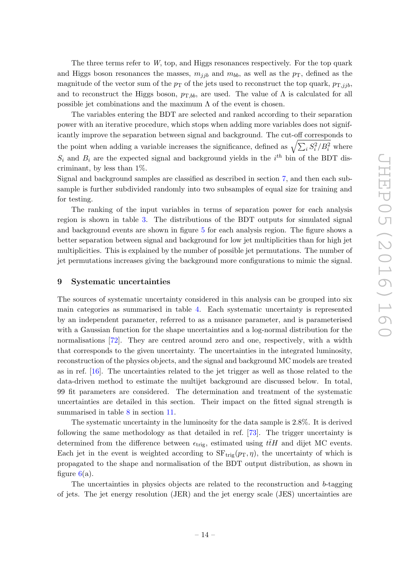The three terms refer to W, top, and Higgs resonances respectively. For the top quark and Higgs boson resonances the masses,  $m_{jjb}$  and  $m_{bb}$ , as well as the  $p_{\text{T}}$ , defined as the magnitude of the vector sum of the  $p<sub>T</sub>$  of the jets used to reconstruct the top quark,  $p<sub>T,jjb</sub>$ , and to reconstruct the Higgs boson,  $p_{T,bb}$ , are used. The value of  $\Lambda$  is calculated for all possible jet combinations and the maximum  $\Lambda$  of the event is chosen.

The variables entering the BDT are selected and ranked according to their separation power with an iterative procedure, which stops when adding more variables does not significantly improve the separation between signal and background. The cut-off corresponds to the point when adding a variable increases the significance, defined as  $\sqrt{\sum_i S_i^2/B_i^2}$  where  $S_i$  and  $B_i$  are the expected signal and background yields in the  $i^{th}$  bin of the BDT discriminant, by less than 1%.

Signal and background samples are classified as described in section [7,](#page-10-1) and then each subsample is further subdivided randomly into two subsamples of equal size for training and for testing.

The ranking of the input variables in terms of separation power for each analysis region is shown in table [3.](#page-13-0) The distributions of the BDT outputs for simulated signal and background events are shown in figure [5](#page-16-0) for each analysis region. The figure shows a better separation between signal and background for low jet multiplicities than for high jet multiplicities. This is explained by the number of possible jet permutations. The number of jet permutations increases giving the background more configurations to mimic the signal.

#### 9 Systematic uncertainties

The sources of systematic uncertainty considered in this analysis can be grouped into six main categories as summarised in table [4.](#page-15-0) Each systematic uncertainty is represented by an independent parameter, referred to as a nuisance parameter, and is parameterised with a Gaussian function for the shape uncertainties and a log-normal distribution for the normalisations [\[72\]](#page-34-7). They are centred around zero and one, respectively, with a width that corresponds to the given uncertainty. The uncertainties in the integrated luminosity, reconstruction of the physics objects, and the signal and background MC models are treated as in ref. [\[16\]](#page-31-4). The uncertainties related to the jet trigger as well as those related to the data-driven method to estimate the multijet background are discussed below. In total, 99 fit parameters are considered. The determination and treatment of the systematic uncertainties are detailed in this section. Their impact on the fitted signal strength is summarised in table [8](#page-23-0) in section [11](#page-19-1).

<span id="page-15-0"></span>The systematic uncertainty in the luminosity for the data sample is 2.8%. It is derived following the same methodology as that detailed in ref. [\[73\]](#page-34-8). The trigger uncertainty is determined from the difference between  $\epsilon_{\text{trig}}$ , estimated using  $\bar{t}H$  and dijet MC events. Each jet in the event is weighted according to  $SF_{trig}(p_T, \eta)$ , the uncertainty of which is propagated to the shape and normalisation of the BDT output distribution, as shown in figure  $6(a)$  $6(a)$ .

The uncertainties in physics objects are related to the reconstruction and b-tagging of jets. The jet energy resolution (JER) and the jet energy scale (JES) uncertainties are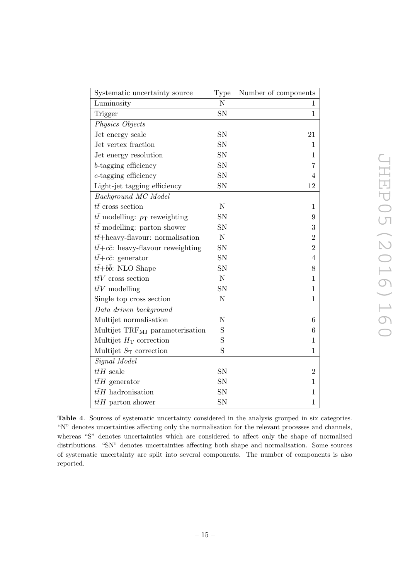| Systematic uncertainty source                      | <b>Type</b> | Number of components |
|----------------------------------------------------|-------------|----------------------|
| Luminosity                                         | N           | 1                    |
| Trigger                                            | SN          | $\mathbf{1}$         |
| Physics Objects                                    |             |                      |
| Jet energy scale                                   | SN          | 21                   |
| Jet vertex fraction                                | SN          | $\mathbf{1}$         |
| Jet energy resolution                              | SN          | $\mathbf{1}$         |
| <i>b</i> -tagging efficiency                       | SN          | $\overline{7}$       |
| $c$ -tagging efficiency                            | SN          | $\overline{4}$       |
| Light-jet tagging efficiency                       | <b>SN</b>   | 12                   |
| Background MC Model                                |             |                      |
| $t\bar{t}$ cross section                           | $\mathbf N$ | $\mathbf{1}$         |
| $t\bar{t}$ modelling: $p_T$ reweighting            | SN          | 9                    |
| $t\bar{t}$ modelling: parton shower                | SN          | 3                    |
| $t\bar{t}$ +heavy-flavour: normalisation           | ${\rm N}$   | $\overline{2}$       |
| $t\bar{t}+c\bar{c}$ : heavy-flavour reweighting    | <b>SN</b>   | $\overline{2}$       |
| $t\bar{t}+c\bar{c}$ : generator                    | SN          | $\overline{4}$       |
| $t\bar{t}+b\bar{b}$ : NLO Shape                    | SN          | 8                    |
| $t\bar{t}V$ cross section                          | ${\rm N}$   | $\mathbf{1}$         |
| $t\bar{t}V$ modelling                              | SN          | 1                    |
| Single top cross section                           | ${\bf N}$   | $\mathbf{1}$         |
| Data driven background                             |             |                      |
| Multijet normalisation                             | $\mathbf N$ | 6                    |
| Multijet $\text{TRF}_{\text{MJ}}$ parameterisation | $\mathbf S$ | 6                    |
| Multijet $H_T$ correction                          | S           | 1                    |
| Multijet $S_T$ correction                          | S           | $\mathbf{1}$         |
| Signal Model                                       |             |                      |
| $t\bar{t}H$ scale                                  | SN          | $\overline{2}$       |
| $t\bar{t}H$ generator                              | SN          | $\mathbf{1}$         |
| $t\bar{t}H$ hadronisation                          | SN          | 1                    |
| $t\bar{t}H$ parton shower                          | SN          | $\mathbf{1}$         |

JHEP05 (2016) 160 JHEP05(2016)160

<span id="page-16-0"></span>Table 4. Sources of systematic uncertainty considered in the analysis grouped in six categories. "N" denotes uncertainties affecting only the normalisation for the relevant processes and channels, whereas "S" denotes uncertainties which are considered to affect only the shape of normalised distributions. "SN" denotes uncertainties affecting both shape and normalisation. Some sources of systematic uncertainty are split into several components. The number of components is also reported.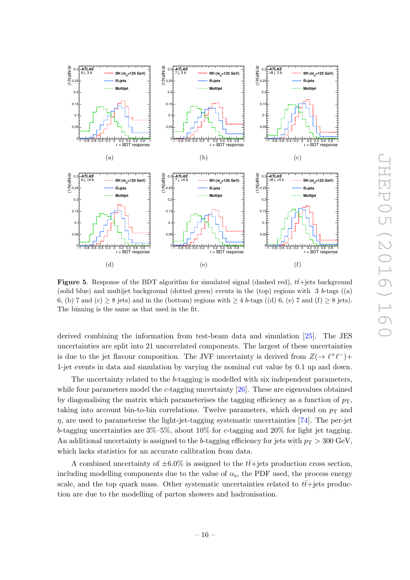

<span id="page-17-0"></span>Figure 5. Response of the BDT algorithm for simulated signal (dashed red),  $t\bar{t}$ +jets background (solid blue) and multijet background (dotted green) events in the  $(top)$  regions with 3 b-tags  $((a)$ 6, (b) 7 and (c)  $\geq 8$  jets) and in the (bottom) regions with  $\geq 4$  b-tags ((d) 6, (e) 7 and (f)  $\geq 8$  jets). The binning is the same as that used in the fit.

derived combining the information from test-beam data and simulation [\[25\]](#page-31-12). The JES uncertainties are split into 21 uncorrelated components. The largest of these uncertainties is due to the jet flavour composition. The JVF uncertainty is derived from  $Z(\rightarrow \ell^+ \ell^-)$ + 1-jet events in data and simulation by varying the nominal cut value by 0.1 up and down.

The uncertainty related to the b-tagging is modelled with six independent parameters, while four parameters model the *c*-tagging uncertainty [\[26\]](#page-31-13). These are eigenvalues obtained by diagonalising the matrix which parameterises the tagging efficiency as a function of  $p_T$ , taking into account bin-to-bin correlations. Twelve parameters, which depend on  $p_T$  and  $\eta$ , are used to parameterise the light-jet-tagging systematic uncertainties [\[74\]](#page-34-9). The per-jet b-tagging uncertainties are  $3\%$ –5%, about 10% for c-tagging and 20% for light jet tagging. An additional uncertainty is assigned to the b-tagging efficiency for jets with  $p_T > 300 \text{ GeV}$ , which lacks statistics for an accurate calibration from data.

A combined uncertainty of  $\pm 6.0\%$  is assigned to the  $t\bar{t}$ +jets production cross section, including modelling components due to the value of  $\alpha_{\rm s}$ , the PDF used, the process energy scale, and the top quark mass. Other systematic uncertainties related to  $t\bar{t}$ +jets production are due to the modelling of parton showers and hadronisation.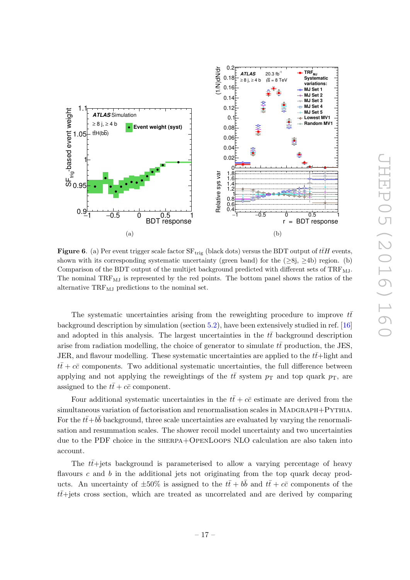

<span id="page-18-0"></span>Figure 6. (a) Per event trigger scale factor  $SF_{\text{trig}}$  (black dots) versus the BDT output of  $t\bar{t}H$  events, shown with its corresponding systematic uncertainty (green band) for the  $(\geq 8j, \geq 4b)$  region. (b) Comparison of the BDT output of the multijet background predicted with different sets of  $\text{TRF}_{\text{MJ}}$ . The nominal  $TRF_{MJ}$  is represented by the red points. The bottom panel shows the ratios of the alternative  $TRF_{\rm MJ}$  predictions to the nominal set.

The systematic uncertainties arising from the reweighting procedure to improve  $t\bar{t}$ background description by simulation (section [5.2\)](#page-5-0), have been extensively studied in ref. [\[16](#page-31-4) ] and adopted in this analysis. The largest uncertainties in the  $t\bar{t}$  background description arise from radiation modelling, the choice of generator to simulate  $t\bar{t}$  production, the JES, JER, and flavour modelling. These systematic uncertainties are applied to the  $t\bar{t}$ +light and  $t\bar{t} + c\bar{c}$  components. Two additional systematic uncertainties, the full difference between applying and not applying the reweightings of the  $t\bar{t}$  system  $p_T$  and top quark  $p_T$ , are assigned to the  $t\bar{t} + c\bar{c}$  component.

Four additional systematic uncertainties in the  $t\bar{t} + c\bar{c}$  estimate are derived from the simultaneous variation of factorisation and renormalisation scales in MADGRAPH+PYTHIA. For the  $t\bar{t}+b\bar{b}$  background, three scale uncertainties are evaluated by varying the renormalisation and resummation scales. The shower recoil model uncertainty and two uncertainties due to the PDF choice in the sherpa+OpenLoops NLO calculation are also taken into account.

The  $t\bar{t}$ +jets background is parameterised to allow a varying percentage of heavy flavours c and b in the additional jets not originating from the top quark decay products. An uncertainty of  $\pm 50\%$  is assigned to the  $t\bar{t} + bb$  and  $t\bar{t} + c\bar{c}$  components of the  $t\bar{t}$ +jets cross section, which are treated as uncorrelated and are derived by comparing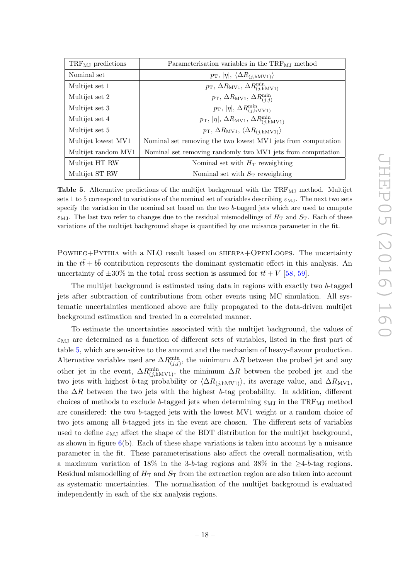| $TRF_{MJ}$ predictions | Parameterisation variables in the $TRF_{M,I}$ method                          |
|------------------------|-------------------------------------------------------------------------------|
| Nominal set            | $p_{\rm T},  \eta , \langle \Delta R_{(j, {\rm hMV1})} \rangle$               |
| Multijet set 1         | $p_{\rm T}$ , $\Delta R_{\rm MV1}$ , $\Delta R_{(i, {\rm hMV1})}^{\rm min}$   |
| Multijet set 2         | $p_{\rm T}$ , $\Delta R_{\rm MV1}$ , $\Delta R_{(i,j)}^{\rm min}$             |
| Multijet set 3         | $p_{\rm T},  \eta , \Delta R_{(j, {\rm hMV1})}^{\rm min}$                     |
| Multijet set 4         | $p_{\rm T},  \eta , \Delta R_{\rm MV1}, \Delta R_{(i, {\rm hMV1})}^{\rm min}$ |
| Multijet set 5         | $p_{\rm T}, \Delta R_{\rm MV1}, \langle \Delta R_{(i, {\rm hMV1})} \rangle$   |
| Multijet lowest MV1    | Nominal set removing the two lowest MV1 jets from computation                 |
| Multijet random MV1    | Nominal set removing randomly two MV1 jets from computation                   |
| Multijet HT RW         | Nominal set with $H_T$ reweighting                                            |
| Multijet ST RW         | Nominal set with $S_T$ reweighting                                            |

<span id="page-19-0"></span>**Table 5.** Alternative predictions of the multijet background with the  $TRF_{\text{MJ}}$  method. Multijet sets 1 to 5 correspond to variations of the nominal set of variables describing  $\varepsilon_{\text{MJ}}$ . The next two sets specify the variation in the nominal set based on the two b-tagged jets which are used to compute  $\varepsilon_{\text{MJ}}$ . The last two refer to changes due to the residual mismodellings of  $H_{\text{T}}$  and  $S_{\text{T}}$ . Each of these variations of the multijet background shape is quantified by one nuisance parameter in the fit.

Powheg +Pythia with a NLO result based on sherpa+OpenLoops. The uncertainty in the  $t\bar{t} + b\bar{b}$  contribution represents the dominant systematic effect in this analysis. An uncertainty of  $\pm 30\%$  in the total cross section is assumed for  $t\bar{t} + V$  [\[58](#page-33-11), [59\]](#page-33-12).

The multijet background is estimated using data in regions with exactly two b-tagged jets after subtraction of contributions from other events using MC simulation. All systematic uncertainties mentioned above are fully propagated to the data-driven multijet background estimation and treated in a correlated manner.

<span id="page-19-1"></span>To estimate the uncertainties associated with the multijet background, the values of  $\varepsilon_{\text{MJ}}$  are determined as a function of different sets of variables, listed in the first part of table [5,](#page-18-0) which are sensitive to the amount and the mechanism of heavy-flavour production. Alternative variables used are  $\Delta R_{(j,j)}^{\text{min}}$ , the minimum  $\Delta R$  between the probed jet and any other jet in the event,  $\Delta R_{(j, hMVI)}^{\text{min}}$ , the minimum  $\Delta R$  between the probed jet and the two jets with highest b-tag probability or  $\langle \Delta R_{(j, hMV1)} \rangle$ , its average value, and  $\Delta R_{\text{MV1}}$ , the  $\Delta R$  between the two jets with the highest b-tag probability. In addition, different choices of methods to exclude b-tagged jets when determining  $\varepsilon_{\text{MJ}}$  in the TRF<sub>MJ</sub> method are considered: the two b-tagged jets with the lowest MV1 weight or a random choice of two jets among all b-tagged jets in the event are chosen. The different sets of variables used to define  $\varepsilon_{\text{MJ}}$  affect the shape of the BDT distribution for the multijet background, as shown in figure [6\(](#page-17-0)b). Each of these shape variations is taken into account by a nuisance parameter in the fit. These parameterisations also affect the overall normalisation, with a maximum variation of 18% in the 3-b-tag regions and 38% in the  $\geq$ 4-b-tag regions. Residual mismodelling of  $H_{\rm T}$  and  $S_{\rm T}$  from the extraction region are also taken into account as systematic uncertainties. The normalisation of the multijet background is evaluated independently in each of the six analysis regions.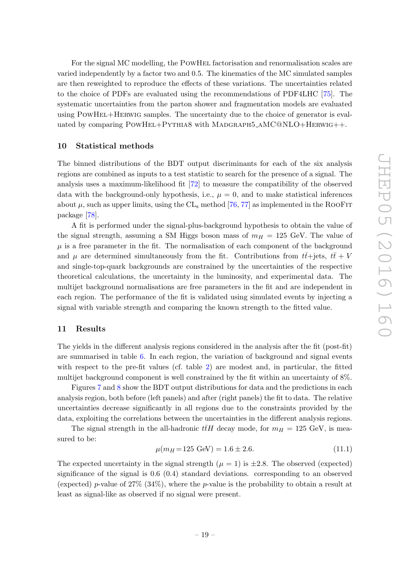For the signal MC modelling, the PowHel factorisation and renormalisation scales are varied independently by a factor two and 0.5. The kinematics of the MC simulated samples are then reweighted to reproduce the effects of these variations. The uncertainties related to the choice of PDFs are evaluated using the recommendations of PDF4LHC [\[75\]](#page-34-10). The systematic uncertainties from the parton shower and fragmentation models are evaluated using POWHEL+HERWIG samples. The uncertainty due to the choice of generator is evaluated by comparing POWHEL+PYTHIA8 with MADGRAPH5\_AMC@NLO+HERWIG++.

#### 10 Statistical methods

The binned distributions of the BDT output discriminants for each of the six analysis regions are combined as inputs to a test statistic to search for the presence of a signal. The analysis uses a maximum-likelihood fit [\[72\]](#page-34-7) to measure the compatibility of the observed data with the background-only hypothesis, i.e.,  $\mu = 0$ , and to make statistical inferences about  $\mu$ , such as upper limits, using the CL<sub>s</sub> method [\[76](#page-34-11), [77\]](#page-34-12) as implemented in the ROOF1T package [\[78\]](#page-34-13).

A fit is performed under the signal-plus-background hypothesis to obtain the value of the signal strength, assuming a SM Higgs boson mass of  $m_H = 125$  GeV. The value of  $\mu$  is a free parameter in the fit. The normalisation of each component of the background and  $\mu$  are determined simultaneously from the fit. Contributions from  $t\bar{t}$ +jets,  $t\bar{t}$  + V and single-top-quark backgrounds are constrained by the uncertainties of the respective theoretical calculations, the uncertainty in the luminosity, and experimental data. The multijet background normalisations are free parameters in the fit and are independent in each region. The performance of the fit is validated using simulated events by injecting a signal with variable strength and comparing the known strength to the fitted value.

#### 11 Results

The yields in the different analysis regions considered in the analysis after the fit (post-fit) are summarised in table [6.](#page-22-0) In each region, the variation of background and signal events with respect to the pre-fit values (cf. table [2\)](#page-11-1) are modest and, in particular, the fitted multijet background component is well constrained by the fit within an uncertainty of 8%.

Figures [7](#page-20-0) and [8](#page-21-0) show the BDT output distributions for data and the predictions in each analysis region, both before (left panels) and after (right panels) the fit to data. The relative uncertainties decrease significantly in all regions due to the constraints provided by the data, exploiting the correlations between the uncertainties in the different analysis regions.

<span id="page-20-0"></span>The signal strength in the all-hadronic  $t\bar{t}H$  decay mode, for  $m_H = 125$  GeV, is measured to be:

$$
\mu(m_H = 125 \text{ GeV}) = 1.6 \pm 2.6. \tag{11.1}
$$

The expected uncertainty in the signal strength  $(\mu = 1)$  is  $\pm 2.8$ . The observed (expected) significance of the signal is  $0.6 \cdot (0.4)$  standard deviations. corresponding to an observed (expected) p-value of 27% (34%), where the p-value is the probability to obtain a result at least as signal-like as observed if no signal were present.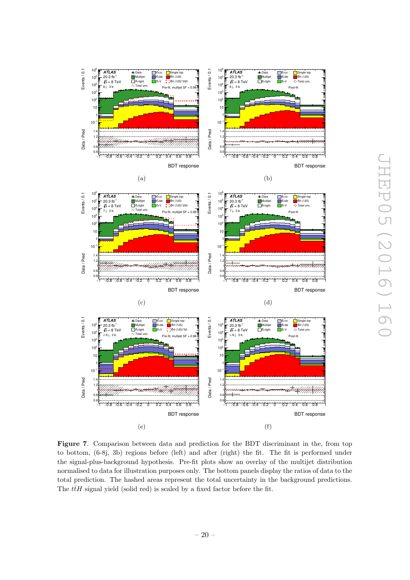

<span id="page-21-0"></span>Figure 7. Comparison between data and prediction for the BDT discriminant in the, from top to bottom, (6-8j, 3b) regions before (left) and after (right) the fit. The fit is performed under the signal-plus-background hypothesis. Pre-fit plots show an overlay of the multijet distribution normalised to data for illustration purposes only. The bottom panels display the ratios of data to the total prediction. The hashed areas represent the total uncertainty in the background predictions. The  $t\bar{t}H$  signal yield (solid red) is scaled by a fixed factor before the fit.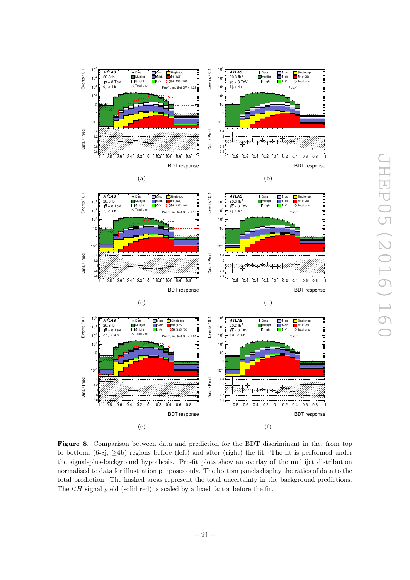<span id="page-22-1"></span><span id="page-22-0"></span>

Figure 8. Comparison between data and prediction for the BDT discriminant in the, from top to bottom,  $(6-8j, \geq 4b)$  regions before (left) and after (right) the fit. The fit is performed under the signal-plus-background hypothesis. Pre-fit plots show an overlay of the multijet distribution normalised to data for illustration purposes only. The bottom panels display the ratios of data to the total prediction. The hashed areas represent the total uncertainty in the background predictions. The  $t\bar{t}H$  signal yield (solid red) is scaled by a fixed factor before the fit.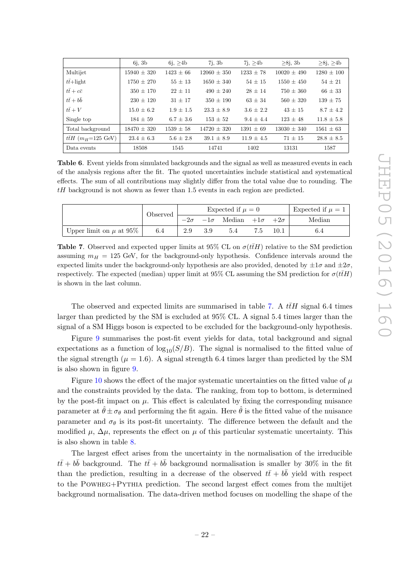|                             | $6j$ , 3b       | 6i, >4b       | 7i.3b           | 7i, >4b        | $>8i$ , 3b      | $>8i$ , $>4b$  |
|-----------------------------|-----------------|---------------|-----------------|----------------|-----------------|----------------|
| Multijet                    | $15940 \pm 320$ | $1423 \pm 66$ | $12060 \pm 350$ | $1233 \pm 78$  | $10020 \pm 490$ | $1280 \pm 100$ |
| $t\bar{t}$ +light           | $1750 \pm 270$  | $55 \pm 13$   | $1650 + 340$    | $54 \pm 15$    | $1550 \pm 450$  | $54 + 21$      |
| $t\bar{t}+c\bar{c}$         | $350 \pm 170$   | $22 \pm 11$   | $490 + 240$     | $28 \pm 14$    | $750 \pm 360$   | $66 \pm 33$    |
| $t\bar{t}+bb$               | $230 \pm 120$   | $31 \pm 17$   | $350 \pm 190$   | $63 \pm 34$    | $560 \pm 320$   | $139 \pm 75$   |
| $t\bar{t}+V$                | $15.0 \pm 6.2$  | $1.9 \pm 1.5$ | $23.3 \pm 8.9$  | $3.6 \pm 2.2$  | $43 \pm 15$     | $8.7 + 4.2$    |
| Single top                  | $184 \pm 59$    | $6.7 \pm 3.6$ | $153 \pm 52$    | $9.4 \pm 4.4$  | $123 \pm 48$    | $11.8 \pm 5.8$ |
| Total background            | $18470 \pm 320$ | $1539 \pm 58$ | $14720 + 320$   | $1391 \pm 69$  | $13030 \pm 340$ | $1561 \pm 63$  |
| ttH $(m_H=125 \text{ GeV})$ | $23.4 \pm 6.3$  | $5.6 \pm 2.8$ | $39.1 \pm 8.9$  | $11.9 \pm 4.5$ | $71 \pm 15$     | $28.8 \pm 8.5$ |
| Data events                 | 18508           | 1545          | 14741           | 1402           | 13131           | 1587           |

<span id="page-23-0"></span>Table 6. Event yields from simulated backgrounds and the signal as well as measured events in each of the analysis regions after the fit. The quoted uncertainties include statistical and systematical effects. The sum of all contributions may slightly differ from the total value due to rounding. The tH background is not shown as fewer than 1.5 events in each region are predicted.

|                             | Observed |            |     | Expected if $\mu = 0$                   |     | Expected if $\mu = 1$ |
|-----------------------------|----------|------------|-----|-----------------------------------------|-----|-----------------------|
|                             |          | $-2\sigma$ |     | $-1\sigma$ Median $+1\sigma$ $+2\sigma$ |     | Median                |
| Upper limit on $\mu$ at 95% | 6.4      | 2.9        | 3.9 |                                         | 7.5 | 6.4                   |

Table 7. Observed and expected upper limits at 95% CL on  $\sigma(t\bar{t}H)$  relative to the SM prediction assuming  $m_H = 125$  GeV, for the background-only hypothesis. Confidence intervals around the expected limits under the background-only hypothesis are also provided, denoted by  $\pm 1\sigma$  and  $\pm 2\sigma$ , respectively. The expected (median) upper limit at 95% CL assuming the SM prediction for  $\sigma(t\bar{t}H)$ is shown in the last column.

The observed and expected limits are summarised in table [7.](#page-22-1) A  $t\bar{t}H$  signal 6.4 times larger than predicted by the SM is excluded at 95% CL. A signal 5.4 times larger than the signal of a SM Higgs boson is expected to be excluded for the background-only hypothesis.

<span id="page-23-1"></span>Figure [9](#page-23-1) summarises the post-fit event yields for data, total background and signal expectations as a function of  $log_{10}(S/B)$ . The signal is normalised to the fitted value of the signal strength ( $\mu = 1.6$ ). A signal strength 6.4 times larger than predicted by the SM is also shown in figure [9](#page-23-1) .

Figure [10](#page-24-2) shows the effect of the major systematic uncertainties on the fitted value of  $\mu$ and the constraints provided by the data. The ranking, from top to bottom, is determined by the post-fit impact on  $\mu$ . This effect is calculated by fixing the corresponding nuisance parameter at  $\hat{\theta} \pm \sigma_{\theta}$  and performing the fit again. Here  $\hat{\theta}$  is the fitted value of the nuisance parameter and  $\sigma_{\theta}$  is its post-fit uncertainty. The difference between the default and the modified  $\mu$ ,  $\Delta\mu$ , represents the effect on  $\mu$  of this particular systematic uncertainty. This is also shown in table [8](#page-23-0) .

The largest effect arises from the uncertainty in the normalisation of the irreducible  $t\bar{t}+b\bar{b}$  background. The  $t\bar{t}+b\bar{b}$  background normalisation is smaller by 30% in the fit than the prediction, resulting in a decrease of the observed  $t\bar{t} + b\bar{b}$  yield with respect to the Powheg +Pythia prediction. The second largest effect comes from the multijet background normalisation. The data-driven method focuses on modelling the shape of the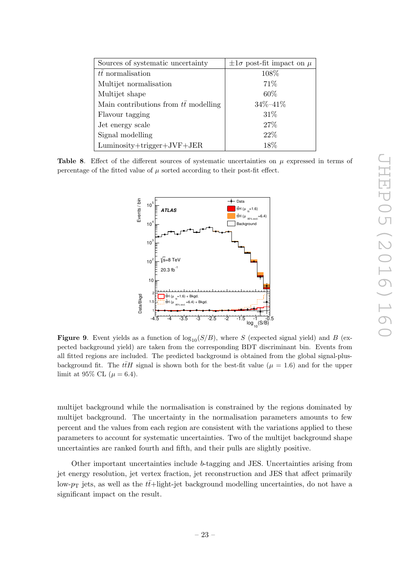| Sources of systematic uncertainty            | $\pm 1\sigma$ post-fit impact on $\mu$ |
|----------------------------------------------|----------------------------------------|
| tt normalisation                             | 108%                                   |
| Multijet normalisation                       | 71\%                                   |
| Multijet shape                               | 60%                                    |
| Main contributions from $t\bar{t}$ modelling | $34\% - 41\%$                          |
| Flavour tagging                              | 31\%                                   |
| Jet energy scale                             | 27%                                    |
| Signal modelling                             | 22\%                                   |
| $Luminosity + trigger + JVF + JER$           | 18%                                    |

**Table 8.** Effect of the different sources of systematic uncertainties on  $\mu$  expressed in terms of percentage of the fitted value of  $\mu$  sorted according to their post-fit effect.



<span id="page-24-2"></span>**Figure 9**. Event yields as a function of  $\log_{10}(S/B)$ , where S (expected signal yield) and B (expected background yield) are taken from the corresponding BDT discriminant bin. Events from all fitted regions are included. The predicted background is obtained from the global signal-plusbackground fit. The  $t\bar{t}H$  signal is shown both for the best-fit value ( $\mu = 1.6$ ) and for the upper limit at 95% CL  $(\mu = 6.4)$ .

<span id="page-24-0"></span>multijet background while the normalisation is constrained by the regions dominated by multijet background. The uncertainty in the normalisation parameters amounts to few percent and the values from each region are consistent with the variations applied to these parameters to account for systematic uncertainties. Two of the multijet background shape uncertainties are ranked fourth and fifth, and their pulls are slightly positive.

<span id="page-24-1"></span>Other important uncertainties include b-tagging and JES. Uncertainties arising from jet energy resolution, jet vertex fraction, jet reconstruction and JES that affect primarily low- $p<sub>T</sub>$  jets, as well as the  $t\bar{t}$ +light-jet background modelling uncertainties, do not have a significant impact on the result.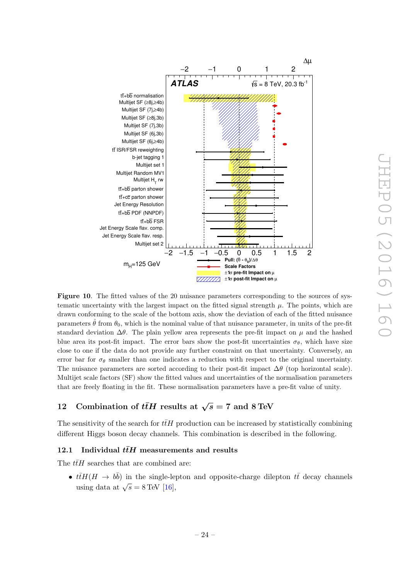

<span id="page-25-1"></span><span id="page-25-0"></span>Figure 10. The fitted values of the 20 nuisance parameters corresponding to the sources of systematic uncertainty with the largest impact on the fitted signal strength  $\mu$ . The points, which are drawn conforming to the scale of the bottom axis, show the deviation of each of the fitted nuisance parameters  $\hat{\theta}$  from  $\theta_0$ , which is the nominal value of that nuisance parameter, in units of the pre-fit standard deviation  $\Delta\theta$ . The plain yellow area represents the pre-fit impact on  $\mu$  and the hashed blue area its post-fit impact. The error bars show the post-fit uncertainties  $\sigma_{\theta}$ , which have size close to one if the data do not provide any further constraint on that uncertainty. Conversely, an error bar for  $\sigma_{\theta}$  smaller than one indicates a reduction with respect to the original uncertainty. The nuisance parameters are sorted according to their post-fit impact  $\Delta\theta$  (top horizontal scale). Multijet scale factors (SF) show the fitted values and uncertainties of the normalisation parameters that are freely floating in the fit. These normalisation parameters have a pre-fit value of unity.

### 12 Combination of  $t\bar{t}H$  results at  $\sqrt{s} = 7$  and 8 TeV

The sensitivity of the search for  $t\bar{t}H$  production can be increased by statistically combining different Higgs boson decay channels. This combination is described in the following.

#### <span id="page-25-2"></span>12.1 Individual  $t\bar{t}H$  measurements and results

The  $t\bar{t}H$  searches that are combined are:

•  $t\bar{t}H(H \to b\bar{b})$  in the single-lepton and opposite-charge dilepton  $t\bar{t}$  decay channels using data at  $\sqrt{s} = 8 \text{ TeV}$  [\[16\]](#page-31-4),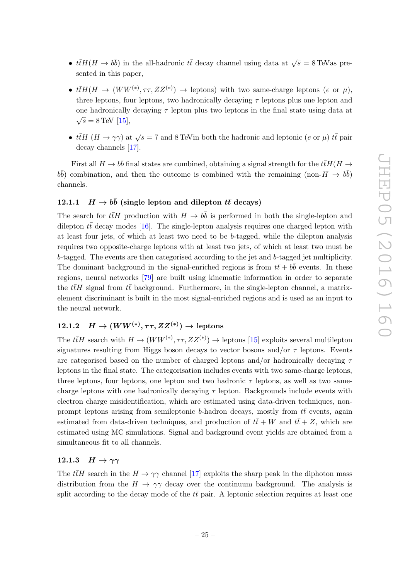- $t\bar{t}H(H \to b\bar{b})$  in the all-hadronic  $t\bar{t}$  decay channel using data at  $\sqrt{s} = 8$  TeVas presented in this paper,
- $t\bar{t}H(H \to (WW^{(*)}, \tau\tau, ZZ^{(*)}) \to \text{leptons})$  with two same-charge leptons (e or  $\mu$ ), three leptons, four leptons, two hadronically decaying  $\tau$  leptons plus one lepton and one hadronically decaying  $\tau$  lepton plus two leptons in the final state using data at  $\sqrt{s} = 8 \,\text{TeV}$  [\[15\]](#page-31-3),
- <span id="page-26-0"></span>•  $t\bar{t}H$  ( $H \to \gamma\gamma$ ) at  $\sqrt{s} = 7$  and 8 TeVin both the hadronic and leptonic (e or  $\mu$ )  $t\bar{t}$  pair decay channels [\[17\]](#page-31-5).

First all  $H \to b\bar{b}$  final states are combined, obtaining a signal strength for the  $t\bar{t}H(H \to c\bar{b})$  $b\bar{b}$ ) combination, and then the outcome is combined with the remaining  $(\text{non-}H \rightarrow b\bar{b})$ channels.

#### 12.1.1  $H\rightarrow b\bar{b}$  (single lepton and dilepton  $t\bar{t}$  decays)

<span id="page-26-2"></span><span id="page-26-1"></span>The search for  $t\bar{t}H$  production with  $H \to b\bar{b}$  is performed in both the single-lepton and dilepton  $t\bar{t}$  decay modes [\[16\]](#page-31-4). The single-lepton analysis requires one charged lepton with at least four jets, of which at least two need to be b-tagged, while the dilepton analysis requires two opposite-charge leptons with at least two jets, of which at least two must be b-tagged. The events are then categorised according to the jet and b-tagged jet multiplicity. The dominant background in the signal-enriched regions is from  $t\bar{t} + b\bar{b}$  events. In these regions, neural networks [\[79\]](#page-34-14) are built using kinematic information in order to separate the  $t\bar{t}H$  signal from  $t\bar{t}$  background. Furthermore, in the single-lepton channel, a matrixelement discriminant is built in the most signal-enriched regions and is used as an input to the neural network.

# $12.1.2 \quad H \rightarrow (WW^{(*)}, \tau\tau, ZZ^{(*)}) \rightarrow 1$ eptons

The  $t\bar{t}H$  search with  $H \to (WW^{(*)}, \tau\tau, ZZ^{(*)}) \to$  leptons [\[15\]](#page-31-3) exploits several multilepton signatures resulting from Higgs boson decays to vector bosons and/or  $\tau$  leptons. Events are categorised based on the number of charged leptons and/or hadronically decaying  $\tau$ leptons in the final state. The categorisation includes events with two same-charge leptons, three leptons, four leptons, one lepton and two hadronic  $\tau$  leptons, as well as two samecharge leptons with one hadronically decaying  $\tau$  lepton. Backgrounds include events with electron charge misidentification, which are estimated using data-driven techniques, nonprompt leptons arising from semileptonic b-hadron decays, mostly from  $t\bar{t}$  events, again estimated from data-driven techniques, and production of  $t\bar{t} + W$  and  $t\bar{t} + Z$ , which are estimated using MC simulations. Signal and background event yields are obtained from a simultaneous fit to all channels.

### <span id="page-26-3"></span>12.1.3  $H \to \gamma \gamma$

The  $t\bar{t}H$  search in the  $H \to \gamma\gamma$  channel [\[17\]](#page-31-5) exploits the sharp peak in the diphoton mass distribution from the  $H \to \gamma\gamma$  decay over the continuum background. The analysis is split according to the decay mode of the  $t\bar{t}$  pair. A leptonic selection requires at least one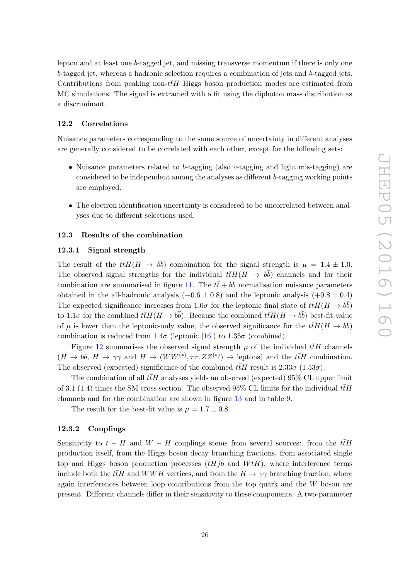lepton and at least one b-tagged jet, and missing transverse momentum if there is only one b-tagged jet, whereas a hadronic selection requires a combination of jets and b-tagged jets. Contributions from peaking non- $t\bar{t}H$  Higgs boson production modes are estimated from MC simulations. The signal is extracted with a fit using the diphoton mass distribution as a discriminant.

#### 12.2 Correlations

Nuisance parameters corresponding to the same source of uncertainty in different analyses are generally considered to be correlated with each other, except for the following sets:

- Nuisance parameters related to b-tagging (also c-tagging and light mis-tagging) are considered to be independent among the analyses as different b-tagging working points are employed.
- <span id="page-27-0"></span>• The electron identification uncertainty is considered to be uncorrelated between analyses due to different selections used.

#### 12.3 Results of the combination

#### 12.3.1 Signal strength

The result of the  $t\bar{t}H(H \to b\bar{b})$  combination for the signal strength is  $\mu = 1.4 \pm 1.0$ . The observed signal strengths for the individual  $t\bar{t}H(H \to b\bar{b})$  channels and for their combination are summarised in figure [11.](#page-27-0) The  $t\bar{t} + b\bar{b}$  normalisation nuisance parameters obtained in the all-hadronic analysis  $(-0.6 \pm 0.8)$  and the leptonic analysis  $(+0.8 \pm 0.4)$ The expected significance increases from 1.0 $\sigma$  for the leptonic final state of  $t\bar{t}H(H \to b\bar{b})$ to 1.1 $\sigma$  for the combined  $t\bar{t}H(H \to b\bar{b})$ . Because the combined  $t\bar{t}H(H \to b\bar{b})$  best-fit value of  $\mu$  is lower than the leptonic-only value, the observed significance for the  $t\bar{t}H(H \to b\bar{b})$ combination is reduced from  $1.4\sigma$  (leptonic [\[16\]](#page-31-4)) to  $1.35\sigma$  (combined).

Figure [12](#page-27-1) summarises the observed signal strength  $\mu$  of the individual  $\bar{t}H$  channels  $(H \to b\bar{b}, H \to \gamma\gamma \text{ and } H \to (WW^{(*)}, \tau\tau, ZZ^{(*)}) \to \text{leptons})$  and the  $t\bar{t}H$  combination. The observed (expected) significance of the combined  $t\bar{t}H$  result is  $2.33\sigma$  (1.53 $\sigma$ ).

<span id="page-27-1"></span>The combination of all  $t\bar{t}H$  analyses yields an observed (expected) 95% CL upper limit of 3.1 (1.4) times the SM cross section. The observed 95% CL limits for the individual  $t\bar{t}H$ channels and for the combination are shown in figure [13](#page-28-1) and in table [9](#page-28-2) .

The result for the best-fit value is  $\mu = 1.7 \pm 0.8$ .

#### 12.3.2 Couplings

Sensitivity to  $t - H$  and  $W - H$  couplings stems from several sources: from the  $t\bar{t}H$ production itself, from the Higgs boson decay branching fractions, from associated single top and Higgs boson production processes  $(tHjb$  and  $WtH$ ), where interference terms include both the  $t\bar{t}H$  and  $WWH$  vertices, and from the  $H \to \gamma\gamma$  branching fraction, where again interferences between loop contributions from the top quark and the W boson are present. Different channels differ in their sensitivity to these components. A two-parameter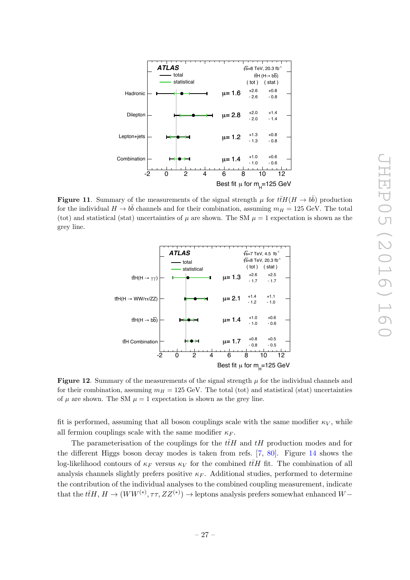

<span id="page-28-1"></span>**Figure 11.** Summary of the measurements of the signal strength  $\mu$  for  $t\bar{t}H(H \to b\bar{b})$  production for the individual  $H \to b\bar{b}$  channels and for their combination, assuming  $m_H = 125 \text{ GeV}$ . The total (tot) and statistical (stat) uncertainties of  $\mu$  are shown. The SM  $\mu = 1$  expectation is shown as the grey line.



<span id="page-28-2"></span>**Figure 12.** Summary of the measurements of the signal strength  $\mu$  for the individual channels and for their combination, assuming  $m_H = 125$  GeV. The total (tot) and statistical (stat) uncertainties of  $\mu$  are shown. The SM  $\mu = 1$  expectation is shown as the grey line.

<span id="page-28-0"></span>fit is performed, assuming that all boson couplings scale with the same modifier  $\kappa_V$ , while all fermion couplings scale with the same modifier  $\kappa_F$ .

The parameterisation of the couplings for the  $t\bar{t}H$  and  $tH$  production modes and for the different Higgs boson decay modes is taken from refs. [[7](#page-30-4), [80\]](#page-34-15). Figure [14](#page-29-0) shows the log-likelihood contours of  $\kappa_F$  versus  $\kappa_V$  for the combined  $\bar{t}H$  fit. The combination of all analysis channels slightly prefers positive  $\kappa_F$ . Additional studies, performed to determine the contribution of the individual analyses to the combined coupling measurement, indicate that the  $t\bar{t}H$ ,  $H \to (WW^{(*)}, \tau\tau, ZZ^{(*)}) \to$  leptons analysis prefers somewhat enhanced  $W-$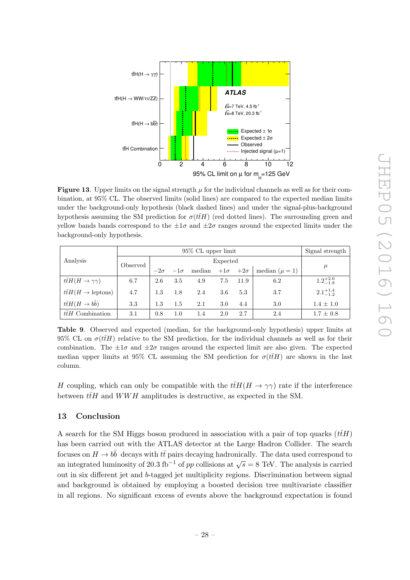

**Figure 13**. Upper limits on the signal strength  $\mu$  for the individual channels as well as for their combination, at 95% CL. The observed limits (solid lines) are compared to the expected median limits under the background-only hypothesis (black dashed lines) and under the signal-plus-background hypothesis assuming the SM prediction for  $\sigma(t\bar{t}H)$  (red dotted lines). The surrounding green and yellow bands bands correspond to the  $\pm 1\sigma$  and  $\pm 2\sigma$  ranges around the expected limits under the background-only hypothesis.

<span id="page-29-0"></span>

|                               |          |            | 95\% CL upper limit | Signal strength |            |            |                    |                     |
|-------------------------------|----------|------------|---------------------|-----------------|------------|------------|--------------------|---------------------|
| Analysis                      | Observed | Expected   |                     |                 |            |            |                    |                     |
|                               |          | $-2\sigma$ | $-1\sigma$          | median          | $+1\sigma$ | $+2\sigma$ | median $(\mu = 1)$ | $\mu$               |
| $t\bar{t}H(H\to\gamma\gamma)$ | 6.7      | 2.6        | 3.5                 | 4.9             | 7.5        | 11.9       | 6.2                | $1.2^{+2.6}_{-1.8}$ |
| $t\bar{t}H(H\to$ leptons)     | 4.7      | 1.3        | 1.8                 | 2.4             | 3.6        | 5.3        | 3.7                | $2.1^{+1.4}_{-1.2}$ |
| $t\bar{t}H(H\to b\bar{b})$    | 3.3      | $1.3\,$    | 1.5                 | 2.1             | 3.0        | 4.4        | 3.0                | $1.4 \pm 1.0$       |
| $t\bar{t}H$ Combination       | 3.1      | 0.8        | 1.0                 | 1.4             | 2.0        | 2.7        | 2.4                | $1.7 \pm 0.8$       |

Table 9. Observed and expected (median, for the background-only hypothesis) upper limits at 95% CL on  $\sigma(t\bar{t}H)$  relative to the SM prediction, for the individual channels as well as for their combination. The  $\pm 1\sigma$  and  $\pm 2\sigma$  ranges around the expected limit are also given. The expected median upper limits at 95% CL assuming the SM prediction for  $\sigma(t\bar{t}H)$  are shown in the last column.

H coupling, which can only be compatible with the  $t\bar{t}H(H \to \gamma\gamma)$  rate if the interference between  $t\bar{t}H$  and  $WWH$  amplitudes is destructive, as expected in the SM.

#### 13 Conclusion

A search for the SM Higgs boson produced in association with a pair of top quarks  $(t\bar{t}H)$ has been carried out with the ATLAS detector at the Large Hadron Collider. The search focuses on  $H \to b\bar{b}$  decays with  $t\bar{t}$  pairs decaying hadronically. The data used correspond to an integrated luminosity of 20.3 fb<sup>-1</sup> of pp collisions at  $\sqrt{s} = 8$  TeV. The analysis is carried out in six different jet and b-tagged jet multiplicity regions. Discrimination between signal and background is obtained by employing a boosted decision tree multivariate classifier in all regions. No significant excess of events above the background expectation is found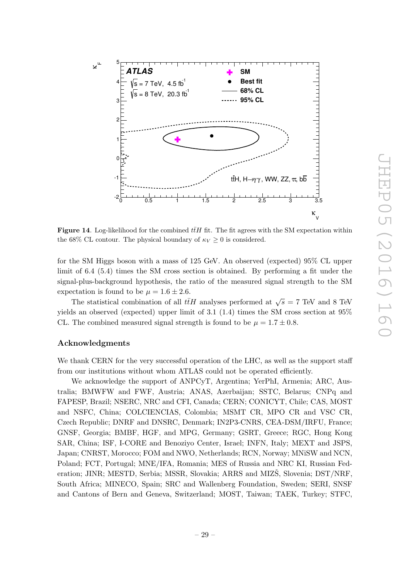

Figure 14. Log-likelihood for the combined  $t\bar{t}H$  fit. The fit agrees with the SM expectation within the 68% CL contour. The physical boundary of  $\kappa_V \ge 0$  is considered.

<span id="page-30-0"></span>for the SM Higgs boson with a mass of 125 GeV. An observed (expected) 95% CL upper limit of 6.4 (5.4) times the SM cross section is obtained. By performing a fit under the signal-plus-background hypothesis, the ratio of the measured signal strength to the SM expectation is found to be  $\mu = 1.6 \pm 2.6$ .

<span id="page-30-1"></span>The statistical combination of all  $t\bar{t}H$  analyses performed at  $\sqrt{s} = 7$  TeV and 8 TeV yields an observed (expected) upper limit of 3.1 (1.4) times the SM cross section at 95% CL. The combined measured signal strength is found to be  $\mu = 1.7 \pm 0.8$ .

#### <span id="page-30-2"></span>Acknowledgments

Fκ

We thank CERN for the very successful operation of the LHC, as well as the support staff from our institutions without whom ATLAS could not be operated efficiently.

<span id="page-30-4"></span><span id="page-30-3"></span>We acknowledge the support of ANPCyT, Argentina; YerPhI, Armenia; ARC, Australia; BMWFW and FWF, Austria; ANAS, Azerbaijan; SSTC, Belarus; CNPq and FAPESP, Brazil; NSERC, NRC and CFI, Canada; CERN; CONICYT, Chile; CAS, MOST and NSFC, China; COLCIENCIAS, Colombia; MSMT CR, MPO CR and VSC CR, Czech Republic; DNRF and DNSRC, Denmark; IN2P3-CNRS, CEA-DSM/IRFU, France; GNSF, Georgia; BMBF, HGF, and MPG, Germany; GSRT, Greece; RGC, Hong Kong SAR, China; ISF, I-CORE and Benoziyo Center, Israel; INFN, Italy; MEXT and JSPS, Japan; CNRST, Morocco; FOM and NWO, Netherlands; RCN, Norway; MNiSW and NCN, Poland; FCT, Portugal; MNE/IFA, Romania; MES of Russia and NRC KI, Russian Federation; JINR; MESTD, Serbia; MSSR, Slovakia; ARRS and MIZŠ, Slovenia; DST/NRF, South Africa; MINECO, Spain; SRC and Wallenberg Foundation, Sweden; SERI, SNSF and Cantons of Bern and Geneva, Switzerland; MOST, Taiwan; TAEK, Turkey; STFC,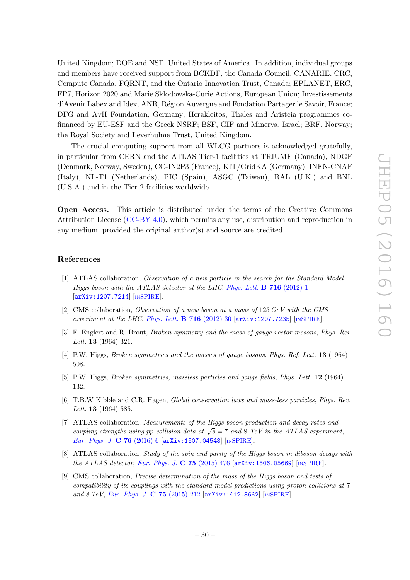United Kingdom; DOE and NSF, United States of America. In addition, individual groups and members have received support from BCKDF, the Canada Council, CANARIE, CRC, Compute Canada, FQRNT, and the Ontario Innovation Trust, Canada; EPLANET, ERC, FP7, Horizon 2020 and Marie Skłodowska-Curie Actions, European Union; Investissements d'Avenir Labex and Idex, ANR, R´egion Auvergne and Fondation Partager le Savoir, France; DFG and AvH Foundation, Germany; Herakleitos, Thales and Aristeia programmes cofinanced by EU-ESF and the Greek NSRF; BSF, GIF and Minerva, Israel; BRF, Norway; the Royal Society and Leverhulme Trust, United Kingdom.

<span id="page-31-2"></span><span id="page-31-1"></span><span id="page-31-0"></span>The crucial computing support from all WLCG partners is acknowledged gratefully, in particular from CERN and the ATLAS Tier-1 facilities at TRIUMF (Canada), NDGF (Denmark, Norway, Sweden), CC-IN2P3 (France), KIT/GridKA (Germany), INFN-CNAF (Italy), NL-T1 (Netherlands), PIC (Spain), ASGC (Taiwan), RAL (U.K.) and BNL (U.S.A.) and in the Tier-2 facilities worldwide.

<span id="page-31-4"></span><span id="page-31-3"></span>Open Access. This article is distributed under the terms of the Creative Commons Attribution License [\(CC-BY 4.0\)](http://creativecommons.org/licenses/by/4.0/), which permits any use, distribution and reproduction in any medium, provided the original author(s) and source are credited.

#### <span id="page-31-5"></span>References

- <span id="page-31-6"></span>[1] ATLAS collaboration, Observation of a new particle in the search for the Standard Model Higgs boson with the ATLAS detector at the LHC, [Phys. Lett.](http://dx.doi.org/10.1016/j.physletb.2012.08.020) **B** 716 (2012) 1 [[arXiv:1207.7214](http://arxiv.org/abs/1207.7214)] [IN[SPIRE](http://inspirehep.net/search?p=find+EPRINT+arXiv:1207.7214)].
- <span id="page-31-7"></span>[2] CMS collaboration, Observation of a new boson at a mass of 125 GeV with the CMS experiment at the LHC, [Phys. Lett.](http://dx.doi.org/10.1016/j.physletb.2012.08.021) **B** 716 (2012) 30  $\left[$ [arXiv:1207.7235](http://arxiv.org/abs/1207.7235) $\right]$  [IN[SPIRE](http://inspirehep.net/search?p=find+EPRINT+arXiv:1207.7235)].
- <span id="page-31-8"></span>[3] F. Englert and R. Brout, Broken symmetry and the mass of gauge vector mesons , Phys. Rev. Lett. **13** (1964) 321.
- [4] P.W. Higgs, Broken symmetries and the masses of gauge bosons , Phys. Ref. Lett. 13 (1964) 508.
- <span id="page-31-9"></span>[5] P.W. Higgs, *Broken symmetries, massless particles and gauge fields, Phys. Lett.* **12** (1964) 132.
- <span id="page-31-10"></span>[6] T.B.W Kibble and C.R. Hagen, *Global conservation laws and mass-less particles, Phys. Rev.* Lett. **13** (1964) 585.
- <span id="page-31-12"></span><span id="page-31-11"></span>[7] ATLAS collaboration, Measurements of the Higgs boson production and decay rates and coupling strengths using pp collision data at  $\sqrt{s} = 7$  and 8 TeV in the ATLAS experiment, *[Eur. Phys. J.](http://dx.doi.org/10.1140/epjc/s10052-015-3769-y)* **C** 76 (2016) 6  $[\text{arXiv:1507.04548}]$  $[\text{arXiv:1507.04548}]$  $[\text{arXiv:1507.04548}]$   $[\text{insPIRE}]$ .
- <span id="page-31-13"></span>[8] ATLAS collaboration, Study of the spin and parity of the Higgs boson in diboson decays with the ATLAS detector, [Eur. Phys. J.](http://dx.doi.org/10.1140/epjc/s10052-015-3685-1) C 75 (2015) 476 [[arXiv:1506.05669](http://arxiv.org/abs/1506.05669)] [IN[SPIRE](http://inspirehep.net/search?p=find+EPRINT+arXiv:1506.05669)].
- <span id="page-31-14"></span>[9] CMS collaboration, Precise determination of the mass of the Higgs boson and tests of compatibility of its couplings with the standard model predictions using proton collisions at 7 and 8 TeV, [Eur. Phys. J.](http://dx.doi.org/10.1140/epjc/s10052-015-3351-7) C 75 (2015) 212 [[arXiv:1412.8662](http://arxiv.org/abs/1412.8662)] [IN[SPIRE](http://inspirehep.net/search?p=find+EPRINT+arXiv:1412.8662)].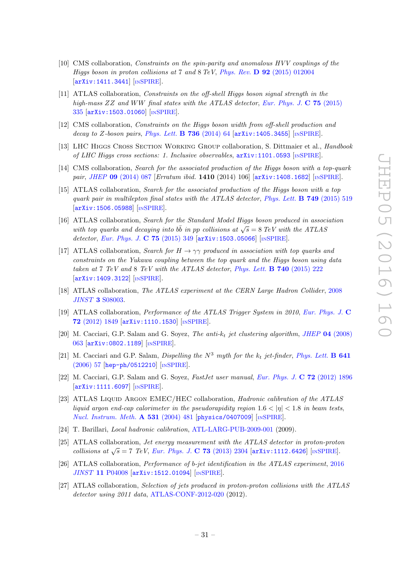- <span id="page-32-0"></span>[10] CMS collaboration, Constraints on the spin-parity and anomalous HVV couplings of the Higgs boson in proton collisions at 7 and 8 TeV, Phys. Rev.  $\bf{D}$  92 [\(2015\) 012004](http://dx.doi.org/10.1103/PhysRevD.92.012004) [[arXiv:1411.3441](http://arxiv.org/abs/1411.3441)] [IN[SPIRE](http://inspirehep.net/search?p=find+EPRINT+arXiv:1411.3441)].
- <span id="page-32-1"></span>[11] ATLAS collaboration, Constraints on the off-shell Higgs boson signal strength in the high-mass ZZ and WW final states with the ATLAS detector, [Eur. Phys. J.](http://dx.doi.org/10.1140/epjc/s10052-015-3542-2)  $\bf{C}$  75 (2015) [335](http://dx.doi.org/10.1140/epjc/s10052-015-3542-2) [[arXiv:1503.01060](http://arxiv.org/abs/1503.01060)] [IN[SPIRE](http://inspirehep.net/search?p=find+EPRINT+arXiv:1503.01060)].
- <span id="page-32-2"></span>[12] CMS collaboration, Constraints on the Higgs boson width from off-shell production and decay to Z-boson pairs, [Phys. Lett.](http://dx.doi.org/10.1016/j.physletb.2014.06.077) **B 736** (2014) 64  $[\text{arXiv:1405.3455}]$  $[\text{arXiv:1405.3455}]$  $[\text{arXiv:1405.3455}]$   $[\text{INSPIRE}]$  $[\text{INSPIRE}]$  $[\text{INSPIRE}]$ .
- <span id="page-32-3"></span>[13] LHC HIGGS CROSS SECTION WORKING GROUP collaboration, S. Dittmaier et al., Handbook of LHC Higgs cross sections: 1. Inclusive observables,  $arXiv:1101.0593$  [IN[SPIRE](http://inspirehep.net/search?p=find+EPRINT+arXiv:1101.0593)].
- [14] CMS collaboration, Search for the associated production of the Higgs boson with a top-quark pair, JHEP 09 [\(2014\) 087](http://dx.doi.org/10.1007/JHEP09(2014)087) [Erratum ibid. 1410 (2014) 106] [[arXiv:1408.1682](http://arxiv.org/abs/1408.1682)] [IN[SPIRE](http://inspirehep.net/search?p=find+EPRINT+arXiv:1408.1682)].
- <span id="page-32-4"></span>[15] ATLAS collaboration, Search for the associated production of the Higgs boson with a top quark pair in multilepton final states with the ATLAS detector, [Phys. Lett.](http://dx.doi.org/10.1016/j.physletb.2015.07.079) **B 749** (2015) 519 [[arXiv:1506.05988](http://arxiv.org/abs/1506.05988)] [IN[SPIRE](http://inspirehep.net/search?p=find+EPRINT+arXiv:1506.05988)].
- <span id="page-32-6"></span><span id="page-32-5"></span>[16] ATLAS collaboration, Search for the Standard Model Higgs boson produced in association with top quarks and decaying into  $b\bar{b}$  in pp collisions at  $\sqrt{s} = 8 \text{ TeV}$  with the ATLAS detector, [Eur. Phys. J.](http://dx.doi.org/10.1140/epjc/s10052-015-3543-1) C 75 (2015) 349  $[\text{arXiv:1503.05066}]$  $[\text{arXiv:1503.05066}]$  $[\text{arXiv:1503.05066}]$   $[\text{INSPIRE}]$  $[\text{INSPIRE}]$  $[\text{INSPIRE}]$ .
- <span id="page-32-8"></span><span id="page-32-7"></span>[17] ATLAS collaboration, Search for  $H \to \gamma\gamma$  produced in association with top quarks and constraints on the Yukawa coupling between the top quark and the Higgs boson using data taken at 7 TeV and 8 TeV with the ATLAS detector, [Phys. Lett.](http://dx.doi.org/10.1016/j.physletb.2014.11.049) **B 740** (2015) 222 [[arXiv:1409.3122](http://arxiv.org/abs/1409.3122)] [IN[SPIRE](http://inspirehep.net/search?p=find+EPRINT+arXiv:1409.3122)].
- <span id="page-32-9"></span>[18] ATLAS collaboration, The ATLAS experiment at the CERN Large Hadron Collider, [2008](http://dx.doi.org/10.1088/1748-0221/3/08/S08003) JINST 3 [S08003](http://dx.doi.org/10.1088/1748-0221/3/08/S08003).
- <span id="page-32-10"></span>[19] ATLAS collaboration, *Performance of the ATLAS Trigger System in 2010*, [Eur. Phys. J.](http://dx.doi.org/10.1140/epjc/s10052-011-1849-1) C 72 [\(2012\) 1849](http://dx.doi.org/10.1140/epjc/s10052-011-1849-1) [[arXiv:1110.1530](http://arxiv.org/abs/1110.1530)] [IN[SPIRE](http://inspirehep.net/search?p=find+EPRINT+arXiv:1110.1530)].
- <span id="page-32-11"></span>[20] M. Cacciari, G.P. Salam and G. Soyez, *The anti-k<sub>t</sub>* jet clustering algorithm, *JHEP* **04** [\(2008\)](http://dx.doi.org/10.1088/1126-6708/2008/04/063) [063](http://dx.doi.org/10.1088/1126-6708/2008/04/063) [[arXiv:0802.1189](http://arxiv.org/abs/0802.1189)] [IN[SPIRE](http://inspirehep.net/search?p=find+EPRINT+arXiv:0802.1189)].
- <span id="page-32-12"></span>[21] M. Cacciari and G.P. Salam, *Dispelling the*  $N^3$  myth for the  $k_t$  jet-finder, *[Phys. Lett.](http://dx.doi.org/10.1016/j.physletb.2006.08.037)* **B 641** [\(2006\) 57](http://dx.doi.org/10.1016/j.physletb.2006.08.037) [[hep-ph/0512210](http://arxiv.org/abs/hep-ph/0512210)] [IN[SPIRE](http://inspirehep.net/search?p=find+EPRINT+hep-ph/0512210)].
- [22] M. Cacciari, G.P. Salam and G. Soyez, *FastJet user manual, [Eur. Phys. J.](http://dx.doi.org/10.1140/epjc/s10052-012-1896-2)* C 72 (2012) 1896  $\begin{bmatrix} \texttt{arXiv:1111.6097} \end{bmatrix}$  $\begin{bmatrix} \texttt{arXiv:1111.6097} \end{bmatrix}$  $\begin{bmatrix} \texttt{arXiv:1111.6097} \end{bmatrix}$  [IN[SPIRE](http://inspirehep.net/search?p=find+EPRINT+arXiv:1111.6097)].
- [23] ATLAS LIQUID ARGON EMEC/HEC collaboration, Hadronic calibration of the ATLAS liquid argon end-cap calorimeter in the pseudorapidity region  $1.6 < |\eta| < 1.8$  in beam tests, [Nucl. Instrum. Meth.](http://dx.doi.org/10.1016/j.nima.2004.05.133) A 531 (2004) 481 [[physics/0407009](http://arxiv.org/abs/physics/0407009)] [IN[SPIRE](http://inspirehep.net/search?p=find+EPRINT+physics/0407009)].
- [24] T. Barillari, Local hadronic calibration , [ATL-LARG-PUB-2009-001](http://cdsweb.cern.ch/record/1112035) (2009).
- [25] ATLAS collaboration, Jet energy measurement with the ATLAS detector in proton-proton collisions at  $\sqrt{s} = 7$  TeV, [Eur. Phys. J.](http://dx.doi.org/10.1140/epjc/s10052-013-2304-2) C 73 (2013) 2304 [[arXiv:1112.6426](http://arxiv.org/abs/1112.6426)] [IN[SPIRE](http://inspirehep.net/search?p=find+EPRINT+arXiv:1112.6426)].
- [26] ATLAS collaboration, Performance of b-jet identification in the ATLAS experiment , [2016](http://dx.doi.org/10.1088/1748-0221/11/04/P04008)  $JINST$  11 [P04008](http://dx.doi.org/10.1088/1748-0221/11/04/P04008) [[arXiv:1512.01094](http://arxiv.org/abs/1512.01094)] [IN[SPIRE](http://inspirehep.net/search?p=find+EPRINT+arXiv:1512.01094)].
- <span id="page-32-13"></span>[27] ATLAS collaboration, Selection of jets produced in proton-proton collisions with the ATLAS detector using 2011 data , [ATLAS-CONF-2012-020](http://cds.cern.ch/record/1430034) (2012).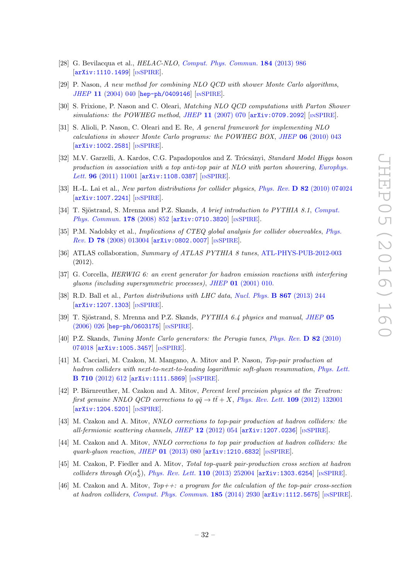- <span id="page-33-0"></span>[28] G. Bevilacqua et al., *HELAC-NLO, [Comput. Phys. Commun.](http://dx.doi.org/10.1016/j.cpc.2012.10.033)* **184** (2013) 986 [[arXiv:1110.1499](http://arxiv.org/abs/1110.1499)] [IN[SPIRE](http://inspirehep.net/search?p=find+EPRINT+arXiv:1110.1499)].
- <span id="page-33-1"></span>[29] P. Nason, A new method for combining NLO QCD with shower Monte Carlo algorithms , JHEP 11 [\(2004\) 040](http://dx.doi.org/10.1088/1126-6708/2004/11/040) [[hep-ph/0409146](http://arxiv.org/abs/hep-ph/0409146)] [IN[SPIRE](http://inspirehep.net/search?p=find+EPRINT+hep-ph/0409146)].
- <span id="page-33-2"></span>[30] S. Frixione, P. Nason and C. Oleari, Matching NLO QCD computations with Parton Shower simulations: the POWHEG method, JHEP 11 [\(2007\) 070](http://dx.doi.org/10.1088/1126-6708/2007/11/070) [[arXiv:0709.2092](http://arxiv.org/abs/0709.2092)] [IN[SPIRE](http://inspirehep.net/search?p=find+EPRINT+arXiv:0709.2092)].
- <span id="page-33-3"></span>[31] S. Alioli, P. Nason, C. Oleari and E. Re, A general framework for implementing NLO calculations in shower Monte Carlo programs: the POWHEG BOX, JHEP  $06$  [\(2010\) 043](http://dx.doi.org/10.1007/JHEP06(2010)043) [[arXiv:1002.2581](http://arxiv.org/abs/1002.2581)] [IN[SPIRE](http://inspirehep.net/search?p=find+EPRINT+arXiv:1002.2581)].
- <span id="page-33-4"></span>[32] M.V. Garzelli, A. Kardos, C.G. Papadopoulos and Z. Trócsányi, Standard Model Higgs boson production in association with a top anti-top pair at NLO with parton showering, [Europhys.](http://dx.doi.org/10.1209/0295-5075/96/11001) Lett. 96  $(2011)$  11001  $[arXiv:1108.0387]$  $[arXiv:1108.0387]$  $[arXiv:1108.0387]$   $[insPIRE]$ .
- <span id="page-33-5"></span>[33] H.-L. Lai et al., New parton distributions for collider physics, Phys. Rev.  $\bf{D}$  82 [\(2010\) 074024](http://dx.doi.org/10.1103/PhysRevD.82.074024) [[arXiv:1007.2241](http://arxiv.org/abs/1007.2241)] [IN[SPIRE](http://inspirehep.net/search?p=find+EPRINT+arXiv:1007.2241)].
- <span id="page-33-6"></span>[34] T. Sjöstrand, S. Mrenna and P.Z. Skands, A brief introduction to PYTHIA 8.1, [Comput.](http://dx.doi.org/10.1016/j.cpc.2008.01.036) [Phys. Commun.](http://dx.doi.org/10.1016/j.cpc.2008.01.036) 178 (2008) 852 [[arXiv:0710.3820](http://arxiv.org/abs/0710.3820)] [IN[SPIRE](http://inspirehep.net/search?p=find+EPRINT+arXiv:0710.3820)].
- <span id="page-33-7"></span>[35] P.M. Nadolsky et al., *Implications of CTEQ global analysis for collider observables*, *[Phys.](http://dx.doi.org/10.1103/PhysRevD.78.013004)*  $Rev.$  **D** 78 [\(2008\) 013004](http://dx.doi.org/10.1103/PhysRevD.78.013004)  $\left[$ [arXiv:0802.0007](http://arxiv.org/abs/0802.0007) $\right]$   $\left[$ IN[SPIRE](http://inspirehep.net/search?p=find+EPRINT+arXiv:0802.0007) $\right]$ .
- [36] ATLAS collaboration, *Summary of ATLAS PYTHIA 8 tunes*, [ATL-PHYS-PUB-2012-003](http://cds.cern.ch/record/1474107) (2012).
- <span id="page-33-8"></span>[37] G. Corcella, HERWIG 6: an event generator for hadron emission reactions with interfering gluons (including supersymmetric processes), JHEP 01 [\(2001\) 010](http://dx.doi.org/10.1088/1126-6708/2001/01/010).
- <span id="page-33-9"></span>[38] R.D. Ball et al., *Parton distributions with LHC data, [Nucl. Phys.](http://dx.doi.org/10.1016/j.nuclphysb.2012.10.003)* **B 867** (2013) 244 [[arXiv:1207.1303](http://arxiv.org/abs/1207.1303)] [IN[SPIRE](http://inspirehep.net/search?p=find+EPRINT+arXiv:1207.1303)].
- <span id="page-33-10"></span>[39] T. Sjöstrand, S. Mrenna and P.Z. Skands,  $PYTHIA$  6.4 physics and manual, [JHEP](http://dx.doi.org/10.1088/1126-6708/2006/05/026) 05 [\(2006\) 026](http://dx.doi.org/10.1088/1126-6708/2006/05/026) [[hep-ph/0603175](http://arxiv.org/abs/hep-ph/0603175)] [IN[SPIRE](http://inspirehep.net/search?p=find+EPRINT+hep-ph/0603175)].
- <span id="page-33-11"></span>[40] P.Z. Skands, Tuning Monte Carlo generators: the Perugia tunes , [Phys. Rev.](http://dx.doi.org/10.1103/PhysRevD.82.074018) D 82 (2010) [074018](http://dx.doi.org/10.1103/PhysRevD.82.074018) [[arXiv:1005.3457](http://arxiv.org/abs/1005.3457)] [IN[SPIRE](http://inspirehep.net/search?p=find+EPRINT+arXiv:1005.3457)].
- <span id="page-33-12"></span>[41] M. Cacciari, M. Czakon, M. Mangano, A. Mitov and P. Nason, Top-pair production at hadron colliders with next-to-next-to-leading logarithmic soft-gluon resummation, [Phys. Lett.](http://dx.doi.org/10.1016/j.physletb.2012.03.013) B 710 [\(2012\) 612](http://dx.doi.org/10.1016/j.physletb.2012.03.013) [[arXiv:1111.5869](http://arxiv.org/abs/1111.5869)] [IN[SPIRE](http://inspirehep.net/search?p=find+EPRINT+arXiv:1111.5869)].
- <span id="page-33-13"></span>[42] P. Bärnreuther, M. Czakon and A. Mitov, *Percent level precision physics at the Tevatron*: first genuine NNLO QCD corrections to  $q\bar{q} \to t\bar{t} + X$ , [Phys. Rev. Lett.](http://dx.doi.org/10.1103/PhysRevLett.109.132001) 109 (2012) 132001 [[arXiv:1204.5201](http://arxiv.org/abs/1204.5201)] [IN[SPIRE](http://inspirehep.net/search?p=find+EPRINT+arXiv:1204.5201)].
- <span id="page-33-14"></span>[43] M. Czakon and A. Mitov, NNLO corrections to top-pair production at hadron colliders: the all-fermionic scattering channels, JHEP 12 [\(2012\) 054](http://dx.doi.org/10.1007/JHEP12(2012)054) [[arXiv:1207.0236](http://arxiv.org/abs/1207.0236)] [IN[SPIRE](http://inspirehep.net/search?p=find+EPRINT+arXiv:1207.0236)].
- <span id="page-33-15"></span>[44] M. Czakon and A. Mitov, NNLO corrections to top pair production at hadron colliders: the quark-gluon reaction , JHEP 01 [\(2013\) 080](http://dx.doi.org/10.1007/JHEP01(2013)080) [[arXiv:1210.6832](http://arxiv.org/abs/1210.6832)] [IN[SPIRE](http://inspirehep.net/search?p=find+EPRINT+arXiv:1210.6832)].
- <span id="page-33-16"></span>[45] M. Czakon, P. Fiedler and A. Mitov, Total top-quark pair-production cross section at hadron colliders through  $O(\alpha_S^4)$ , [Phys. Rev. Lett.](http://dx.doi.org/10.1103/PhysRevLett.110.252004) 110 (2013) 252004 [[arXiv:1303.6254](http://arxiv.org/abs/1303.6254)] [IN[SPIRE](http://inspirehep.net/search?p=find+EPRINT+arXiv:1303.6254)].
- <span id="page-33-17"></span>[46] M. Czakon and A. Mitov,  $Top++: a program for the calculation of the top-pair cross-section$ at hadron colliders , [Comput. Phys. Commun.](http://dx.doi.org/10.1016/j.cpc.2014.06.021) 185 (2014) 2930 [[arXiv:1112.5675](http://arxiv.org/abs/1112.5675)] [IN[SPIRE](http://inspirehep.net/search?p=find+EPRINT+arXiv:1112.5675)].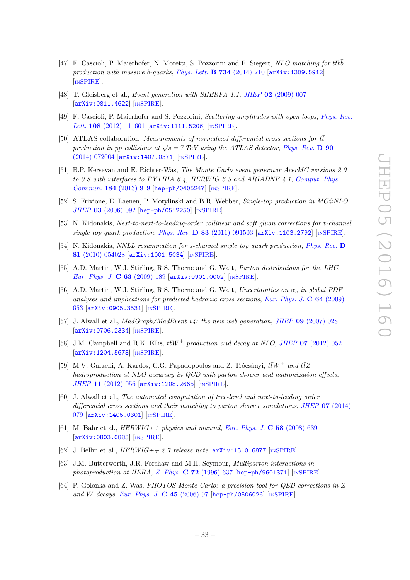- <span id="page-34-0"></span>[47] F. Cascioli, P. Maierhöfer, N. Moretti, S. Pozzorini and F. Siegert, NLO matching for tłbb production with massive b-quarks, [Phys. Lett.](http://dx.doi.org/10.1016/j.physletb.2014.05.040) **B** 734  $(2014)$  210  $[\text{arXiv}:1309.5912]$ [IN[SPIRE](http://inspirehep.net/search?p=find+EPRINT+arXiv:1309.5912)].
- <span id="page-34-2"></span><span id="page-34-1"></span>[48] T. Gleisberg et al., *Event generation with SHERPA 1.1*, *JHEP*  $02$  [\(2009\) 007](http://dx.doi.org/10.1088/1126-6708/2009/02/007) [[arXiv:0811.4622](http://arxiv.org/abs/0811.4622)] [IN[SPIRE](http://inspirehep.net/search?p=find+EPRINT+arXiv:0811.4622)].
- <span id="page-34-3"></span>[49] F. Cascioli, P. Maierhofer and S. Pozzorini, Scattering amplitudes with open loops, [Phys. Rev.](http://dx.doi.org/10.1103/PhysRevLett.108.111601) Lett. 108 [\(2012\) 111601](http://dx.doi.org/10.1103/PhysRevLett.108.111601) [[arXiv:1111.5206](http://arxiv.org/abs/1111.5206)] [IN[SPIRE](http://inspirehep.net/search?p=find+EPRINT+arXiv:1111.5206)].
- <span id="page-34-4"></span>[50] ATLAS collaboration, Measurements of normalized differential cross sections for  $t\bar{t}$ production in pp collisions at  $\sqrt{s} = 7$  TeV using the ATLAS detector, [Phys. Rev.](http://dx.doi.org/10.1103/PhysRevD.90.072004) D 90 [\(2014\) 072004](http://dx.doi.org/10.1103/PhysRevD.90.072004) [[arXiv:1407.0371](http://arxiv.org/abs/1407.0371)] [IN[SPIRE](http://inspirehep.net/search?p=find+EPRINT+arXiv:1407.0371)].
- <span id="page-34-5"></span>[51] B.P. Kersevan and E. Richter-Was, The Monte Carlo event generator AcerMC versions 2.0 to 3.8 with interfaces to PYTHIA 6.4, HERWIG 6.5 and ARIADNE 4.1, [Comput. Phys.](http://dx.doi.org/10.1016/j.cpc.2012.10.032) Commun. 184 [\(2013\) 919](http://dx.doi.org/10.1016/j.cpc.2012.10.032) [[hep-ph/0405247](http://arxiv.org/abs/hep-ph/0405247)] [IN[SPIRE](http://inspirehep.net/search?p=find+EPRINT+hep-ph/0405247)].
- <span id="page-34-7"></span><span id="page-34-6"></span>[52] S. Frixione, E. Laenen, P. Motylinski and B.R. Webber, *Single-top production in MC@NLO*, JHEP 03 [\(2006\) 092](http://dx.doi.org/10.1088/1126-6708/2006/03/092) [[hep-ph/0512250](http://arxiv.org/abs/hep-ph/0512250)] [IN[SPIRE](http://inspirehep.net/search?p=find+EPRINT+hep-ph/0512250)].
- [53] N. Kidonakis, Next-to-next-to-leading-order collinear and soft gluon corrections for t-channel single top quark production, Phys. Rev.  $\bf{D} 83$  [\(2011\) 091503](http://dx.doi.org/10.1103/PhysRevD.83.091503) [[arXiv:1103.2792](http://arxiv.org/abs/1103.2792)] [IN[SPIRE](http://inspirehep.net/search?p=find+EPRINT+arXiv:1103.2792)].
- <span id="page-34-8"></span>[54] N. Kidonakis, *NNLL resummation for s-channel single top quark production, [Phys. Rev.](http://dx.doi.org/10.1103/PhysRevD.81.054028)* D 81 [\(2010\) 054028](http://dx.doi.org/10.1103/PhysRevD.81.054028) [[arXiv:1001.5034](http://arxiv.org/abs/1001.5034)] [IN[SPIRE](http://inspirehep.net/search?p=find+EPRINT+arXiv:1001.5034)].
- <span id="page-34-9"></span>[55] A.D. Martin, W.J. Stirling, R.S. Thorne and G. Watt, Parton distributions for the LHC, *[Eur. Phys. J.](http://dx.doi.org/10.1140/epjc/s10052-009-1072-5)* **C** 63 (2009) 189  $[\text{arXiv:0901.0002}]$  $[\text{arXiv:0901.0002}]$  $[\text{arXiv:0901.0002}]$   $[\text{insPIRE}]$ .
- <span id="page-34-10"></span>[56] A.D. Martin, W.J. Stirling, R.S. Thorne and G. Watt, Uncertainties on  $\alpha_s$  in global PDF analyses and implications for predicted hadronic cross sections, [Eur. Phys. J.](http://dx.doi.org/10.1140/epjc/s10052-009-1164-2)  $\bf{C}$  64 (2009) [653](http://dx.doi.org/10.1140/epjc/s10052-009-1164-2) [[arXiv:0905.3531](http://arxiv.org/abs/0905.3531)] [IN[SPIRE](http://inspirehep.net/search?p=find+EPRINT+arXiv:0905.3531)].
- <span id="page-34-11"></span>[57] J. Alwall et al.,  $MadGraph/MadEvent$   $v4$ : the new web generation, JHEP 09 [\(2007\) 028](http://dx.doi.org/10.1088/1126-6708/2007/09/028) [[arXiv:0706.2334](http://arxiv.org/abs/0706.2334)] [IN[SPIRE](http://inspirehep.net/search?p=find+EPRINT+arXiv:0706.2334)].
- <span id="page-34-13"></span><span id="page-34-12"></span>[58] J.M. Campbell and R.K. Ellis,  $t\bar{t}W^{\pm}$  production and decay at NLO, JHEP 07 [\(2012\) 052](http://dx.doi.org/10.1007/JHEP07(2012)052) [[arXiv:1204.5678](http://arxiv.org/abs/1204.5678)] [IN[SPIRE](http://inspirehep.net/search?p=find+EPRINT+arXiv:1204.5678)].
- <span id="page-34-14"></span>[59] M.V. Garzelli, A. Kardos, C.G. Papadopoulos and Z. Trócsányi,  $t\bar{t}W^{\pm}$  and  $t\bar{t}Z$ hadroproduction at NLO accuracy in QCD with parton shower and hadronization effects, JHEP 11 [\(2012\) 056](http://dx.doi.org/10.1007/JHEP11(2012)056) [[arXiv:1208.2665](http://arxiv.org/abs/1208.2665)] [IN[SPIRE](http://inspirehep.net/search?p=find+EPRINT+arXiv:1208.2665)].
- <span id="page-34-15"></span>[60] J. Alwall et al., The automated computation of tree-level and next-to-leading order differential cross sections and their matching to parton shower simulations, JHEP  $07$  [\(2014\)](http://dx.doi.org/10.1007/JHEP07(2014)079) [079](http://dx.doi.org/10.1007/JHEP07(2014)079) [[arXiv:1405.0301](http://arxiv.org/abs/1405.0301)] [IN[SPIRE](http://inspirehep.net/search?p=find+EPRINT+arXiv:1405.0301)].
- [61] M. Bahr et al.,  $HERWIG++$  physics and manual, [Eur. Phys. J.](http://dx.doi.org/10.1140/epjc/s10052-008-0798-9) C 58 (2008) 639 [[arXiv:0803.0883](http://arxiv.org/abs/0803.0883)] [IN[SPIRE](http://inspirehep.net/search?p=find+EPRINT+arXiv:0803.0883)].
- [62] J. Bellm et al.,  $HERWIG++ 2.7$  release note,  $arXiv:1310.6877$  [IN[SPIRE](http://inspirehep.net/search?p=find+EPRINT+arXiv:1310.6877)].
- [63] J.M. Butterworth, J.R. Forshaw and M.H. Seymour, Multiparton interactions in photoproduction at HERA, Z. Phys.  $C$  72 [\(1996\) 637](http://dx.doi.org/10.1007/BF02909195) [[hep-ph/9601371](http://arxiv.org/abs/hep-ph/9601371)] [IN[SPIRE](http://inspirehep.net/search?p=find+EPRINT+hep-ph/9601371)].
- [64] P. Golonka and Z. Was, PHOTOS Monte Carlo: a precision tool for QED corrections in Z and W decays, [Eur. Phys. J.](http://dx.doi.org/10.1140/epjc/s2005-02396-4) C 45 (2006) 97 [[hep-ph/0506026](http://arxiv.org/abs/hep-ph/0506026)] [IN[SPIRE](http://inspirehep.net/search?p=find+EPRINT+hep-ph/0506026)].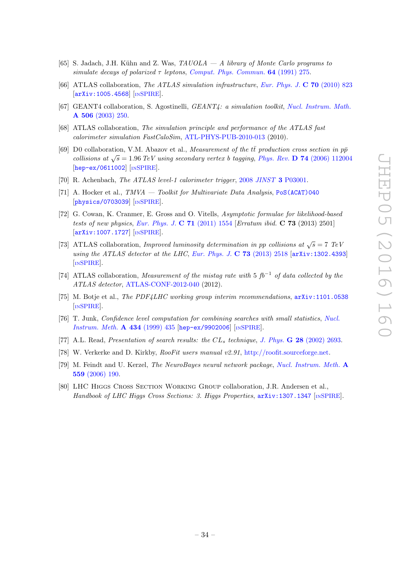- [65] S. Jadach, J.H. Kühn and Z. Was,  $TAUOLA A$  library of Monte Carlo programs to simulate decays of polarized  $\tau$  leptons, [Comput. Phys. Commun.](http://dx.doi.org/10.1016/0010-4655(91)90038-M) **64** (1991) 275.
- <span id="page-35-0"></span>[66] ATLAS collaboration, *The ATLAS simulation infrastructure*, *[Eur. Phys. J.](http://dx.doi.org/10.1140/epjc/s10052-010-1429-9)* **C 70** (2010) 823 [[arXiv:1005.4568](http://arxiv.org/abs/1005.4568)] [IN[SPIRE](http://inspirehep.net/search?p=find+EPRINT+arXiv:1005.4568)].
- [67] GEANT4 collaboration, S. Agostinelli, *GEANT4: a simulation toolkit, [Nucl. Instrum. Math.](http://dx.doi.org/10.1016/S0168-9002(03)01368-8)* A 506 [\(2003\) 250](http://dx.doi.org/10.1016/S0168-9002(03)01368-8).
- [68] ATLAS collaboration, The simulation principle and performance of the ATLAS fast calorimeter simulation FastCaloSim , [ATL-PHYS-PUB-2010-013](http://cds.cern.ch/record/1300517) (2010).
- [69] D0 collaboration, V.M. Abazov et al., Measurement of the  $t\bar{t}$  production cross section in  $p\bar{p}$ collisions at  $\sqrt{s} = 1.96$  TeV using secondary vertex b tagging, Phys. Rev. D 74 [\(2006\) 112004](http://dx.doi.org/10.1103/PhysRevD.74.112004) [[hep-ex/0611002](http://arxiv.org/abs/hep-ex/0611002)] [IN[SPIRE](http://inspirehep.net/search?p=find+EPRINT+hep-ex/0611002)].
- [70] R. Achenbach, *The ATLAS level-1 calorimeter trigger*, 2008 *JINST* **3** [P03001](http://dx.doi.org/10.1088/1748-0221/3/03/P03001).
- [71] A. Hocker et al.,  $TMVA$  Toolkit for Multivariate Data Analysis, [PoS\(ACAT\)040](http://pos.sissa.it/cgi-bin/reader/contribution.cgi?id=PoS(ACAT)040) [[physics/0703039](http://arxiv.org/abs/physics/0703039)] [IN[SPIRE](http://inspirehep.net/search?p=find+EPRINT+physics/0703039)].
- [72] G. Cowan, K. Cranmer, E. Gross and O. Vitells, Asymptotic formulae for likelihood-based tests of new physics, [Eur. Phys. J.](http://dx.doi.org/10.1140/epjc/s10052-011-1554-0)  $C 71 (2011) 1554$  [Erratum ibid.  $C 73 (2013) 2501$ ] [[arXiv:1007.1727](http://arxiv.org/abs/1007.1727)] [IN[SPIRE](http://inspirehep.net/search?p=find+EPRINT+arXiv:1007.1727)].
- [73] ATLAS collaboration, *Improved luminosity determination in pp collisions at*  $\sqrt{s} = 7$  TeV using the ATLAS detector at the LHC, [Eur. Phys. J.](http://dx.doi.org/10.1140/epjc/s10052-013-2518-3)  $C$  73 (2013) 2518 [[arXiv:1302.4393](http://arxiv.org/abs/1302.4393)] [IN[SPIRE](http://inspirehep.net/search?p=find+EPRINT+arXiv:1302.4393)].
- [74] ATLAS collaboration, Measurement of the mistag rate with 5  $fb^{-1}$  of data collected by the ATLAS detector , [ATLAS-CONF-2012-040](http://cds.cern.ch/record/1435194) (2012).
- [75] M. Botje et al., The PDF4LHC working group interim recommendations,  $arXiv:1101.0538$ [IN[SPIRE](http://inspirehep.net/search?p=find+EPRINT+arXiv:1101.0538)].
- [76] T. Junk, Confidence level computation for combining searches with small statistics, [Nucl.](http://dx.doi.org/10.1016/S0168-9002(99)00498-2) [Instrum. Meth.](http://dx.doi.org/10.1016/S0168-9002(99)00498-2) **A 434** (1999) 435 [[hep-ex/9902006](http://arxiv.org/abs/hep-ex/9902006)] [IN[SPIRE](http://inspirehep.net/search?p=find+EPRINT+hep-ex/9902006)].
- [77] A.L. Read, Presentation of search results: the  $CL_s$  technique, J. Phys. **G 28** [\(2002\) 2693](http://dx.doi.org/10.1088/0954-3899/28/10/313).
- [78] W. Verkerke and D. Kirkby, RooFit users manual v2.91 , <http://roofit.sourceforge.net> .
- [79] M. Feindt and U. Kerzel, *The NeuroBayes neural network package*, *[Nucl. Instrum. Meth.](http://dx.doi.org/10.1016/j.nima.2005.11.166)* A 559 [\(2006\) 190](http://dx.doi.org/10.1016/j.nima.2005.11.166) .
- [80] LHC Higgs Cross Section Working Group collaboration, J.R. Andersen et al., Handbook of LHC Higgs Cross Sections: 3. Higgs Properties,  $arXiv:1307.1347$  [IN[SPIRE](http://inspirehep.net/search?p=find+EPRINT+arXiv:1307.1347)].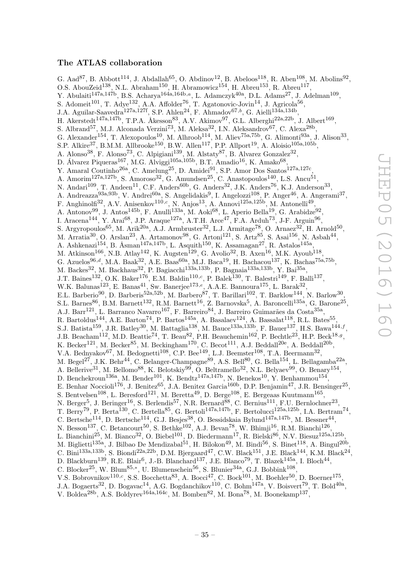#### The ATLAS collaboration

G. Aad<sup>87</sup>, B. Abbott<sup>114</sup>, J. Abdallah<sup>65</sup>, O. Abdinov<sup>12</sup>, B. Abeloos<sup>118</sup>, R. Aben<sup>108</sup>, M. Abolins<sup>92</sup>, O.S. AbouZeid<sup>138</sup>, N.L. Abraham<sup>150</sup>, H. Abramowicz<sup>154</sup>, H. Abreu<sup>153</sup>, R. Abreu<sup>117</sup>, Y. Abulaiti<sup>147a,147b</sup>, B.S. Acharya<sup>164a,164b,a</sup>, L. Adamczyk<sup>40a</sup>, D.L. Adams<sup>27</sup>, J. Adelman<sup>109</sup>, S. Adomeit<sup>101</sup>, T. Adye<sup>132</sup>, A.A. Affolder<sup>76</sup>, T. Agatonovic-Jovin<sup>14</sup>, J. Agricola<sup>56</sup>, J.A. Aguilar-Saavedra<sup>127a,127f</sup>, S.P. Ahlen<sup>24</sup>, F. Ahmadov<sup>67,b</sup>, G. Aielli<sup>134a,134b</sup>, H. Akerstedt<sup>147a,147b</sup>, T.P.A. Åkesson<sup>83</sup>, A.V. Akimov<sup>97</sup>, G.L. Alberghi<sup>22a,22b</sup>, J. Albert<sup>169</sup>, S. Albrand<sup>57</sup>, M.J. Alconada Verzini<sup>73</sup>, M. Aleksa<sup>32</sup>, I.N. Aleksandrov<sup>67</sup>, C. Alexa<sup>28b</sup>, G. Alexander<sup>154</sup>, T. Alexopoulos<sup>10</sup>, M. Alhroob<sup>114</sup>, M. Aliev<sup>75a,75b</sup>, G. Alimonti<sup>93a</sup>, J. Alison<sup>33</sup>, S.P. Alkire<sup>37</sup>, B.M.M. Allbrooke<sup>150</sup>, B.W. Allen<sup>117</sup>, P.P. Allport<sup>19</sup>, A. Aloisio<sup>105a,105b</sup>, A. Alonso<sup>38</sup>, F. Alonso<sup>73</sup>, C. Alpigiani<sup>139</sup>, M. Alstaty<sup>87</sup>, B. Alvarez Gonzalez<sup>32</sup>, D. Álvarez Piqueras<sup>167</sup>, M.G. Alviggi<sup>105a,105b</sup>, B.T. Amadio<sup>16</sup>, K. Amako<sup>68</sup>, Y. Amaral Coutinho<sup>26a</sup>, C. Amelung<sup>25</sup>, D. Amidei<sup>91</sup>, S.P. Amor Dos Santos<sup>127a,127c</sup>, A. Amorim<sup>127a,127b</sup>, S. Amoroso<sup>32</sup>, G. Amundsen<sup>25</sup>, C. Anastopoulos<sup>140</sup>, L.S. Ancu<sup>51</sup>, N. Andari<sup>109</sup>, T. Andeen<sup>11</sup>, C.F. Anders<sup>60b</sup>, G. Anders<sup>32</sup>, J.K. Anders<sup>76</sup>, K.J. Anderson<sup>33</sup>, A. Andreazza<sup>93a,93b</sup>, V. Andrei<sup>60a</sup>, S. Angelidakis<sup>9</sup>, I. Angelozzi<sup>108</sup>, P. Anger<sup>46</sup>, A. Angerami<sup>37</sup>, F. Anghinolfi<sup>32</sup>, A.V. Anisenkov<sup>110,c</sup>, N. Anjos<sup>13</sup>, A. Annovi<sup>125a,125b</sup>, M. Antonelli<sup>49</sup>, A. Antonov $^{99}$ , J. Antos $^{145b}$ , F. Anulli $^{133a}$ , M. Aoki $^{68}$ , L. Aperio Bella $^{19}$ , G. Arabidze $^{92}$ , I. Aracena<sup>144</sup>, Y. Arai<sup>68</sup>, J.P. Araque<sup>127a</sup>, A.T.H. Arce<sup>47</sup>, F.A. Arduh<sup>73</sup>, J-F. Arguin<sup>96</sup>, S. Argyropoulos<sup>65</sup>, M. Arik<sup>20a</sup>, A.J. Armbruster<sup>32</sup>, L.J. Armitage<sup>78</sup>, O. Arnaez<sup>32</sup>, H. Arnold<sup>50</sup>, M. Arratia $^{30}$ , O. Arslan $^{23}$ , A. Artamonov $^{98}$ , G. Artoni $^{121}$ , S. Artz $^{85}$ , S. Asai $^{156}$ , N. Asbah $^{44}$ , A. Ashkenazi<sup>154</sup>, B. Åsman<sup>147a,147b</sup>, L. Asquith<sup>150</sup>, K. Assamagan<sup>27</sup>, R. Astalos<sup>145a</sup>, M. Atkinson<sup>166</sup>, N.B. Atlay<sup>142</sup>, K. Augsten<sup>129</sup>, G. Avolio<sup>32</sup>, B. Axen<sup>16</sup>, M.K. Ayoub<sup>118</sup>, G. Azuelos<sup>96,d</sup>, M.A. Baak<sup>32</sup>, A.E. Baas<sup>60a</sup>, M.J. Baca<sup>19</sup>, H. Bachacou<sup>137</sup>, K. Bachas<sup>75a,75b</sup>, M. Backes<sup>32</sup>, M. Backhaus<sup>32</sup>, P. Bagiacchi<sup>133a,133b</sup>, P. Bagnaia<sup>133a,133b</sup>, Y. Bai<sup>35a</sup>, J.T. Baines<sup>132</sup>, O.K. Baker<sup>176</sup>, E.M. Baldin<sup>110,c</sup>, P. Balek<sup>130</sup>, T. Balestri<sup>149</sup>, F. Balli<sup>137</sup>, W.K. Balunas<sup>123</sup>, E. Banas<sup>41</sup>, Sw. Banerjee<sup>173,e</sup>, A.A.E. Bannoura<sup>175</sup>, L. Barak<sup>32</sup>, E.L. Barberio<sup>90</sup>, D. Barberis<sup>52a,52b</sup>, M. Barbero<sup>87</sup>, T. Barillari<sup>102</sup>, T. Barklow<sup>144</sup>, N. Barlow<sup>30</sup>, S.L. Barnes<sup>86</sup>, B.M. Barnett<sup>132</sup>, R.M. Barnett<sup>16</sup>, Z. Barnovska<sup>5</sup>, A. Baroncelli<sup>135a</sup>, G. Barone<sup>25</sup>, A.J. Barr<sup>121</sup>, L. Barranco Navarro<sup>167</sup>, F. Barreiro<sup>84</sup>, J. Barreiro Guimarães da Costa<sup>35a</sup>, R. Bartoldus<sup>144</sup>, A.E. Barton<sup>74</sup>, P. Bartos<sup>145a</sup>, A. Basalaev<sup>124</sup>, A. Bassalat<sup>118</sup>, R.L. Bates<sup>55</sup>, S.J. Batista<sup>159</sup>, J.R. Batley<sup>30</sup>, M. Battaglia<sup>138</sup>, M. Bauce<sup>133a,133b</sup>, F. Bauer<sup>137</sup>, H.S. Bawa<sup>144,f</sup>, J.B. Beacham<sup>112</sup>, M.D. Beattie<sup>74</sup>, T. Beau<sup>82</sup>, P.H. Beauchemin<sup>162</sup>, P. Bechtle<sup>23</sup>, H.P. Beck<sup>18,g</sup>, K. Becker<sup>121</sup>, M. Becker<sup>85</sup>, M. Beckingham<sup>170</sup>, C. Becot<sup>111</sup>, A.J. Beddall<sup>20e</sup>, A. Beddall<sup>20b</sup>, V.A. Bednyakov<sup>67</sup>, M. Bedognetti<sup>108</sup>, C.P. Bee<sup>149</sup>, L.J. Beemster<sup>108</sup>, T.A. Beermann<sup>32</sup>, M. Begel<sup>27</sup>, J.K. Behr<sup>44</sup>, C. Belanger-Champagne<sup>89</sup>, A.S. Bell<sup>80</sup>, G. Bella<sup>154</sup>, L. Bellagamba<sup>22a</sup>, A. Bellerive<sup>31</sup>, M. Bellomo<sup>88</sup>, K. Belotskiy<sup>99</sup>, O. Beltramello<sup>32</sup>, N.L. Belyaev<sup>99</sup>, O. Benary<sup>154</sup>, D. Benchekroun<sup>136a</sup>, M. Bender<sup>101</sup>, K. Bendtz<sup>147a,147b</sup>, N. Benekos<sup>10</sup>, Y. Benhammou<sup>154</sup>, E. Benhar Noccioli<sup>176</sup>, J. Benitez<sup>65</sup>, J.A. Benitez Garcia<sup>160b</sup>, D.P. Benjamin<sup>47</sup>, J.R. Bensinger<sup>25</sup>, S. Bentvelsen<sup>108</sup>, L. Beresford<sup>121</sup>, M. Beretta<sup>49</sup>, D. Berge<sup>108</sup>, E. Bergeaas Kuutmann<sup>165</sup>, N. Berger<sup>5</sup>, J. Beringer<sup>16</sup>, S. Berlendis<sup>57</sup>, N.R. Bernard<sup>88</sup>, C. Bernius<sup>111</sup>, F.U. Bernlochner<sup>23</sup>, T. Berry<sup>79</sup>, P. Berta<sup>130</sup>, C. Bertella<sup>85</sup>, G. Bertoli<sup>147a,147b</sup>, F. Bertolucci<sup>125a,125b</sup>, I.A. Bertram<sup>74</sup>, C. Bertsche<sup>114</sup>, D. Bertsche<sup>114</sup>, G.J. Besjes<sup>38</sup>, O. Bessidskaia Bylund<sup>147a,147b</sup>, M. Bessner<sup>44</sup>, N. Besson<sup>137</sup>, C. Betancourt<sup>50</sup>, S. Bethke<sup>102</sup>, A.J. Bevan<sup>78</sup>, W. Bhimji<sup>16</sup>, R.M. Bianchi<sup>126</sup>, L. Bianchini<sup>25</sup>, M. Bianco<sup>32</sup>, O. Biebel<sup>101</sup>, D. Biedermann<sup>17</sup>, R. Bielski<sup>86</sup>, N.V. Biesuz<sup>125a,125b</sup>, M. Biglietti<sup>135a</sup>, J. Bilbao De Mendizabal<sup>51</sup>, H. Bilokon<sup>49</sup>, M. Bindi<sup>56</sup>, S. Binet<sup>118</sup>, A. Bingul<sup>20b</sup>, C. Bini<sup>133a,133b</sup>, S. Biondi<sup>22a,22b</sup>, D.M. Bjergaard<sup>47</sup>, C.W. Black<sup>151</sup>, J.E. Black<sup>144</sup>, K.M. Black<sup>24</sup>, D. Blackburn<sup>139</sup>, R.E. Blair<sup>6</sup>, J.-B. Blanchard<sup>137</sup>, J.E. Blanco<sup>79</sup>, T. Blazek<sup>145a</sup>, I. Bloch<sup>44</sup>, C. Blocker<sup>25</sup>, W. Blum<sup>85,\*</sup>, U. Blumenschein<sup>56</sup>, S. Blunier<sup>34a</sup>, G.J. Bobbink<sup>108</sup>, V.S. Bobrovnikov<sup>110,c</sup>, S.S. Bocchetta<sup>83</sup>, A. Bocci<sup>47</sup>, C. Bock<sup>101</sup>, M. Boehler<sup>50</sup>, D. Boerner<sup>175</sup>, J.A. Bogaerts<sup>32</sup>, D. Bogavac<sup>14</sup>, A.G. Bogdanchikov<sup>110</sup>, C. Bohm<sup>147a</sup>, V. Boisvert<sup>79</sup>, T. Bold<sup>40a</sup>, V. Boldea<sup>28b</sup>, A.S. Boldyrev<sup>164a,164c</sup>, M. Bomben<sup>82</sup>, M. Bona<sup>78</sup>, M. Boonekamp<sup>137</sup>,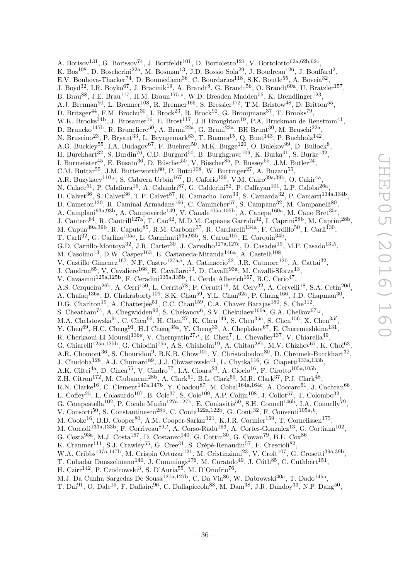A. Borisov<sup>131</sup>, G. Borissov<sup>74</sup>, J. Bortfeldt<sup>101</sup>, D. Bortoletto<sup>121</sup>, V. Bortolotto<sup>62a,62b,62c</sup>, K. Bos<sup>108</sup>, D. Boscherini<sup>22a</sup>, M. Bosman<sup>13</sup>, J.D. Bossio Sola<sup>29</sup>, J. Boudreau<sup>126</sup>, J. Bouffard<sup>2</sup>, E.V. Bouhova-Thacker<sup>74</sup>, D. Boumediene<sup>36</sup>, C. Bourdarios<sup>118</sup>, S.K. Boutle<sup>55</sup>, A. Boveia<sup>32</sup>, J. Boyd<sup>32</sup>, I.R. Boyko<sup>67</sup>, J. Bracinik<sup>19</sup>, A. Brandt<sup>8</sup>, G. Brandt<sup>56</sup>, O. Brandt<sup>60a</sup>, U. Bratzler<sup>157</sup>, B. Brau<sup>88</sup>, J.E. Brau<sup>117</sup>, H.M. Braun<sup>175,\*</sup>, W.D. Breaden Madden<sup>55</sup>, K. Brendlinger<sup>123</sup>, A.J. Brennan<sup>90</sup>, L. Brenner<sup>108</sup>, R. Brenner<sup>165</sup>, S. Bressler<sup>172</sup>, T.M. Bristow<sup>48</sup>, D. Britton<sup>55</sup>, D. Britzger $^{44}$ , F.M. Brochu $^{30}$ , I. Brock $^{23}$ , R. Brock $^{92}$ , G. Brooijmans $^{37}$ , T. Brooks $^{79}$ , W.K. Brooks<sup>34b</sup>, J. Brosamer<sup>16</sup>, E. Brost<sup>117</sup>, J.H Broughton<sup>19</sup>, P.A. Bruckman de Renstrom<sup>41</sup>, D. Bruncko $^{145b}$ , R. Bruneliere $^{50}$ , A. Bruni $^{22a}$ , G. Bruni $^{22a}$ , BH Brunt $^{30}$ , M. Bruschi $^{22a}$ , N. Bruscino<sup>23</sup>, P. Bryant<sup>33</sup>, L. Bryngemark<sup>83</sup>, T. Buanes<sup>15</sup>, Q. Buat<sup>143</sup>, P. Buchholz<sup>142</sup>, A.G. Buckley<sup>55</sup>, I.A. Budagov<sup>67</sup>, F. Buehrer<sup>50</sup>, M.K. Bugge<sup>120</sup>, O. Bulekov<sup>99</sup>, D. Bullock<sup>8</sup>, H. Burckhart<sup>32</sup>, S. Burdin<sup>76</sup>, C.D. Burgard<sup>50</sup>, B. Burghgrave<sup>109</sup>, K. Burka<sup>41</sup>, S. Burke<sup>132</sup>, I. Burmeister $^{45}$ , E. Busato $^{36}$ , D. Büscher $^{50}$ , V. Büscher $^{85}$ , P. Bussey $^{55}$ , J.M. Butler $^{24}$ , C.M. Buttar<sup>55</sup>, J.M. Butterworth<sup>80</sup>, P. Butti<sup>108</sup>, W. Buttinger<sup>27</sup>, A. Buzatu<sup>55</sup>, A.R. Buzykaev $^{110,c}$ , S. Cabrera Urbán $^{167}$ , D. Caforio $^{129}$ , V.M. Cairo $^{39a,39b}$ , O. Cakir $^{4a}$ , N. Calace<sup>51</sup>, P. Calafiura<sup>16</sup>, A. Calandri<sup>87</sup>, G. Calderini<sup>82</sup>, P. Calfayan<sup>101</sup>, L.P. Caloba<sup>26a</sup>, D. Calvet<sup>36</sup>, S. Calvet<sup>36</sup>, T.P. Calvet<sup>87</sup>, R. Camacho Toro<sup>33</sup>, S. Camarda<sup>32</sup>, P. Camarri<sup>134a,134b</sup>, D. Cameron<sup>120</sup>, R. Caminal Armadans<sup>166</sup>, C. Camincher<sup>57</sup>, S. Campana<sup>32</sup>, M. Campanelli<sup>80</sup>, A. Camplani<sup>93a,93b</sup>, A. Campoverde<sup>149</sup>, V. Canale<sup>105a,105b</sup>, A. Canepa<sup>160a</sup>, M. Cano Bret<sup>35e</sup>, J. Cantero<sup>84</sup>, R. Cantrill<sup>127a</sup>, T. Cao<sup>42</sup>, M.D.M. Capeans Garrido<sup>32</sup>, I. Caprini<sup>28b</sup>, M. Caprini<sup>28b</sup>, M. Capua<sup>39a,39b</sup>, R. Caputo<sup>85</sup>, R.M. Carbone<sup>37</sup>, R. Cardarelli<sup>134a</sup>, F. Cardillo<sup>50</sup>, I. Carli<sup>130</sup>, T. Carli<sup>32</sup>, G. Carlino<sup>105a</sup>, L. Carminati<sup>93a,93b</sup>, S. Caron<sup>107</sup>, E. Carquin<sup>34b</sup>, G.D. Carrillo-Montoya<sup>32</sup>, J.R. Carter<sup>30</sup>, J. Carvalho<sup>127a,127c</sup>, D. Casadei<sup>19</sup>, M.P. Casado<sup>13,h</sup>, M. Casolino<sup>13</sup>, D.W. Casper<sup>163</sup>, E. Castaneda-Miranda<sup>146a</sup>, A. Castelli<sup>108</sup>, V. Castillo Gimenez<sup>167</sup>, N.F. Castro<sup>127a,i</sup>, A. Catinaccio<sup>32</sup>, J.R. Catmore<sup>120</sup>, A. Cattai<sup>32</sup>, J. Caudron<sup>85</sup>, V. Cavaliere<sup>166</sup>, E. Cavallaro<sup>13</sup>, D. Cavalli<sup>93a</sup>, M. Cavalli-Sforza<sup>13</sup>, V. Cavasinni<sup>125a,125b</sup>, F. Ceradini<sup>135a,135b</sup>, L. Cerda Alberich<sup>167</sup>, B.C. Cerio<sup>47</sup>, A.S. Cerqueira<sup>26b</sup>, A. Cerri<sup>150</sup>, L. Cerrito<sup>78</sup>, F. Cerutti<sup>16</sup>, M. Cerv<sup>32</sup>, A. Cervelli<sup>18</sup>, S.A. Cetin<sup>20d</sup>, A. Chafaq<sup>136a</sup>, D. Chakraborty<sup>109</sup>, S.K. Chan<sup>59</sup>, Y.L. Chan<sup>62a</sup>, P. Chang<sup>166</sup>, J.D. Chapman<sup>30</sup>, D.G. Charlton<sup>19</sup>, A. Chatterjee<sup>51</sup>, C.C. Chau<sup>159</sup>, C.A. Chavez Barajas<sup>150</sup>, S. Che<sup>112</sup>, S. Cheatham<sup>74</sup>, A. Chegwidden<sup>92</sup>, S. Chekanov<sup>6</sup>, S.V. Chekulaev<sup>160a</sup>, G.A. Chelkov<sup>67,j</sup>, M.A. Chelstowska<sup>91</sup>, C. Chen<sup>66</sup>, H. Chen<sup>27</sup>, K. Chen<sup>149</sup>, S. Chen<sup>35c</sup>, S. Chen<sup>156</sup>, X. Chen<sup>35f</sup>, Y. Chen<sup>69</sup>, H.C. Cheng<sup>91</sup>, H.J Cheng<sup>35a</sup>, Y. Cheng<sup>33</sup>, A. Cheplakov<sup>67</sup>, E. Cheremushkina<sup>131</sup>, R. Cherkaoui El Moursli<sup>136e</sup>, V. Chernyatin<sup>27,\*</sup>, E. Cheu<sup>7</sup>, L. Chevalier<sup>137</sup>, V. Chiarella<sup>49</sup>, G. Chiarelli<sup>125a,125b</sup>, G. Chiodini<sup>75a</sup>, A.S. Chisholm<sup>19</sup>, A. Chitan<sup>28b</sup>, M.V. Chizhov<sup>67</sup>, K. Choi<sup>63</sup>, A.R. Chomont<sup>36</sup>, S. Chouridou<sup>9</sup>, B.K.B. Chow<sup>101</sup>, V. Christodoulou<sup>80</sup>, D. Chromek-Burckhart<sup>32</sup>, J. Chudoba<sup>128</sup>, A.J. Chuinard<sup>89</sup>, J.J. Chwastowski<sup>41</sup>, L. Chytka<sup>116</sup>, G. Ciapetti<sup>133a,133b</sup>, A.K. Ciftci<sup>4a</sup>, D. Cinca<sup>55</sup>, V. Cindro<sup>77</sup>, I.A. Cioara<sup>23</sup>, A. Ciocio<sup>16</sup>, F. Cirotto<sup>105a,105b</sup>, Z.H. Citron<sup>172</sup>, M. Ciubancan<sup>28b</sup>, A. Clark<sup>51</sup>, B.L. Clark<sup>59</sup>, M.R. Clark<sup>37</sup>, P.J. Clark<sup>48</sup>, R.N. Clarke<sup>16</sup>, C. Clement<sup>147a,147b</sup>, Y. Coadou<sup>87</sup>, M. Cobal<sup>164a,164c</sup>, A. Coccaro<sup>51</sup>, J. Cochran<sup>66</sup>, L. Coffey<sup>25</sup>, L. Colasurdo<sup>107</sup>, B. Cole<sup>37</sup>, S. Cole<sup>109</sup>, A.P. Colijn<sup>108</sup>, J. Collot<sup>57</sup>, T. Colombo<sup>32</sup>, G. Compostella<sup>102</sup>, P. Conde Muiño<sup>127a,127b</sup>, E. Coniavitis<sup>50</sup>, S.H. Connell<sup>146b</sup>, I.A. Connelly<sup>79</sup>, V. Consorti<sup>50</sup>, S. Constantinescu<sup>28b</sup>, C. Conta<sup>122a,122b</sup>, G. Conti<sup>32</sup>, F. Conventi<sup>105a,k</sup>, M. Cooke<sup>16</sup>, B.D. Cooper<sup>80</sup>, A.M. Cooper-Sarkar<sup>121</sup>, K.J.R. Cormier<sup>159</sup>, T. Cornelissen<sup>175</sup>, M. Corradi<sup>133a,133b</sup>, F. Corriveau<sup>89,*l*</sup>, A. Corso-Radu<sup>163</sup>, A. Cortes-Gonzalez<sup>13</sup>, G. Cortiana<sup>102</sup>, G. Costa<sup>93a</sup>, M.J. Costa<sup>167</sup>, D. Costanzo<sup>140</sup>, G. Cottin<sup>30</sup>, G. Cowan<sup>79</sup>, B.E. Cox<sup>86</sup>, K. Cranmer<sup>111</sup>, S.J. Crawley<sup>55</sup>, G. Cree<sup>31</sup>, S. Crépé-Renaudin<sup>57</sup>, F. Crescioli<sup>82</sup>, W.A. Cribbs<sup>147a,147b</sup>, M. Crispin Ortuzar<sup>121</sup>, M. Cristinziani<sup>23</sup>, V. Croft<sup>107</sup>, G. Crosetti<sup>39a,39b</sup>, T. Cuhadar Donszelmann<sup>140</sup>, J. Cummings<sup>176</sup>, M. Curatolo<sup>49</sup>, J. Cúth<sup>85</sup>, C. Cuthbert<sup>151</sup>,

- H. Czirr $^{142}$ , P. Czodrowski<sup>3</sup>, S. D'Auria<sup>55</sup>, M. D'Onofrio<sup>76</sup>,
- M.J. Da Cunha Sargedas De Sousa<sup>127a,127b</sup>, C. Da Via<sup>86</sup>, W. Dabrowski<sup>40a</sup>, T. Dado<sup>145a</sup>,
- T. Dai<sup>91</sup>, O. Dale<sup>15</sup>, F. Dallaire<sup>96</sup>, C. Dallapiccola<sup>88</sup>, M. Dam<sup>38</sup>, J.R. Dandoy<sup>33</sup>, N.P. Dang<sup>50</sup>,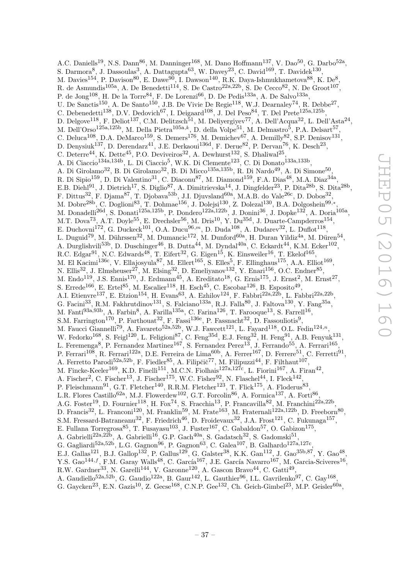A.C. Daniells<sup>19</sup>, N.S. Dann<sup>86</sup>, M. Danninger<sup>168</sup>, M. Dano Hoffmann<sup>137</sup>, V. Dao<sup>50</sup>, G. Darbo<sup>52a</sup>, S. Darmora<sup>8</sup>, J. Dassoulas<sup>3</sup>, A. Dattagupta<sup>63</sup>, W. Davey<sup>23</sup>, C. David<sup>169</sup>, T. Davidek<sup>130</sup>, M. Davies<sup>154</sup>, P. Davison<sup>80</sup>, E. Dawe<sup>90</sup>, I. Dawson<sup>140</sup>, R.K. Daya-Ishmukhametova<sup>88</sup>, K. De<sup>8</sup>, R. de Asmundis<sup>105a</sup>, A. De Benedetti<sup>114</sup>, S. De Castro<sup>22a, 22b</sup>, S. De Cecco<sup>82</sup>, N. De Groot<sup>107</sup>, P. de Jong<sup>108</sup>, H. De la Torre<sup>84</sup>, F. De Lorenzi<sup>66</sup>, D. De Pedis<sup>133a</sup>, A. De Salvo<sup>133a</sup>, U. De Sanctis<sup>150</sup>, A. De Santo<sup>150</sup>, J.B. De Vivie De Regie<sup>118</sup>, W.J. Dearnaley<sup>74</sup>, R. Debbe<sup>27</sup>, C. Debenedetti<sup>138</sup>, D.V. Dedovich<sup>67</sup>, I. Deigaard<sup>108</sup>, J. Del Peso<sup>84</sup>, T. Del Prete<sup>125a,125b</sup>, D. Delgove<sup>118</sup>, F. Deliot<sup>137</sup>, C.M. Delitzsch<sup>51</sup>, M. Deliyergiyev<sup>77</sup>, A. Dell'Acqua<sup>32</sup>, L. Dell'Asta<sup>24</sup>, M. Dell'Orso $^{125$ a, $^{125}$ b, M. Della Pietra $^{105$ a, $k}$ , D. della Volpe $^{51}$ , M. Delmastro $^5$ , P.A. Delsart $^{57},$ C. Deluca<sup>108</sup>, D.A. DeMarco<sup>159</sup>, S. Demers<sup>176</sup>, M. Demichev<sup>67</sup>, A. Demilly<sup>82</sup>, S.P. Denisov<sup>131</sup>, D. Denysiuk<sup>137</sup>, D. Derendarz<sup>41</sup>, J.E. Derkaoui<sup>136d</sup>, F. Derue<sup>82</sup>, P. Dervan<sup>76</sup>, K. Desch<sup>23</sup>, C. Deterre<sup>44</sup>, K. Dette<sup>45</sup>, P.O. Deviveiros<sup>32</sup>, A. Dewhurst<sup>132</sup>, S. Dhaliwal<sup>25</sup>, A. Di Ciaccio<sup>134a,134b</sup>, L. Di Ciaccio<sup>5</sup>, W.K. Di Clemente<sup>123</sup>, C. Di Donato<sup>133a,133b</sup>, A. Di Girolamo $^{32}$ , B. Di Girolamo $^{32}$ , B. Di Micco $^{135$ a,135b, R. Di Nardo $^{49}$ , A. Di Simone $^{50}$ , R. Di Sipio $^{159}$ , D. Di Valentino $^{31}$ , C. Diaconu $^{87}$ , M. Diamond $^{159}$ , F.A. Dias $^{48}$ , M.A. Diaz $^{34a}$ , E.B. Diehl $^{91}$ , J. Dietrich<sup>17</sup>, S. Diglio<sup>87</sup>, A. Dimitrievska<sup>14</sup>, J. Dingfelder<sup>23</sup>, P. Dita<sup>28b</sup>, S. Dita<sup>28b</sup>, F. Dittus<sup>32</sup>, F. Djama<sup>87</sup>, T. Djobava<sup>53b</sup>, J.I. Djuvsland<sup>60a</sup>, M.A.B. do Vale<sup>26c</sup>, D. Dobos<sup>32</sup>, M. Dobre<sup>28b</sup>, C. Doglioni<sup>83</sup>, T. Dohmae<sup>156</sup>, J. Dolejsi<sup>130</sup>, Z. Dolezal<sup>130</sup>, B.A. Dolgoshein<sup>99,\*</sup>, M. Donadelli<sup>26d</sup>, S. Donati<sup>125a,125b</sup>, P. Dondero<sup>122a,122b</sup>, J. Donini<sup>36</sup>, J. Dopke<sup>132</sup>, A. Doria<sup>105a</sup>, M.T. Dova<sup>73</sup>, A.T. Doyle<sup>55</sup>, E. Drechsler<sup>56</sup>, M. Dris<sup>10</sup>, Y. Du<sup>35d</sup>, J. Duarte-Campderros<sup>154</sup>, E. Duchovni<sup>172</sup>, G. Duckeck<sup>101</sup>, O.A. Ducu<sup>96,*m*</sup>, D. Duda<sup>108</sup>, A. Dudarev<sup>32</sup>, L. Duflot<sup>118</sup>, L. Duguid<sup>79</sup>, M. Dührssen<sup>32</sup>, M. Dumancic<sup>172</sup>, M. Dunford<sup>60a</sup>, H. Duran Yildiz<sup>4a</sup>, M. Düren<sup>54</sup>, A. Durglishvili<sup>53b</sup>, D. Duschinger<sup>46</sup>, B. Dutta<sup>44</sup>, M. Dyndal<sup>40a</sup>, C. Eckardt<sup>44</sup>, K.M. Ecker<sup>102</sup>, R.C. Edgar<sup>91</sup>, N.C. Edwards<sup>48</sup>, T. Eifert<sup>32</sup>, G. Eigen<sup>15</sup>, K. Einsweiler<sup>16</sup>, T. Ekelof<sup>165</sup>, M. El Kacimi<sup>136c</sup>, V. Ellajosyula<sup>87</sup>, M. Ellert<sup>165</sup>, S. Elles<sup>5</sup>, F. Ellinghaus<sup>175</sup>, A.A. Elliot<sup>169</sup>, N. Ellis<sup>32</sup>, J. Elmsheuser<sup>27</sup>, M. Elsing<sup>32</sup>, D. Emeliyanov<sup>132</sup>, Y. Enari<sup>156</sup>, O.C. Endner<sup>85</sup>, M. Endo<sup>119</sup>, J.S. Ennis<sup>170</sup>, J. Erdmann<sup>45</sup>, A. Ereditato<sup>18</sup>, G. Ernis<sup>175</sup>, J. Ernst<sup>2</sup>, M. Ernst<sup>27</sup>, S. Errede<sup>166</sup>, E. Ertel<sup>85</sup>, M. Escalier<sup>118</sup>, H. Esch<sup>45</sup>, C. Escobar<sup>126</sup>, B. Esposito<sup>49</sup>, A.I. Etienvre<sup>137</sup>, E. Etzion<sup>154</sup>, H. Evans<sup>63</sup>, A. Ezhilov<sup>124</sup>, F. Fabbri<sup>22a,22b</sup>, L. Fabbri<sup>22a,22b</sup>, G. Facini<sup>33</sup>, R.M. Fakhrutdinov<sup>131</sup>, S. Falciano<sup>133a</sup>, R.J. Falla<sup>80</sup>, J. Faltova<sup>130</sup>, Y. Fang<sup>35a</sup>, M. Fanti $^{93a,93b}$ , A. Farbin<sup>8</sup>, A. Farilla<sup>135a</sup>, C. Farina<sup>126</sup>, T. Farooque<sup>13</sup>, S. Farrell<sup>16</sup>, S.M. Farrington<sup>170</sup>, P. Farthouat<sup>32</sup>, F. Fassi<sup>136e</sup>, P. Fassnacht<sup>32</sup>, D. Fassouliotis<sup>9</sup>, M. Faucci Giannelli<sup>79</sup>, A. Favareto<sup>52a,52b</sup>, W.J. Fawcett<sup>121</sup>, L. Fayard<sup>118</sup>, O.L. Fedin<sup>124,n</sup>, W. Fedorko<sup>168</sup>, S. Feigl<sup>120</sup>, L. Feligioni<sup>87</sup>, C. Feng<sup>35d</sup>, E.J. Feng<sup>32</sup>, H. Feng<sup>91</sup>, A.B. Fenyuk<sup>131</sup>, L. Feremenga<sup>8</sup>, P. Fernandez Martinez<sup>167</sup>, S. Fernandez Perez<sup>13</sup>, J. Ferrando<sup>55</sup>, A. Ferrari<sup>165</sup>, P. Ferrari<sup>108</sup>, R. Ferrari<sup>122a</sup>, D.E. Ferreira de Lima<sup>60b</sup>, A. Ferrer<sup>167</sup>, D. Ferrere<sup>51</sup>, C. Ferretti<sup>91</sup>, A. Ferretto Parodi<sup>52a,52b</sup>, F. Fiedler<sup>85</sup>, A. Filipčič<sup>77</sup>, M. Filipuzzi<sup>44</sup>, F. Filthaut<sup>107</sup>, M. Fincke-Keeler<sup>169</sup>, K.D. Finelli<sup>151</sup>, M.C.N. Fiolhais<sup>127a,127c</sup>, L. Fiorini<sup>167</sup>, A. Firan<sup>42</sup>, A. Fischer<sup>2</sup>, C. Fischer<sup>13</sup>, J. Fischer<sup>175</sup>, W.C. Fisher<sup>92</sup>, N. Flaschel<sup>44</sup>, I. Fleck<sup>142</sup>, P. Fleischmann $^{91}$ , G.T. Fletcher<sup>140</sup>, R.R.M. Fletcher<sup>123</sup>, T. Flick<sup>175</sup>, A. Floderus<sup>83</sup>, L.R. Flores Castillo<sup>62a</sup>, M.J. Flowerdew<sup>102</sup>, G.T. Forcolin<sup>86</sup>, A. Formica<sup>137</sup>, A. Forti<sup>86</sup>, A.G. Foster<sup>19</sup>, D. Fournier<sup>118</sup>, H. Fox<sup>74</sup>, S. Fracchia<sup>13</sup>, P. Francavilla<sup>82</sup>, M. Franchini<sup>22a,22b</sup>, D. Francis<sup>32</sup>, L. Franconi<sup>120</sup>, M. Franklin<sup>59</sup>, M. Frate<sup>163</sup>, M. Fraternali<sup>122a,122b</sup>, D. Freeborn<sup>80</sup>, S.M. Fressard-Batraneanu<sup>32</sup>, F. Friedrich<sup>46</sup>, D. Froidevaux<sup>32</sup>, J.A. Frost<sup>121</sup>, C. Fukunaga<sup>157</sup>, E. Fullana Torregrosa<sup>85</sup>, T. Fusayasu<sup>103</sup>, J. Fuster<sup>167</sup>, C. Gabaldon<sup>57</sup>, O. Gabizon<sup>175</sup>, A. Gabrielli<sup>22a,22b</sup>, A. Gabrielli<sup>16</sup>, G.P. Gach<sup>40a</sup>, S. Gadatsch<sup>32</sup>, S. Gadomski<sup>51</sup>, G. Gagliardi<sup>52a,52b</sup>, L.G. Gagnon<sup>96</sup>, P. Gagnon<sup>63</sup>, C. Galea<sup>107</sup>, B. Galhardo<sup>127a,127c</sup>, E.J. Gallas<sup>121</sup>, B.J. Gallop<sup>132</sup>, P. Gallus<sup>129</sup>, G. Galster<sup>38</sup>, K.K. Gan<sup>112</sup>, J. Gao<sup>35b,87</sup>, Y. Gao<sup>48</sup>, Y.S. Gao $^{144,f}$ , F.M. Garay Walls<sup>48</sup>, C. García<sup>167</sup>, J.E. García Navarro<sup>167</sup>, M. Garcia-Sciveres<sup>16</sup>, R.W. Gardner<sup>33</sup>, N. Garelli<sup>144</sup>, V. Garonne<sup>120</sup>, A. Gascon Bravo<sup>44</sup>, C. Gatti<sup>49</sup>, A. Gaudiello<sup>52a,52b</sup>, G. Gaudio<sup>122a</sup>, B. Gaur<sup>142</sup>, L. Gauthier<sup>96</sup>, I.L. Gavrilenko<sup>97</sup>, C. Gay<sup>168</sup>,

G. Gaycken<sup>23</sup>, E.N. Gazis<sup>10</sup>, Z. Gecse<sup>168</sup>, C.N.P. Gee<sup>132</sup>, Ch. Geich-Gimbel<sup>23</sup>, M.P. Geisler<sup>60a</sup>,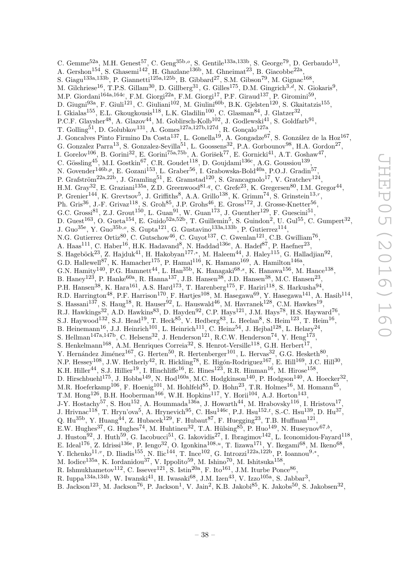C. Gemme<sup>52a</sup>, M.H. Genest<sup>57</sup>, C. Geng<sup>35b,o</sup>, S. Gentile<sup>133a,133b</sup>, S. George<sup>79</sup>, D. Gerbaudo<sup>13</sup>, A. Gershon<sup>154</sup>, S. Ghasemi<sup>142</sup>, H. Ghazlane<sup>136b</sup>, M. Ghneimat<sup>23</sup>, B. Giacobbe<sup>22a</sup>, S. Giagu<sup>133a,133b</sup>, P. Giannetti<sup>125a,125b</sup>, B. Gibbard<sup>27</sup>, S.M. Gibson<sup>79</sup>, M. Gignac<sup>168</sup>, M. Gilchriese<sup>16</sup>, T.P.S. Gillam<sup>30</sup>, D. Gillberg<sup>31</sup>, G. Gilles<sup>175</sup>, D.M. Gingrich<sup>3,d</sup>, N. Giokaris<sup>9</sup>, M.P. Giordani<sup>164a,164c</sup>, F.M. Giorgi<sup>22a</sup>, F.M. Giorgi<sup>17</sup>, P.F. Giraud<sup>137</sup>, P. Giromini<sup>59</sup>, D. Giugni<sup>93a</sup>, F. Giuli<sup>121</sup>, C. Giuliani<sup>102</sup>, M. Giulini<sup>60b</sup>, B.K. Gjelsten<sup>120</sup>, S. Gkaitatzis<sup>155</sup>, I. Gkialas<sup>155</sup>, E.L. Gkougkousis<sup>118</sup>, L.K. Gladilin<sup>100</sup>, C. Glasman<sup>84</sup>, J. Glatzer<sup>32</sup>, P.C.F. Glaysher<sup>48</sup>, A. Glazov<sup>44</sup>, M. Goblirsch-Kolb<sup>102</sup>, J. Godlewski<sup>41</sup>, S. Goldfarb<sup>91</sup>, T. Golling<sup>51</sup>, D. Golubkov<sup>131</sup>, A. Gomes<sup>127a,127b,127d</sup>, R. Gonçalo<sup>127a</sup>, J. Goncalves Pinto Firmino Da Costa<sup>137</sup>, L. Gonella<sup>19</sup>, A. Gongadze<sup>67</sup>, S. González de la Hoz<sup>167</sup>, G. Gonzalez Parra<sup>13</sup>, S. Gonzalez-Sevilla<sup>51</sup>, L. Goossens<sup>32</sup>, P.A. Gorbounov<sup>98</sup>, H.A. Gordon<sup>27</sup>, I. Gorelov<sup>106</sup>, B. Gorini<sup>32</sup>, E. Gorini<sup>75a,75b</sup>, A. Gorišek<sup>77</sup>, E. Gornicki<sup>41</sup>, A.T. Goshaw<sup>47</sup>, C. Gössling<sup>45</sup>, M.I. Gostkin<sup>67</sup>, C.R. Goudet<sup>118</sup>, D. Goujdami<sup>136c</sup>, A.G. Goussiou<sup>139</sup>, N. Govender<sup>146b,p</sup>, E. Gozani<sup>153</sup>, L. Graber<sup>56</sup>, I. Grabowska-Bold<sup>40a</sup>, P.O.J. Gradin<sup>57</sup>, P. Grafström<sup>22a,22b</sup>, J. Gramling<sup>51</sup>, E. Gramstad<sup>120</sup>, S. Grancagnolo<sup>17</sup>, V. Gratchev<sup>124</sup>, H.M. Gray<sup>32</sup>, E. Graziani<sup>135a</sup>, Z.D. Greenwood<sup>81,q</sup>, C. Grefe<sup>23</sup>, K. Gregersen<sup>80</sup>, I.M. Gregor<sup>44</sup>, P. Grenier<sup>144</sup>, K. Grevtsov<sup>5</sup>, J. Griffiths<sup>8</sup>, A.A. Grillo<sup>138</sup>, K. Grimm<sup>74</sup>, S. Grinstein<sup>13,r</sup>, Ph. Gris<sup>36</sup>, J.-F. Grivaz<sup>118</sup>, S. Groh<sup>85</sup>, J.P. Grohs<sup>46</sup>, E. Gross<sup>172</sup>, J. Grosse-Knetter<sup>56</sup>, G.C. Grossi<sup>81</sup>, Z.J. Grout<sup>150</sup>, L. Guan<sup>91</sup>, W. Guan<sup>173</sup>, J. Guenther<sup>129</sup>, F. Guescini<sup>51</sup>, D. Guest<sup>163</sup>, O. Gueta<sup>154</sup>, E. Guido<sup>52a,52b</sup>, T. Guillemin<sup>5</sup>, S. Guindon<sup>2</sup>, U. Gul<sup>55</sup>, C. Gumpert<sup>32</sup>, J. Guo<sup>35e</sup>, Y. Guo<sup>35b,o</sup>, S. Gupta<sup>121</sup>, G. Gustavino<sup>133a,133b</sup>, P. Gutierrez<sup>114</sup>, N.G. Gutierrez Ortiz<sup>80</sup>, C. Gutschow<sup>46</sup>, C. Guyot<sup>137</sup>, C. Gwenlan<sup>121</sup>, C.B. Gwilliam<sup>76</sup>, A. Haas<sup>111</sup>, C. Haber<sup>16</sup>, H.K. Hadavand<sup>8</sup>, N. Haddad<sup>136e</sup>, A. Hadef<sup>87</sup>, P. Haefner<sup>23</sup>, S. Hageböck<sup>23</sup>, Z. Hajduk<sup>41</sup>, H. Hakobyan<sup>177,\*</sup>, M. Haleem<sup>44</sup>, J. Haley<sup>115</sup>, G. Halladjian<sup>92</sup>, G.D. Hallewell<sup>87</sup>, K. Hamacher<sup>175</sup>, P. Hamal<sup>116</sup>, K. Hamano<sup>169</sup>, A. Hamilton<sup>146a</sup>, G.N. Hamity<sup>140</sup>, P.G. Hamnett<sup>44</sup>, L. Han<sup>35b</sup>, K. Hanagaki<sup>68,s</sup>, K. Hanawa<sup>156</sup>, M. Hance<sup>138</sup>, B. Haney<sup>123</sup>, P. Hanke<sup>60a</sup>, R. Hanna<sup>137</sup>, J.B. Hansen<sup>38</sup>, J.D. Hansen<sup>38</sup>, M.C. Hansen<sup>23</sup>, P.H. Hansen<sup>38</sup>, K. Hara<sup>161</sup>, A.S. Hard<sup>173</sup>, T. Harenberg<sup>175</sup>, F. Hariri<sup>118</sup>, S. Harkusha<sup>94</sup>, R.D. Harrington<sup>48</sup>, P.F. Harrison<sup>170</sup>, F. Hartjes<sup>108</sup>, M. Hasegawa<sup>69</sup>, Y. Hasegawa<sup>141</sup>, A. Hasib<sup>114</sup>, S. Hassani<sup>137</sup>, S. Haug<sup>18</sup>, R. Hauser<sup>92</sup>, L. Hauswald<sup>46</sup>, M. Havranek<sup>128</sup>, C.M. Hawkes<sup>19</sup>, R.J. Hawkings<sup>32</sup>, A.D. Hawkins<sup>83</sup>, D. Hayden<sup>92</sup>, C.P. Hays<sup>121</sup>, J.M. Hays<sup>78</sup>, H.S. Hayward<sup>76</sup>, S.J. Haywood<sup>132</sup>, S.J. Head<sup>19</sup>, T. Heck<sup>85</sup>, V. Hedberg<sup>83</sup>, L. Heelan<sup>8</sup>, S. Heim<sup>123</sup>, T. Heim<sup>16</sup>, B. Heinemann<sup>16</sup>, J.J. Heinrich<sup>101</sup>, L. Heinrich<sup>111</sup>, C. Heinz<sup>54</sup>, J. Hejbal<sup>128</sup>, L. Helary<sup>24</sup>, S. Hellman<sup>147a,147b</sup>, C. Helsens<sup>32</sup>, J. Henderson<sup>121</sup>, R.C.W. Henderson<sup>74</sup>, Y. Heng<sup>173</sup>, S. Henkelmann<sup>168</sup>, A.M. Henriques Correia<sup>32</sup>, S. Henrot-Versille<sup>118</sup>, G.H. Herbert<sup>17</sup>, Y. Hernández Jiménez<sup>167</sup>, G. Herten<sup>50</sup>, R. Hertenberger<sup>101</sup>, L. Hervas<sup>32</sup>, G.G. Hesketh<sup>80</sup>, N.P. Hessey<sup>108</sup>, J.W. Hetherly<sup>42</sup>, R. Hickling<sup>78</sup>, E. Higón-Rodriguez<sup>167</sup>, E. Hill<sup>169</sup>, J.C. Hill<sup>30</sup>, K.H. Hiller<sup>44</sup>, S.J. Hillier<sup>19</sup>, I. Hinchliffe<sup>16</sup>, E. Hines<sup>123</sup>, R.R. Hinman<sup>16</sup>, M. Hirose<sup>158</sup>, D. Hirschbuehl<sup>175</sup>, J. Hobbs<sup>149</sup>, N. Hod<sup>160a</sup>, M.C. Hodgkinson<sup>140</sup>, P. Hodgson<sup>140</sup>, A. Hoecker<sup>32</sup>, M.R. Hoeferkamp<sup>106</sup>, F. Hoenig<sup>101</sup>, M. Hohlfeld<sup>85</sup>, D. Hohn<sup>23</sup>, T.R. Holmes<sup>16</sup>, M. Homann<sup>45</sup>, T.M. Hong<sup>126</sup>, B.H. Hooberman<sup>166</sup>, W.H. Hopkins<sup>117</sup>, Y. Horii<sup>104</sup>, A.J. Horton<sup>143</sup>, J-Y. Hostachy<sup>57</sup>, S. Hou<sup>152</sup>, A. Hoummada<sup>136a</sup>, J. Howarth<sup>44</sup>, M. Hrabovsky<sup>116</sup>, I. Hristova<sup>17</sup>, J. Hrivnac<sup>118</sup>, T. Hryn'ova<sup>5</sup>, A. Hrynevich<sup>95</sup>, C. Hsu<sup>146c</sup>, P.J. Hsu<sup>152,t</sup>, S.-C. Hsu<sup>139</sup>, D. Hu<sup>37</sup>, Q. Hu<sup>35b</sup>, Y. Huang<sup>44</sup>, Z. Hubacek<sup>129</sup>, F. Hubaut<sup>87</sup>, F. Huegging<sup>23</sup>, T.B. Huffman<sup>121</sup>, E.W. Hughes<sup>37</sup>, G. Hughes<sup>74</sup>, M. Huhtinen<sup>32</sup>, T.A. Hülsing<sup>85</sup>, P. Huo<sup>149</sup>, N. Huseynov<sup>67,b</sup>, J. Huston<sup>92</sup>, J. Huth<sup>59</sup>, G. Iacobucci<sup>51</sup>, G. Iakovidis<sup>27</sup>, I. Ibragimov<sup>142</sup>, L. Iconomidou-Fayard<sup>118</sup>, E. Ideal<sup>176</sup>, Z. Idrissi<sup>136e</sup>, P. Iengo<sup>32</sup>, O. Igonkina<sup>108,*u*</sup>, T. Iizawa<sup>171</sup>, Y. Ikegami<sup>68</sup>, M. Ikeno<sup>68</sup>, Y. Ilchenko<sup>11,</sup><sup>v</sup>, D. Iliadis<sup>155</sup>, N. Ilic<sup>144</sup>, T. Ince<sup>102</sup>, G. Introzzi<sup>122a,122b</sup>, P. Ioannou<sup>9,\*</sup>, M. Iodice $^{135a}$ , K. Iordanidou $^{37}$ , V. Ippolito $^{59}$ , M. Ishino $^{70}$ , M. Ishitsuka $^{158}$ ,

- R. Ishmukhametov<sup>112</sup>, C. Issever<sup>121</sup>, S. Istin<sup>20a</sup>, F. Ito<sup>161</sup>, J.M. Iturbe Ponce<sup>86</sup>,
- R. Iuppa $^{134a,134b}$ , W. Iwanski $^{41}$ , H. Iwasaki $^{68}$ , J.M. Izen $^{43}$ , V. Izzo $^{105a}$ , S. Jabbar<sup>3</sup>,
- B. Jackson<sup>123</sup>, M. Jackson<sup>76</sup>, P. Jackson<sup>1</sup>, V. Jain<sup>2</sup>, K.B. Jakobi<sup>85</sup>, K. Jakobs<sup>50</sup>, S. Jakobsen<sup>32</sup>,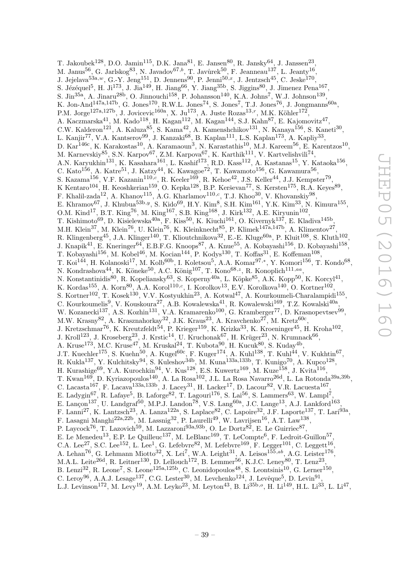T. Jakoubek<sup>128</sup>, D.O. Jamin<sup>115</sup>, D.K. Jana<sup>81</sup>, E. Jansen<sup>80</sup>, R. Jansky<sup>64</sup>, J. Janssen<sup>23</sup>, M. Janus $^{56}$ , G. Jarlskog $^{83}$ , N. Javadov $^{67,b}$ , T. Javůrek $^{50}$ , F. Jeanneau $^{137}$ , L. Jeanty $^{16}$ , J. Jejelava $^{53a,w}$ , G.-Y. Jeng $^{151}$ , D. Jennens $^{90}$ , P. Jenni $^{50,x}$ , J. Jentzsch $^{45}$ , C. Jeske $^{170}$ , S. Jézéquel<sup>5</sup>, H. Ji<sup>173</sup>, J. Jia<sup>149</sup>, H. Jiang<sup>66</sup>, Y. Jiang<sup>35b</sup>, S. Jiggins<sup>80</sup>, J. Jimenez Pena<sup>167</sup>, S. Jin<sup>35a</sup>, A. Jinaru<sup>28b</sup>, O. Jinnouchi<sup>158</sup>, P. Johansson<sup>140</sup>, K.A. Johns<sup>7</sup>, W.J. Johnson<sup>139</sup>, K. Jon-And<sup>147a,147b</sup>, G. Jones<sup>170</sup>, R.W.L. Jones<sup>74</sup>, S. Jones<sup>7</sup>, T.J. Jones<sup>76</sup>, J. Jongmanns<sup>60a</sup>, P.M. Jorge<sup>127a,127b</sup>, J. Jovicevic<sup>160a</sup>, X. Ju<sup>173</sup>, A. Juste Rozas<sup>13,r</sup>, M.K. Köhler<sup>172</sup>, A. Kaczmarska $^{41}$ , M. Kado $^{118}$ , H. Kagan $^{112}$ , M. Kagan $^{144}$ , S.J. Kahn $^{87}$ , E. Kajomovitz $^{47}$ , C.W. Kalderon<sup>121</sup>, A. Kaluza<sup>85</sup>, S. Kama<sup>42</sup>, A. Kamenshchikov<sup>131</sup>, N. Kanaya<sup>156</sup>, S. Kaneti<sup>30</sup>, L. Kanjir<sup>77</sup>, V.A. Kantserov<sup>99</sup>, J. Kanzaki<sup>68</sup>, B. Kaplan<sup>111</sup>, L.S. Kaplan<sup>173</sup>, A. Kapliy<sup>33</sup>, D. Kar $^{146c}$ , K. Karakostas $^{10}$ , A. Karamaoun $^3$ , N. Karastathis $^{10}$ , M.J. Kareem $^{56}$ , E. Karentzos $^{10}$ , M. Karnevskiy<sup>85</sup>, S.N. Karpov<sup>67</sup>, Z.M. Karpova<sup>67</sup>, K. Karthik<sup>111</sup>, V. Kartvelishvili<sup>74</sup>, A.N. Karyukhin<sup>131</sup>, K. Kasahara<sup>161</sup>, L. Kashif<sup>173</sup>, R.D. Kass<sup>112</sup>, A. Kastanas<sup>15</sup>, Y. Kataoka<sup>156</sup>, C. Kato<sup>156</sup>, A. Katre<sup>51</sup>, J. Katzy<sup>44</sup>, K. Kawagoe<sup>72</sup>, T. Kawamoto<sup>156</sup>, G. Kawamura<sup>56</sup>, S. Kazama<sup>156</sup>, V.F. Kazanin<sup>110,c</sup>, R. Keeler<sup>169</sup>, R. Kehoe<sup>42</sup>, J.S. Keller<sup>44</sup>, J.J. Kempster<sup>79</sup>, K Kentaro<sup>104</sup>, H. Keoshkerian<sup>159</sup>, O. Kepka<sup>128</sup>, B.P. Kerševan<sup>77</sup>, S. Kersten<sup>175</sup>, R.A. Keyes<sup>89</sup>, F. Khalil-zada<sup>12</sup>, A. Khanov<sup>115</sup>, A.G. Kharlamov<sup>110,c</sup>, T.J. Khoo<sup>30</sup>, V. Khovanskiy<sup>98</sup>, E. Khramov $^{67}$ , J. Khubua $^{53b,y}$ , S. Kido $^{69}$ , H.Y. Kim $^8$ , S.H. Kim $^{161}$ , Y.K. Kim $^{33}$ , N. Kimura $^{155}$ , O.M. Kind<sup>17</sup>, B.T. King<sup>76</sup>, M. King<sup>167</sup>, S.B. King<sup>168</sup>, J. Kirk<sup>132</sup>, A.E. Kiryunin<sup>102</sup>, T. Kishimoto<sup>69</sup>, D. Kisielewska<sup>40a</sup>, F. Kiss<sup>50</sup>, K. Kiuchi<sup>161</sup>, O. Kivernyk<sup>137</sup>, E. Kladiva<sup>145b</sup>, M.H. Klein<sup>37</sup>, M. Klein<sup>76</sup>, U. Klein<sup>76</sup>, K. Kleinknecht<sup>85</sup>, P. Klimek<sup>147a,147b</sup>, A. Klimentov<sup>27</sup>, R. Klingenberg<sup>45</sup>, J.A. Klinger<sup>140</sup>, T. Klioutchnikova<sup>32</sup>, E.-E. Kluge<sup>60a</sup>, P. Kluit<sup>108</sup>, S. Kluth<sup>102</sup>, J. Knapik<sup>41</sup>, E. Kneringer<sup>64</sup>, E.B.F.G. Knoops<sup>87</sup>, A. Knue<sup>55</sup>, A. Kobayashi<sup>156</sup>, D. Kobayashi<sup>158</sup>, T. Kobayashi<sup>156</sup>, M. Kobel<sup>46</sup>, M. Kocian<sup>144</sup>, P. Kodys<sup>130</sup>, T. Koffas<sup>31</sup>, E. Koffeman<sup>108</sup>, T. Koi<sup>144</sup>, H. Kolanoski<sup>17</sup>, M. Kolb<sup>60b</sup>, I. Koletsou<sup>5</sup>, A.A. Komar<sup>97,\*</sup>, Y. Komori<sup>156</sup>, T. Kondo<sup>68</sup>, N. Kondrashova $^{44}$ , K. Köneke $^{50}$ , A.C. König $^{107}$ , T. Kono $^{68,z}$ , R. Konoplich $^{111,aa}$ , N. Konstantinidis<sup>80</sup>, R. Kopeliansky<sup>63</sup>, S. Koperny<sup>40a</sup>, L. Köpke<sup>85</sup>, A.K. Kopp<sup>50</sup>, K. Korcyl<sup>41</sup>, K. Kordas<sup>155</sup>, A. Korn<sup>80</sup>, A.A. Korol<sup>110,c</sup>, I. Korolkov<sup>13</sup>, E.V. Korolkova<sup>140</sup>, O. Kortner<sup>102</sup>, S. Kortner<sup>102</sup>, T. Kosek<sup>130</sup>, V.V. Kostyukhin<sup>23</sup>, A. Kotwal<sup>47</sup>, A. Kourkoumeli-Charalampidi<sup>155</sup>, C. Kourkoumelis<sup>9</sup>, V. Kouskoura<sup>27</sup>, A.B. Kowalewska<sup>41</sup>, R. Kowalewski<sup>169</sup>, T.Z. Kowalski<sup>40a</sup>, W. Kozanecki<sup>137</sup>, A.S. Kozhin<sup>131</sup>, V.A. Kramarenko<sup>100</sup>, G. Kramberger<sup>77</sup>, D. Krasnopevtsev<sup>99</sup>, M.W. Krasny $^{82}$ , A. Krasznahorkay $^{32}$ , J.K. Kraus $^{23}$ , A. Kravchenko $^{27}$ , M. Kretz $^{60c}$ , J. Kretzschmar<sup>76</sup>, K. Kreutzfeldt<sup>54</sup>, P. Krieger<sup>159</sup>, K. Krizka<sup>33</sup>, K. Kroeninger<sup>45</sup>, H. Kroha<sup>102</sup>, J. Kroll<sup>123</sup>, J. Kroseberg<sup>23</sup>, J. Krstic<sup>14</sup>, U. Kruchonak<sup>67</sup>, H. Krüger<sup>23</sup>, N. Krumnack<sup>66</sup>, A. Kruse<sup>173</sup>, M.C. Kruse<sup>47</sup>, M. Kruskal<sup>24</sup>, T. Kubota<sup>90</sup>, H. Kucuk<sup>80</sup>, S. Kuday<sup>4b</sup>, J.T. Kuechler<sup>175</sup>, S. Kuehn<sup>50</sup>, A. Kugel<sup>60c</sup>, F. Kuger<sup>174</sup>, A. Kuhl<sup>138</sup>, T. Kuhl<sup>44</sup>, V. Kukhtin<sup>67</sup>, R. Kukla<sup>137</sup>, Y. Kulchitsky<sup>94</sup>, S. Kuleshov<sup>34b</sup>, M. Kuna<sup>133a,133b</sup>, T. Kunigo<sup>70</sup>, A. Kupco<sup>128</sup>, H. Kurashige $^{69}$ , Y.A. Kurochkin $^{94}$ , V. Kus $^{128}$ , E.S. Kuwertz $^{169}$ , M. Kuze $^{158}$ , J. Kvita $^{116}$ , T. Kwan $^{169}$ , D. Kyriazopoulos $^{140}$ , A. La Rosa $^{102}$ , J.L. La Rosa Navarro $^{26d}$ , L. La Rotonda $^{39a,39b}$ , C. Lacasta<sup>167</sup>, F. Lacava<sup>133a,133b</sup>, J. Lacey<sup>31</sup>, H. Lacker<sup>17</sup>, D. Lacour<sup>82</sup>, V.R. Lacuesta<sup>167</sup>, E. Ladygin<sup>67</sup>, R. Lafaye<sup>5</sup>, B. Laforge<sup>82</sup>, T. Lagouri<sup>176</sup>, S. Lai<sup>56</sup>, S. Lammers<sup>63</sup>, W. Lampl<sup>7</sup>, E. Lançon<sup>137</sup>, U. Landgraf<sup>50</sup>, M.P.J. Landon<sup>78</sup>, V.S. Lang<sup>60a</sup>, J.C. Lange<sup>13</sup>, A.J. Lankford<sup>163</sup>, F. Lanni<sup>27</sup>, K. Lantzsch<sup>23</sup>, A. Lanza<sup>122a</sup>, S. Laplace<sup>82</sup>, C. Lapoire<sup>32</sup>, J.F. Laporte<sup>137</sup>, T. Lari<sup>93a</sup>, F. Lasagni Manghi<sup>22a,22b</sup>, M. Lassnig<sup>32</sup>, P. Laurelli<sup>49</sup>, W. Lavrijsen<sup>16</sup>, A.T. Law<sup>138</sup>, P. Laycock<sup>76</sup>, T. Lazovich<sup>59</sup>, M. Lazzaroni<sup>93a, 93b</sup>, O. Le Dortz<sup>82</sup>, E. Le Guirriec<sup>87</sup>, E. Le Menedeu<sup>13</sup>, E.P. Le Quilleuc<sup>137</sup>, M. LeBlanc<sup>169</sup>, T. LeCompte<sup>6</sup>, F. Ledroit-Guillon<sup>57</sup>, C.A. Lee<sup>27</sup>, S.C. Lee<sup>152</sup>, L. Lee<sup>1</sup>, G. Lefebvre<sup>82</sup>, M. Lefebvre<sup>169</sup>, F. Legger<sup>101</sup>, C. Leggett<sup>16</sup>, A. Lehan<sup>76</sup>, G. Lehmann Miotto<sup>32</sup>, X. Lei<sup>7</sup>, W.A. Leight<sup>31</sup>, A. Leisos<sup>155,ab</sup>, A.G. Leister<sup>176</sup>, M.A.L. Leite<sup>26d</sup>, R. Leitner<sup>130</sup>, D. Lellouch<sup>172</sup>, B. Lemmer<sup>56</sup>, K.J.C. Leney<sup>80</sup>, T. Lenz<sup>23</sup>, B. Lenzi<sup>32</sup>, R. Leone<sup>7</sup>, S. Leone<sup>125a,125b</sup>, C. Leonidopoulos<sup>48</sup>, S. Leontsinis<sup>10</sup>, G. Lerner<sup>150</sup>, C. Leroy<sup>96</sup>, A.A.J. Lesage<sup>137</sup>, C.G. Lester<sup>30</sup>, M. Levchenko<sup>124</sup>, J. Levêque<sup>5</sup>, D. Levin<sup>91</sup>,

L.J. Levinson<sup>172</sup>, M. Levy<sup>19</sup>, A.M. Leyko<sup>23</sup>, M. Leyton<sup>43</sup>, B. Li<sup>35b,o</sup>, H. Li<sup>149</sup>, H.L. Li<sup>33</sup>, L. Li<sup>47</sup>,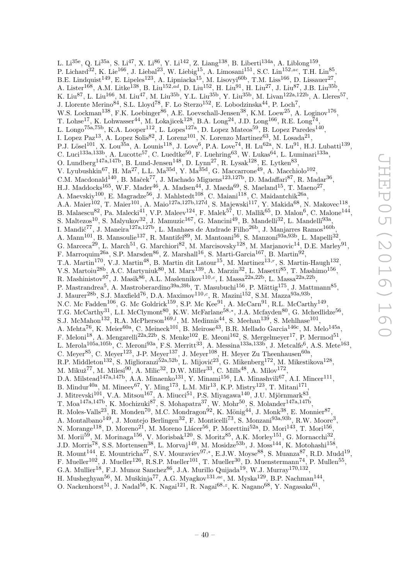L. Li $^{35e}$ , Q. Li $^{35a}$ , S. Li $^{47}$ , X. Li $^{86}$ , Y. Li $^{142}$ , Z. Liang<sup>138</sup>, B. Liberti<sup>134a</sup>, A. Liblong<sup>159</sup>, P. Lichard<sup>32</sup>, K. Lie<sup>166</sup>, J. Liebal<sup>23</sup>, W. Liebig<sup>15</sup>, A. Limosani<sup>151</sup>, S.C. Lin<sup>152,ac</sup>, T.H. Lin<sup>85</sup>, B.E. Lindquist<sup>149</sup>, E. Lipeles<sup>123</sup>, A. Lipniacka<sup>15</sup>, M. Lisovyi<sup>60b</sup>, T.M. Liss<sup>166</sup>, D. Lissauer<sup>27</sup>, A. Lister<sup>168</sup>, A.M. Litke<sup>138</sup>, B. Liu<sup>152,ad</sup>, D. Liu<sup>152</sup>, H. Liu<sup>91</sup>, H. Liu<sup>27</sup>, J. Liu<sup>87</sup>, J.B. Liu<sup>35b</sup>, K. Liu<sup>87</sup>, L. Liu<sup>166</sup>, M. Liu<sup>47</sup>, M. Liu<sup>35b</sup>, Y.L. Liu<sup>35b</sup>, Y. Liu<sup>35b</sup>, M. Livan<sup>122a,122b</sup>, A. Lleres<sup>57</sup>, J. Llorente Merino<sup>84</sup>, S.L. Lloyd<sup>78</sup>, F. Lo Sterzo<sup>152</sup>, E. Lobodzinska<sup>44</sup>, P. Loch<sup>7</sup>, W.S. Lockman<sup>138</sup>, F.K. Loebinger<sup>86</sup>, A.E. Loevschall-Jensen<sup>38</sup>, K.M. Loew<sup>25</sup>, A. Loginov<sup>176</sup>, T. Lohse<sup>17</sup>, K. Lohwasser<sup>44</sup>, M. Lokajicek<sup>128</sup>, B.A. Long<sup>24</sup>, J.D. Long<sup>166</sup>, R.E. Long<sup>74</sup>, L. Longo<sup>75a,75b</sup>, K.A. Looper<sup>112</sup>, L. Lopes<sup>127a</sup>, D. Lopez Mateos<sup>59</sup>, B. Lopez Paredes<sup>140</sup>, I. Lopez Paz<sup>13</sup>, A. Lopez Solis<sup>82</sup>, J. Lorenz<sup>101</sup>, N. Lorenzo Martinez<sup>63</sup>, M. Losada<sup>21</sup>, P.J. Lösel $^{101}$ , X. Lou $^{35a}$ , A. Lounis $^{118}$ , J. Love $^6$ , P.A. Love $^{74}$ , H. Lu $^{62a}$ , N. Lu $^{91}$ , H.J. Lubatti $^{139}$ , C. Luci<sup>133a,133b</sup>, A. Lucotte<sup>57</sup>, C. Luedtke<sup>50</sup>, F. Luehring<sup>63</sup>, W. Lukas<sup>64</sup>, L. Luminari<sup>133a</sup>, O. Lundberg<sup>147a,147b</sup>, B. Lund-Jensen<sup>148</sup>, D. Lynn<sup>27</sup>, R. Lysak<sup>128</sup>, E. Lytken<sup>83</sup>, V. Lyubushkin<sup>67</sup>, H. Ma<sup>27</sup>, L.L. Ma<sup>35d</sup>, Y. Ma<sup>35d</sup>, G. Maccarrone<sup>49</sup>, A. Macchiolo<sup>102</sup>, C.M. Macdonald<sup>140</sup>, B. Maček<sup>77</sup>, J. Machado Miguens<sup>123,127b</sup>, D. Madaffari<sup>87</sup>, R. Madar<sup>36</sup>, H.J. Maddocks<sup>165</sup>, W.F. Mader<sup>46</sup>, A. Madsen<sup>44</sup>, J. Maeda<sup>69</sup>, S. Maeland<sup>15</sup>, T. Maeno<sup>27</sup>, A. Maevskiy<sup>100</sup>, E. Magradze<sup>56</sup>, J. Mahlstedt<sup>108</sup>, C. Maiani<sup>118</sup>, C. Maidantchik<sup>26a</sup>, A.A. Maier $^{102}$ , T. Maier $^{101}$ , A. Maio $^{127a,127b,127d}$ , S. Majewski $^{117}$ , Y. Makida $^{68}$ , N. Makovec $^{118}$ , B. Malaescu<sup>82</sup>, Pa. Malecki<sup>41</sup>, V.P. Maleev<sup>124</sup>, F. Malek<sup>57</sup>, U. Mallik<sup>65</sup>, D. Malon<sup>6</sup>, C. Malone<sup>144</sup>, S. Maltezos<sup>10</sup>, S. Malyukov<sup>32</sup>, J. Mamuzic<sup>167</sup>, G. Mancini<sup>49</sup>, B. Mandelli<sup>32</sup>, L. Mandelli<sup>93a</sup>, I. Mandić<sup>77</sup>, J. Maneira<sup>127a,127b</sup>, L. Manhaes de Andrade Filho<sup>26b</sup>, J. Manjarres Ramos<sup>160b</sup>, A. Mann<sup>101</sup>, B. Mansoulie<sup>137</sup>, R. Mantifel<sup>89</sup>, M. Mantoani<sup>56</sup>, S. Manzoni<sup>93a,93b</sup>, L. Mapelli<sup>32</sup>, G. Marceca<sup>29</sup>, L. March<sup>51</sup>, G. Marchiori<sup>82</sup>, M. Marcisovsky<sup>128</sup>, M. Marjanovic<sup>14</sup>, D.E. Marley<sup>91</sup>, F. Marroquim<sup>26a</sup>, S.P. Marsden<sup>86</sup>, Z. Marshall<sup>16</sup>, S. Marti-Garcia<sup>167</sup>, B. Martin<sup>92</sup>, T.A. Martin<sup>170</sup>, V.J. Martin<sup>48</sup>, B. Martin dit Latour<sup>15</sup>, M. Martinez<sup>13,r</sup>, S. Martin-Haugh<sup>132</sup>, V.S. Martoiu<sup>28b</sup>, A.C. Martyniuk<sup>80</sup>, M. Marx<sup>139</sup>, A. Marzin<sup>32</sup>, L. Masetti<sup>85</sup>, T. Mashimo<sup>156</sup>, R. Mashinistov $^{97}$ , J. Masik $^{86}$ , A.L. Maslennikov $^{110,c}$ , I. Massa $^{22a,22b}$ , L. Massa $^{22a,22b}$ , P. Mastrandrea<sup>5</sup>, A. Mastroberardino<sup>39a, 39b</sup>, T. Masubuchi<sup>156</sup>, P. Mättig<sup>175</sup>, J. Mattmann<sup>85</sup>, J. Maurer<sup>28b</sup>, S.J. Maxfield<sup>76</sup>, D.A. Maximov<sup>110,c</sup>, R. Mazini<sup>152</sup>, S.M. Mazza<sup>93a,93b</sup>, N.C. Mc Fadden<sup>106</sup>, G. Mc Goldrick<sup>159</sup>, S.P. Mc Kee<sup>91</sup>, A. McCarn<sup>91</sup>, R.L. McCarthy<sup>149</sup>, T.G. McCarthy<sup>31</sup>, L.I. McClymont<sup>80</sup>, K.W. McFarlane<sup>58,\*</sup>, J.A. Mcfayden<sup>80</sup>, G. Mchedlidze<sup>56</sup>, S.J. McMahon<sup>132</sup>, R.A. McPherson<sup>169,*l*</sup>, M. Medinnis<sup>44</sup>, S. Meehan<sup>139</sup>, S. Mehlhase<sup>101</sup>, A. Mehta<sup>76</sup>, K. Meier<sup>60a</sup>, C. Meineck<sup>101</sup>, B. Meirose<sup>43</sup>, B.R. Mellado Garcia<sup>146c</sup>, M. Melo<sup>145a</sup>, F. Meloni<sup>18</sup>, A. Mengarelli<sup>22a,22b</sup>, S. Menke<sup>102</sup>, E. Meoni<sup>162</sup>, S. Mergelmeyer<sup>17</sup>, P. Mermod<sup>51</sup>, L. Merola<sup>105a,105b</sup>, C. Meroni<sup>93a</sup>, F.S. Merritt<sup>33</sup>, A. Messina<sup>133a,133b</sup>, J. Metcalfe<sup>6</sup>, A.S. Mete<sup>163</sup>, C. Meyer<sup>85</sup>, C. Meyer<sup>123</sup>, J-P. Meyer<sup>137</sup>, J. Meyer<sup>108</sup>, H. Meyer Zu Theenhausen<sup>60a</sup>, R.P. Middleton<sup>132</sup>, S. Miglioranzi<sup>52a,52b</sup>, L. Mijović<sup>23</sup>, G. Mikenberg<sup>172</sup>, M. Mikestikova<sup>128</sup>, M. Mikuž $^{77}$ , M. Milesi $^{90}$ , A. Milic $^{32}$ , D.W. Miller $^{33}$ , C. Mills $^{48}$ , A. Milov $^{172}$ , D.A. Milstead<sup>147a,147b</sup>, A.A. Minaenko<sup>131</sup>, Y. Minami<sup>156</sup>, I.A. Minashvili<sup>67</sup>, A.I. Mincer<sup>111</sup>, B. Mindur<sup>40a</sup>, M. Mineev<sup>67</sup>, Y. Ming<sup>173</sup>, L.M. Mir<sup>13</sup>, K.P. Mistry<sup>123</sup>, T. Mitani<sup>171</sup>, J. Mitrevski $^{101}$ , V.A. Mitsou $^{167}$ , A. Miucci $^{51}$ , P.S. Miyagawa $^{140}$ , J.U. Mjörnmark $^{83}$ , T. Moa<sup>147a,147b</sup>, K. Mochizuki<sup>87</sup>, S. Mohapatra<sup>37</sup>, W. Mohr<sup>50</sup>, S. Molander<sup>147a,147b</sup>, R. Moles-Valls<sup>23</sup>, R. Monden<sup>70</sup>, M.C. Mondragon<sup>92</sup>, K. Mönig<sup>44</sup>, J. Monk<sup>38</sup>, E. Monnier<sup>87</sup>, A. Montalbano<sup>149</sup>, J. Montejo Berlingen<sup>32</sup>, F. Monticelli<sup>73</sup>, S. Monzani<sup>93a,93b</sup>, R.W. Moore<sup>3</sup>, N. Morange<sup>118</sup>, D. Moreno<sup>21</sup>, M. Moreno Llácer<sup>56</sup>, P. Morettini<sup>52a</sup>, D. Mori<sup>143</sup>, T. Mori<sup>156</sup>, M. Morii $^{59}$ , M. Morinaga $^{156}$ , V. Morisbak $^{120}$ , S. Moritz $^{85}$ , A.K. Morley $^{151}$ , G. Mornacchi $^{32}$ , J.D. Morris<sup>78</sup>, S.S. Mortensen<sup>38</sup>, L. Morvaj<sup>149</sup>, M. Mosidze<sup>53b</sup>, J. Moss<sup>144</sup>, K. Motohashi<sup>158</sup>, R. Mount<sup>144</sup>, E. Mountricha<sup>27</sup>, S.V. Mouraviev<sup>97,\*</sup>, E.J.W. Moyse<sup>88</sup>, S. Muanza<sup>87</sup>, R.D. Mudd<sup>19</sup>, F. Mueller<sup>102</sup>, J. Mueller<sup>126</sup>, R.S.P. Mueller<sup>101</sup>, T. Mueller<sup>30</sup>, D. Muenstermann<sup>74</sup>, P. Mullen<sup>55</sup>, G.A. Mullier<sup>18</sup>, F.J. Munoz Sanchez<sup>86</sup>, J.A. Murillo Quijada<sup>19</sup>, W.J. Murray<sup>170,132</sup>, H. Musheghyan $^{56}$ , M. Muškinja $^{77}$ , A.G. Myagkov $^{131,ae}$ , M. Myska $^{129}$ , B.P. Nachman $^{144}$ ,

O. Nackenhorst $^{51}$ , J. Nadal $^{56}$ , K. Nagai $^{121}$ , R. Nagai $^{68,z}$ , K. Nagano $^{68}$ , Y. Nagasaka $^{61}$ ,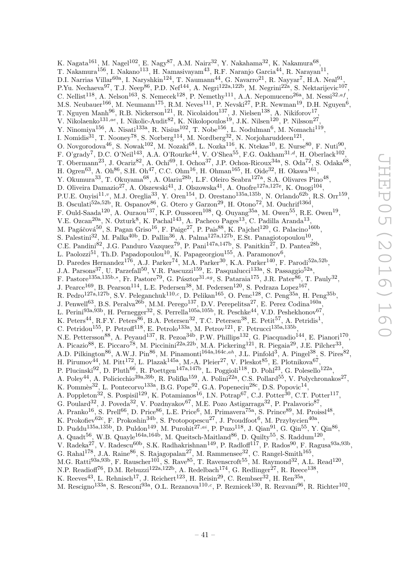K. Nagata $^{161}$ , M. Nagel $^{102}$ , E. Nagy $^{87}$ , A.M. Nairz $^{32}$ , Y. Nakahama $^{32}$ , K. Nakamura $^{68}$ , T. Nakamura $^{156}$ , I. Nakano $^{113}$ , H. Namasivayam $^{43}$ , R.F. Naranjo Garcia $^{44}$ , R. Narayan $^{11}$ , D.I. Narrias Villar<sup>60a</sup>, I. Naryshkin<sup>124</sup>, T. Naumann<sup>44</sup>, G. Navarro<sup>21</sup>, R. Nayyar<sup>7</sup>, H.A. Neal<sup>91</sup> , P.Yu. Nechaeva<sup>97</sup>, T.J. Neep<sup>86</sup>, P.D. Nef<sup>144</sup>, A. Negri<sup>122a,122b</sup>, M. Negrini<sup>22a</sup>, S. Nektarijevic<sup>107</sup>, C. Nellist<sup>118</sup>, A. Nelson<sup>163</sup>, S. Nemecek<sup>128</sup>, P. Nemethy<sup>111</sup>, A.A. Nepomuceno<sup>26a</sup>, M. Nessi<sup>32,af</sup>, M.S. Neubauer $^{166}$ , M. Neumann $^{175}$ , R.M. Neves $^{111}$ , P. Nevski $^{27}$ , P.R. Newman $^{19}$ , D.H. Nguyen $^6$ , T. Nguyen Manh<sup>96</sup>, R.B. Nickerson<sup>121</sup>, R. Nicolaidou<sup>137</sup>, J. Nielsen<sup>138</sup>, A. Nikiforov<sup>17</sup>, V. Nikolaenko $^{131,ae}$ , I. Nikolic-Audit $^{82}$ , K. Nikolopoulos $^{19}$ , J.K. Nilsen $^{120}$ , P. Nilsson $^{27}$ , Y. Ninomiya<sup>156</sup>, A. Nisati<sup>133a</sup>, R. Nisius<sup>102</sup>, T. Nobe<sup>156</sup>, L. Nodulman<sup>6</sup>, M. Nomachi<sup>119</sup>, I. Nomidis<sup>31</sup>, T. Nooney<sup>78</sup>, S. Norberg<sup>114</sup>, M. Nordberg<sup>32</sup>, N. Norjoharuddeen<sup>121</sup>, O. Novgorodova $^{46}$ , S. Nowak $^{102}$ , M. Nozaki $^{68}$ , L. Nozka $^{116}$ , K. Ntekas $^{10}$ , E. Nurse $^{80}$ , F. Nuti $^{90}$ , F. O'grady<sup>7</sup>, D.C. O'Neil<sup>143</sup>, A.A. O'Rourke<sup>44</sup>, V. O'Shea<sup>55</sup>, F.G. Oakham<sup>31,d</sup>, H. Oberlack<sup>102</sup>, T. Obermann<sup>23</sup>, J. Ocariz<sup>82</sup>, A. Ochi<sup>69</sup>, I. Ochoa<sup>37</sup>, J.P. Ochoa-Ricoux<sup>34a</sup>, S. Oda<sup>72</sup>, S. Odaka<sup>68</sup>, H. Ogren<sup>63</sup>, A. Oh<sup>86</sup>, S.H. Oh<sup>47</sup>, C.C. Ohm<sup>16</sup>, H. Ohman<sup>165</sup>, H. Oide<sup>32</sup>, H. Okawa<sup>161</sup>, Y. Okumura<sup>33</sup>, T. Okuyama<sup>68</sup>, A. Olariu<sup>28b</sup>, L.F. Oleiro Seabra<sup>127a</sup>, S.A. Olivares Pino<sup>48</sup>, D. Oliveira Damazio<sup>27</sup>, A. Olszewski<sup>41</sup>, J. Olszowska<sup>41</sup>, A. Onofre<sup>127a,127e</sup>, K. Onogi<sup>104</sup>, P.U.E. Onyisi<sup>11,</sup><sup>v</sup>, M.J. Oreglia<sup>33</sup>, Y. Oren<sup>154</sup>, D. Orestano<sup>135a,135b</sup>, N. Orlando<sup>62b</sup>, R.S. Orr<sup>159</sup>, B. Osculati<sup>52a,52b</sup>, R. Ospanov<sup>86</sup>, G. Otero y Garzon<sup>29</sup>, H. Otono<sup>72</sup>, M. Ouchrif<sup>136d</sup>, F. Ould-Saada<sup>120</sup>, A. Ouraou<sup>137</sup>, K.P. Oussoren<sup>108</sup>, Q. Ouyang<sup>35a</sup>, M. Owen<sup>55</sup>, R.E. Owen<sup>19</sup>, V.E. Ozcan<sup>20a</sup>, N. Ozturk<sup>8</sup>, K. Pachal<sup>143</sup>, A. Pacheco Pages<sup>13</sup>, C. Padilla Aranda<sup>13</sup>, M. Pagáčová $^{50}$ , S. Pagan Griso $^{16}$ , F. Paige $^{27}$ , P. Pais $^{88}$ , K. Pajchel $^{120}$ , G. Palacino $^{160b}$ , S. Palestini<sup>32</sup>, M. Palka<sup>40b</sup>, D. Pallin<sup>36</sup>, A. Palma<sup>127a,127b</sup>, E.St. Panagiotopoulou<sup>10</sup>, C.E. Pandini<sup>82</sup>, J.G. Panduro Vazquez<sup>79</sup>, P. Pani<sup>147a,147b</sup>, S. Panitkin<sup>27</sup>, D. Pantea<sup>28b</sup>, L. Paolozzi<sup>51</sup>, Th.D. Papadopoulou<sup>10</sup>, K. Papageorgiou<sup>155</sup>, A. Paramonov<sup>6</sup>, D. Paredes Hernandez<sup>176</sup>, A.J. Parker<sup>74</sup>, M.A. Parker<sup>30</sup>, K.A. Parker<sup>140</sup>, F. Parodi<sup>52a,52b</sup>, J.A. Parsons<sup>37</sup>, U. Parzefall<sup>50</sup>, V.R. Pascuzzi<sup>159</sup>, E. Pasqualucci<sup>133a</sup>, S. Passaggio<sup>52a</sup>, F. Pastore<sup>135a,135b,\*</sup>, Fr. Pastore<sup>79</sup>, G. Pásztor<sup>31,ag</sup>, S. Pataraia<sup>175</sup>, J.R. Pater<sup>86</sup>, T. Pauly<sup>32</sup>, J. Pearce<sup>169</sup>, B. Pearson<sup>114</sup>, L.E. Pedersen<sup>38</sup>, M. Pedersen<sup>120</sup>, S. Pedraza Lopez<sup>167</sup>, R. Pedro<sup>127a,127b</sup>, S.V. Peleganchuk<sup>110,c</sup>, D. Pelikan<sup>165</sup>, O. Penc<sup>128</sup>, C. Peng<sup>35a</sup>, H. Peng<sup>35b</sup>, J. Penwell<sup>63</sup>, B.S. Peralva<sup>26b</sup>, M.M. Perego<sup>137</sup>, D.V. Perepelitsa<sup>27</sup>, E. Perez Codina<sup>160a</sup>, L. Perini<sup>93a,93b</sup>, H. Pernegger<sup>32</sup>, S. Perrella<sup>105a,105b</sup>, R. Peschke<sup>44</sup>, V.D. Peshekhonov<sup>67</sup>, K. Peters<sup>44</sup>, R.F.Y. Peters<sup>86</sup>, B.A. Petersen<sup>32</sup>, T.C. Petersen<sup>38</sup>, E. Petit<sup>57</sup>, A. Petridis<sup>1</sup>, C. Petridou<sup>155</sup>, P. Petroff<sup>118</sup>, E. Petrolo<sup>133a</sup>, M. Petrov<sup>121</sup>, F. Petrucci<sup>135a,135b</sup>, N.E. Pettersson<sup>88</sup>, A. Peyaud<sup>137</sup>, R. Pezoa<sup>34b</sup>, P.W. Phillips<sup>132</sup>, G. Piacquadio<sup>144</sup>, E. Pianori<sup>170</sup>, A. Picazio<sup>88</sup>, E. Piccaro<sup>78</sup>, M. Piccinini<sup>22a,22b</sup>, M.A. Pickering<sup>121</sup>, R. Piegaia<sup>29</sup>, J.E. Pilcher<sup>33</sup>, A.D. Pilkington<sup>86</sup>, A.W.J. Pin<sup>86</sup>, M. Pinamonti<sup>164a,164c,ah</sup>, J.L. Pinfold<sup>3</sup>, A. Pingel<sup>38</sup>, S. Pires<sup>82</sup>, H. Pirumov<sup>44</sup>, M. Pitt<sup>172</sup>, L. Plazak<sup>145a</sup>, M.-A. Pleier<sup>27</sup>, V. Pleskot<sup>85</sup>, E. Plotnikova<sup>67</sup>, P. Plucinski<sup>92</sup>, D. Pluth<sup>66</sup>, R. Poettgen<sup>147a,147b</sup>, L. Poggioli<sup>118</sup>, D. Pohl<sup>23</sup>, G. Polesello<sup>122a</sup>, A. Poley<sup>44</sup>, A. Policicchio<sup>39a,39b</sup>, R. Polifka<sup>159</sup>, A. Polini<sup>22a</sup>, C.S. Pollard<sup>55</sup>, V. Polychronakos<sup>27</sup>, K. Pommès<sup>32</sup>, L. Pontecorvo<sup>133a</sup>, B.G. Pope<sup>92</sup>, G.A. Popeneciu<sup>28c</sup>, D.S. Popovic<sup>14</sup>, A. Poppleton<sup>32</sup>, S. Pospisil<sup>129</sup>, K. Potamianos<sup>16</sup>, I.N. Potrap<sup>67</sup>, C.J. Potter<sup>30</sup>, C.T. Potter<sup>117</sup>, G. Poulard<sup>32</sup>, J. Poveda<sup>32</sup>, V. Pozdnyakov<sup>67</sup>, M.E. Pozo Astigarraga<sup>32</sup>, P. Pralavorio<sup>87</sup>, A. Pranko<sup>16</sup>, S. Prell<sup>66</sup>, D. Price<sup>86</sup>, L.E. Price<sup>6</sup>, M. Primavera<sup>75a</sup>, S. Prince<sup>89</sup>, M. Proissl<sup>48</sup>, K. Prokofiev ${}^{62c}$ , F. Prokoshin ${}^{34b}$ , S. Protopopescu ${}^{27}$ , J. Proudfoot<sup>6</sup>, M. Przybycien ${}^{40a}$ , D. Puddu<sup>135a,135b</sup>, D. Puldon<sup>149</sup>, M. Purohit<sup>27,ai</sup>, P. Puzo<sup>118</sup>, J. Qian<sup>91</sup>, G. Qin<sup>55</sup>, Y. Qin<sup>86</sup>, A. Quadt<sup>56</sup>, W.B. Quayle<sup>164a,164b</sup>, M. Queitsch-Maitland<sup>86</sup>, D. Quilty<sup>55</sup>, S. Raddum<sup>120</sup>, V. Radeka<sup>27</sup>, V. Radescu<sup>60b</sup>, S.K. Radhakrishnan<sup>149</sup>, P. Radloff<sup>117</sup>, P. Rados<sup>90</sup>, F. Ragusa<sup>93a,93b</sup>, G. Rahal<sup>178</sup>, J.A. Raine<sup>86</sup>, S. Rajagopalan<sup>27</sup>, M. Rammensee<sup>32</sup>, C. Rangel-Smith<sup>165</sup>, M.G. Ratti<sup>93a,93b</sup>, F. Rauscher<sup>101</sup>, S. Rave<sup>85</sup>, T. Ravenscroft<sup>55</sup>, M. Raymond<sup>32</sup>, A.L. Read<sup>120</sup>, N.P. Readioff<sup>76</sup>, D.M. Rebuzzi<sup>122a,122b</sup>, A. Redelbach<sup>174</sup>, G. Redlinger<sup>27</sup>, R. Reece<sup>138</sup>,

K. Reeves<sup>43</sup>, L. Rehnisch<sup>17</sup>, J. Reichert<sup>123</sup>, H. Reisin<sup>29</sup>, C. Rembser<sup>32</sup>, H. Ren<sup>35a</sup>,

M. Rescigno<sup>133a</sup>, S. Resconi<sup>93a</sup>, O.L. Rezanova<sup>110,c</sup>, P. Reznicek<sup>130</sup>, R. Rezvani<sup>96</sup>, R. Richter<sup>102</sup>,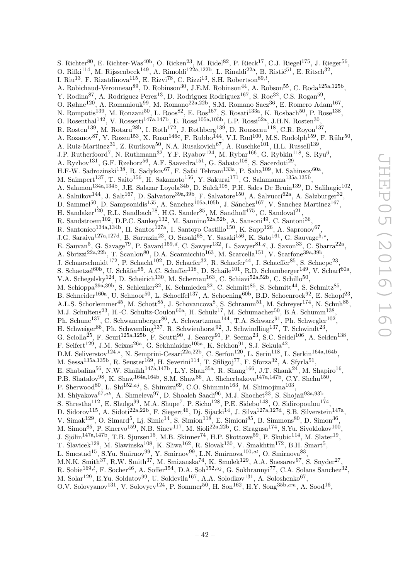S. Richter<sup>80</sup>, E. Richter-Was<sup>40b</sup>, O. Ricken<sup>23</sup>, M. Ridel<sup>82</sup>, P. Rieck<sup>17</sup>, C.J. Riegel<sup>175</sup>, J. Rieger<sup>56</sup>, O. Rifki<sup>114</sup>, M. Rijssenbeek<sup>149</sup>, A. Rimoldi<sup>122a,122b</sup>, L. Rinaldi<sup>22a</sup>, B. Ristić<sup>51</sup>, E. Ritsch<sup>32</sup>, I. Riu<sup>13</sup>, F. Rizatdinova<sup>115</sup>, E. Rizvi<sup>78</sup>, C. Rizzi<sup>13</sup>, S.H. Robertson<sup>89,*l*</sup>, A. Robichaud-Veronneau<sup>89</sup>, D. Robinson<sup>30</sup>, J.E.M. Robinson<sup>44</sup>, A. Robson<sup>55</sup>, C. Roda<sup>125a,125b</sup>, Y. Rodina<sup>87</sup>, A. Rodriguez Perez<sup>13</sup>, D. Rodriguez Rodriguez<sup>167</sup>, S. Roe<sup>32</sup>, C.S. Rogan<sup>59</sup>, O. Røhne<sup>120</sup>, A. Romaniouk<sup>99</sup>, M. Romano<sup>22a,22b</sup>, S.M. Romano Saez<sup>36</sup>, E. Romero Adam<sup>167</sup>, N. Rompotis<sup>139</sup>, M. Ronzani<sup>50</sup>, L. Roos<sup>82</sup>, E. Ros<sup>167</sup>, S. Rosati<sup>133a</sup>, K. Rosbach<sup>50</sup>, P. Rose<sup>138</sup>, O. Rosenthal<sup>142</sup>, V. Rossetti<sup>147a,147b</sup>, E. Rossi<sup>105a,105b</sup>, L.P. Rossi<sup>52a</sup>, J.H.N. Rosten<sup>30</sup>, R. Rosten<sup>139</sup>, M. Rotaru<sup>28b</sup>, I. Roth<sup>172</sup>, J. Rothberg<sup>139</sup>, D. Rousseau<sup>118</sup>, C.R. Royon<sup>137</sup>, A. Rozanov ${}^{87}$ , Y. Rozen ${}^{153}$ , X. Ruan ${}^{146c}$ , F. Rubbo ${}^{144}$ , V.I. Rud ${}^{100}$ , M.S. Rudolph ${}^{159}$ , F. Rühr ${}^{50}$ , A. Ruiz-Martinez<sup>31</sup>, Z. Rurikova<sup>50</sup>, N.A. Rusakovich<sup>67</sup>, A. Ruschke<sup>101</sup>, H.L. Russell<sup>139</sup>, J.P. Rutherfoord<sup>7</sup>, N. Ruthmann<sup>32</sup>, Y.F. Ryabov<sup>124</sup>, M. Rybar<sup>166</sup>, G. Rybkin<sup>118</sup>, S. Ryu<sup>6</sup>, A. Ryzhov<sup>131</sup>, G.F. Rzehorz<sup>56</sup>, A.F. Saavedra<sup>151</sup>, G. Sabato<sup>108</sup>, S. Sacerdoti<sup>29</sup>, H.F-W. Sadrozinski $^{138}$ , R. Sadykov $^{67}$ , F. Safai Tehrani $^{133a}$ , P. Saha $^{109}$ , M. Sahinsoy $^{60a}$ , M. Saimpert $^{137}$ , T. Saito $^{156}$ , H. Sakamoto $^{156}$ , Y. Sakurai $^{171}$ , G. Salamanna $^{135$ a,135b, A. Salamon<sup>134a,134b</sup>, J.E. Salazar Loyola<sup>34b</sup>, D. Salek<sup>108</sup>, P.H. Sales De Bruin<sup>139</sup>, D. Salihagic<sup>102</sup>, A. Salnikov<sup>144</sup>, J. Salt<sup>167</sup>, D. Salvatore<sup>39a,39b</sup>, F. Salvatore<sup>150</sup>, A. Salvucci<sup>62a</sup>, A. Salzburger<sup>32</sup>, D. Sammel<sup>50</sup>, D. Sampsonidis<sup>155</sup>, A. Sanchez<sup>105a,105b</sup>, J. Sánchez<sup>167</sup>, V. Sanchez Martinez<sup>167</sup>, H. Sandaker<sup>120</sup>, R.L. Sandbach<sup>78</sup>, H.G. Sander<sup>85</sup>, M. Sandhoff<sup>175</sup>, C. Sandoval<sup>21</sup>, R. Sandstroem<sup>102</sup>, D.P.C. Sankey<sup>132</sup>, M. Sannino<sup>52a,52b</sup>, A. Sansoni<sup>49</sup>, C. Santoni<sup>36</sup>, R. Santonico<sup>134a,134b</sup>, H. Santos<sup>127a</sup>, I. Santoyo Castillo<sup>150</sup>, K. Sapp<sup>126</sup>, A. Sapronov<sup>67</sup>, J.G. Saraiva<sup>127a,127d</sup>, B. Sarrazin<sup>23</sup>, O. Sasaki<sup>68</sup>, Y. Sasaki<sup>156</sup>, K. Sato<sup>161</sup>, G. Sauvage<sup>5,\*</sup>, E. Sauvan<sup>5</sup>, G. Savage<sup>79</sup>, P. Savard<sup>159,d</sup>, C. Sawyer<sup>132</sup>, L. Sawyer<sup>81,q</sup>, J. Saxon<sup>33</sup>, C. Sbarra<sup>22a</sup>, A. Sbrizzi<sup>22a,22b</sup>, T. Scanlon<sup>80</sup>, D.A. Scannicchio<sup>163</sup>, M. Scarcella<sup>151</sup>, V. Scarfone<sup>39a,39b</sup>, J. Schaarschmidt<sup>172</sup>, P. Schacht<sup>102</sup>, D. Schaefer<sup>32</sup>, R. Schaefer<sup>44</sup>, J. Schaeffer<sup>85</sup>, S. Schaepe<sup>23</sup>, S. Schaetzel<sup>60b</sup>, U. Schäfer<sup>85</sup>, A.C. Schaffer<sup>118</sup>, D. Schaile<sup>101</sup>, R.D. Schamberger<sup>149</sup>, V. Scharf<sup>60a</sup>, V.A. Schegelsky<sup>124</sup>, D. Scheirich<sup>130</sup>, M. Schernau<sup>163</sup>, C. Schiavi<sup>52a,52b</sup>, C. Schillo<sup>50</sup>, M. Schioppa<sup>39a,39b</sup>, S. Schlenker<sup>32</sup>, K. Schmieden<sup>32</sup>, C. Schmitt<sup>85</sup>, S. Schmitt<sup>44</sup>, S. Schmitz<sup>85</sup>, B. Schneider<sup>160a</sup>, U. Schnoor<sup>50</sup>, L. Schoeffel<sup>137</sup>, A. Schoening<sup>60b</sup>, B.D. Schoenrock<sup>92</sup>, E. Schopf<sup>23</sup>, A.L.S. Schorlemmer<sup>45</sup>, M. Schott<sup>85</sup>, J. Schovancova<sup>8</sup>, S. Schramm<sup>51</sup>, M. Schreyer<sup>174</sup>, N. Schuh<sup>85</sup>, M.J. Schultens<sup>23</sup>, H.-C. Schultz-Coulon<sup>60a</sup>, H. Schulz<sup>17</sup>, M. Schumacher<sup>50</sup>, B.A. Schumm<sup>138</sup>, Ph. Schune<sup>137</sup>, C. Schwanenberger<sup>86</sup>, A. Schwartzman<sup>144</sup>, T.A. Schwarz<sup>91</sup>, Ph. Schwegler<sup>102</sup>, H. Schweiger<sup>86</sup>, Ph. Schwemling<sup>137</sup>, R. Schwienhorst<sup>92</sup>, J. Schwindling<sup>137</sup>, T. Schwindt<sup>23</sup>, G. Sciolla<sup>25</sup>, F. Scuri<sup>125a,125b</sup>, F. Scutti<sup>90</sup>, J. Searcy<sup>91</sup>, P. Seema<sup>23</sup>, S.C. Seidel<sup>106</sup>, A. Seiden<sup>138</sup>, F. Seifert<sup>129</sup>, J.M. Seixas<sup>26a</sup>, G. Sekhniaidze<sup>105a</sup>, K. Sekhon<sup>91</sup>, S.J. Sekula<sup>42</sup>, D.M. Seliverstov<sup>124,\*</sup>, N. Semprini-Cesari<sup>22a,22b</sup>, C. Serfon<sup>120</sup>, L. Serin<sup>118</sup>, L. Serkin<sup>164a,164b</sup>, M. Sessa<sup>135a,135b</sup>, R. Seuster<sup>169</sup>, H. Severini<sup>114</sup>, T. Sfiligoj<sup>77</sup>, F. Sforza<sup>32</sup>, A. Sfyrla<sup>51</sup>, E. Shabalina<sup>56</sup>, N.W. Shaikh<sup>147a,147b</sup>, L.Y. Shan<sup>35a</sup>, R. Shang<sup>166</sup>, J.T. Shank<sup>24</sup>, M. Shapiro<sup>16</sup>, P.B. Shatalov<sup>98</sup>, K. Shaw<sup>164a,164b</sup>, S.M. Shaw<sup>86</sup>, A. Shcherbakova<sup>147a,147b</sup>, C.Y. Shehu<sup>150</sup>, P. Sherwood<sup>80</sup>, L. Shi<sup>152,aj</sup>, S. Shimizu<sup>69</sup>, C.O. Shimmin<sup>163</sup>, M. Shimojima<sup>103</sup>, M. Shiyakova<sup>67,ak</sup>, A. Shmeleva<sup>97</sup>, D. Shoaleh Saadi<sup>96</sup>, M.J. Shochet<sup>33</sup>, S. Shojaii<sup>93a,93b</sup>, S. Shrestha<sup>112</sup>, E. Shulga<sup>99</sup>, M.A. Shupe<sup>7</sup>, P. Sicho<sup>128</sup>, P.E. Sidebo<sup>148</sup>, O. Sidiropoulou<sup>174</sup>, D. Sidorov<sup>115</sup>, A. Sidoti<sup>22a,22b</sup>, F. Siegert<sup>46</sup>, Dj. Sijacki<sup>14</sup>, J. Silva<sup>127a,127d</sup>, S.B. Silverstein<sup>147a</sup>, V. Simak<sup>129</sup>, O. Simard<sup>5</sup>, Lj. Simic<sup>14</sup>, S. Simion<sup>118</sup>, E. Simioni<sup>85</sup>, B. Simmons<sup>80</sup>, D. Simon<sup>36</sup>, M. Simon $^{85}$ , P. Sinervo $^{159}$ , N.B. Sinev $^{117}$ , M. Sioli $^{22a,22b}$ , G. Siragusa $^{174}$ , S.Yu. Sivoklokov $^{100}$ , J. Sjölin<sup>147a,147b</sup>, T.B. Sjursen<sup>15</sup>, M.B. Skinner<sup>74</sup>, H.P. Skottowe<sup>59</sup>, P. Skubic<sup>114</sup>, M. Slater<sup>19</sup>, T. Slavicek<sup>129</sup>, M. Slawinska<sup>108</sup>, K. Sliwa<sup>162</sup>, R. Slovak<sup>130</sup>, V. Smakhtin<sup>172</sup>, B.H. Smart<sup>5</sup>, L. Smestad<sup>15</sup>, S.Yu. Smirnov<sup>99</sup>, Y. Smirnov<sup>99</sup>, L.N. Smirnova<sup>100,al</sup>, O. Smirnova<sup>83</sup>, M.N.K. Smith<sup>37</sup>, R.W. Smith<sup>37</sup>, M. Smizanska<sup>74</sup>, K. Smolek<sup>129</sup>, A.A. Snesarev<sup>97</sup>, S. Snyder<sup>27</sup>, R. Sobie<sup>169,*l*</sup>, F. Socher<sup>46</sup>, A. Soffer<sup>154</sup>, D.A. Soh<sup>152,aj</sup>, G. Sokhrannyi<sup>77</sup>, C.A. Solans Sanchez<sup>32</sup>, M. Solar<sup>129</sup>, E.Yu. Soldatov<sup>99</sup>, U. Soldevila<sup>167</sup>, A.A. Solodkov<sup>131</sup>, A. Soloshenko<sup>67</sup>,

O.V. Solovyanov<sup>131</sup>, V. Solovyev<sup>124</sup>, P. Sommer<sup>50</sup>, H. Son<sup>162</sup>, H.Y. Song<sup>35b,am</sup>, A. Sood<sup>16</sup>,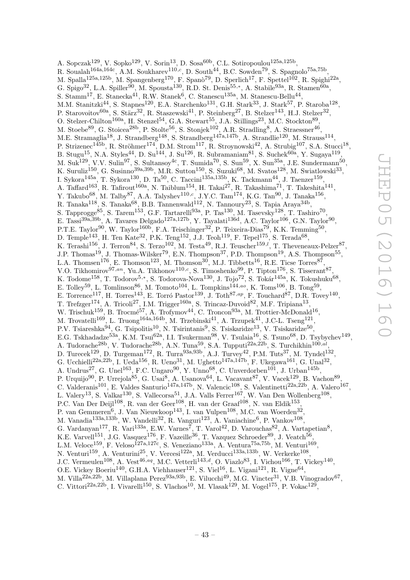A. Sopczak<sup>129</sup>, V. Sopko<sup>129</sup>, V. Sorin<sup>13</sup>, D. Sosa<sup>60b</sup>, C.L. Sotiropoulou<sup>125a,125b</sup>, R. Soualah<sup>164a,164c</sup>, A.M. Soukharev<sup>110,c</sup>, D. South<sup>44</sup>, B.C. Sowden<sup>79</sup>, S. Spagnolo<sup>75a,75b</sup>, M. Spalla<sup>125a,125b</sup>, M. Spangenberg<sup>170</sup>, F. Spanò<sup>79</sup>, D. Sperlich<sup>17</sup>, F. Spettel<sup>102</sup>, R. Spighi<sup>22a</sup>, G. Spigo<sup>32</sup>, L.A. Spiller<sup>90</sup>, M. Spousta<sup>130</sup>, R.D. St. Denis<sup>55,\*</sup>, A. Stabile<sup>93a</sup>, R. Stamen<sup>60a</sup>, S. Stamm<sup>17</sup>, E. Stanecka<sup>41</sup>, R.W. Stanek<sup>6</sup>, C. Stanescu<sup>135a</sup>, M. Stanescu-Bellu<sup>44</sup>, M.M. Stanitzki<sup>44</sup>, S. Stapnes<sup>120</sup>, E.A. Starchenko<sup>131</sup>, G.H. Stark<sup>33</sup>, J. Stark<sup>57</sup>, P. Staroba<sup>128</sup>, P. Starovoitov<sup>60a</sup>, S. Stärz<sup>32</sup>, R. Staszewski<sup>41</sup>, P. Steinberg<sup>27</sup>, B. Stelzer<sup>143</sup>, H.J. Stelzer<sup>32</sup>, O. Stelzer-Chilton<sup>160a</sup>, H. Stenzel<sup>54</sup>, G.A. Stewart<sup>55</sup>, J.A. Stillings<sup>23</sup>, M.C. Stockton<sup>89</sup>, M. Stoebe $^{89}$ , G. Stoicea $^{28b}$ , P. Stolte $^{56}$ , S. Stonjek $^{102}$ , A.R. Stradling $^8$ , A. Straessner $^{46}$ , M.E. Stramaglia<sup>18</sup>, J. Strandberg<sup>148</sup>, S. Strandberg<sup>147a,147b</sup>, A. Strandlie<sup>120</sup>, M. Strauss<sup>114</sup>, P. Strizenec<sup>145b</sup>, R. Ströhmer<sup>174</sup>, D.M. Strom<sup>117</sup>, R. Stroynowski<sup>42</sup>, A. Strubig<sup>107</sup>, S.A. Stucci<sup>18</sup>, B. Stugu<sup>15</sup>, N.A. Styles<sup>44</sup>, D. Su<sup>144</sup>, J. Su<sup>126</sup>, R. Subramaniam<sup>81</sup>, S. Suchek<sup>60a</sup>, Y. Sugaya<sup>119</sup>, M. Suk<sup>129</sup>, V.V. Sulin<sup>97</sup>, S. Sultansoy<sup>4c</sup>, T. Sumida<sup>70</sup>, S. Sun<sup>59</sup>, X. Sun<sup>35a</sup>, J.E. Sundermann<sup>50</sup>, K. Suruliz<sup>150</sup>, G. Susinno<sup>39a,39b</sup>, M.R. Sutton<sup>150</sup>, S. Suzuki<sup>68</sup>, M. Svatos<sup>128</sup>, M. Swiatlowski<sup>33</sup>, I. Sykora $^{145a}$ , T. Sykora $^{130}$ , D. Ta $^{50}$ , C. Taccini $^{135a,135b}$ , K. Tackmann $^{44}$ , J. Taenzer $^{159}$ , A. Taffard<sup>163</sup>, R. Tafirout<sup>160a</sup>, N. Taiblum<sup>154</sup>, H. Takai<sup>27</sup>, R. Takashima<sup>71</sup>, T. Takeshita<sup>141</sup>, Y. Takubo<sup>68</sup>, M. Talby<sup>87</sup>, A.A. Talyshev<sup>110,c</sup>, J.Y.C. Tam<sup>174</sup>, K.G. Tan<sup>90</sup>, J. Tanaka<sup>156</sup>, R. Tanaka $^{118}$ , S. Tanaka $^{68}$ , B.B. Tannenwald $^{112}$ , N. Tannoury $^{23}$ , S. Tapia Araya $^{34\mathrm{b}},$ S. Tapprogge<sup>85</sup>, S. Tarem<sup>153</sup>, G.F. Tartarelli<sup>93a</sup>, P. Tas<sup>130</sup>, M. Tasevsky<sup>128</sup>, T. Tashiro<sup>70</sup>, E. Tassi<sup>39a,39b</sup>, A. Tavares Delgado<sup>127a,127b</sup>, Y. Tayalati<sup>136d</sup>, A.C. Taylor<sup>106</sup>, G.N. Taylor<sup>90</sup>, P.T.E. Taylor<sup>90</sup>, W. Taylor<sup>160b</sup>, F.A. Teischinger<sup>32</sup>, P. Teixeira-Dias<sup>79</sup>, K.K. Temming<sup>50</sup>, D. Temple<sup>143</sup>, H. Ten Kate<sup>32</sup>, P.K. Teng<sup>152</sup>, J.J. Teoh<sup>119</sup>, F. Tepel<sup>175</sup>, S. Terada<sup>68</sup>, K. Terashi<sup>156</sup>, J. Terron<sup>84</sup>, S. Terzo<sup>102</sup>, M. Testa<sup>49</sup>, R.J. Teuscher<sup>159,*l*</sup>, T. Theveneaux-Pelzer<sup>87</sup>, J.P. Thomas<sup>19</sup>, J. Thomas-Wilsker<sup>79</sup>, E.N. Thompson<sup>37</sup>, P.D. Thompson<sup>19</sup>, A.S. Thompson<sup>55</sup>, L.A. Thomsen<sup>176</sup>, E. Thomson<sup>123</sup>, M. Thomson<sup>30</sup>, M.J. Tibbetts<sup>16</sup>, R.E. Ticse Torres<sup>87</sup>, V.O. Tikhomirov<sup>97,an</sup>, Yu.A. Tikhonov<sup>110,c</sup>, S. Timoshenko<sup>99</sup>, P. Tipton<sup>176</sup>, S. Tisserant<sup>87</sup>, K. Todome<sup>158</sup>, T. Todorov<sup>5,\*</sup>, S. Todorova-Nova<sup>130</sup>, J. Tojo<sup>72</sup>, S. Tokár<sup>145a</sup>, K. Tokushuku<sup>68</sup>, E. Tolley<sup>59</sup>, L. Tomlinson<sup>86</sup>, M. Tomoto<sup>104</sup>, L. Tompkins<sup>144,ao</sup>, K. Toms<sup>106</sup>, B. Tong<sup>59</sup>, E. Torrence<sup>117</sup>, H. Torres<sup>143</sup>, E. Torró Pastor<sup>139</sup>, J. Toth<sup>87,ap</sup>, F. Touchard<sup>87</sup>, D.R. Tovey<sup>140</sup>, T. Trefzger<sup>174</sup>, A. Tricoli<sup>27</sup>, I.M. Trigger<sup>160a</sup>, S. Trincaz-Duvoid<sup>82</sup>, M.F. Tripiana<sup>13</sup>, W. Trischuk<sup>159</sup>, B. Trocmé<sup>57</sup>, A. Trofymov<sup>44</sup>, C. Troncon<sup>93a</sup>, M. Trottier-McDonald<sup>16</sup>, M. Trovatelli<sup>169</sup>, L. Truong<sup>164a,164b</sup>, M. Trzebinski<sup>41</sup>, A. Trzupek<sup>41</sup>, J.C-L. Tseng<sup>121</sup>, P.V. Tsiareshka $^{94}$ , G. Tsipolitis $^{10}$ , N. Tsirintanis $^{9}$ , S. Tsiskaridze $^{13}$ , V. Tsiskaridze $^{50}$ , E.G. Tskhadadze<sup>53a</sup>, K.M. Tsui<sup>62a</sup>, I.I. Tsukerman<sup>98</sup>, V. Tsulaia<sup>16</sup>, S. Tsuno<sup>68</sup>, D. Tsybychev<sup>149</sup>, A. Tudorache<sup>28b</sup>, V. Tudorache<sup>28b</sup>, A.N. Tuna<sup>59</sup>, S.A. Tupputi<sup>22a,22b</sup>, S. Turchikhin<sup>100,al</sup>, D. Turecek<sup>129</sup>, D. Turgeman<sup>172</sup>, R. Turra<sup>93a,93b</sup>, A.J. Turvey<sup>42</sup>, P.M. Tuts<sup>37</sup>, M. Tyndel<sup>132</sup>, G. Ucchielli<sup>22a,22b</sup>, I. Ueda<sup>156</sup>, R. Ueno<sup>31</sup>, M. Ughetto<sup>147a,147b</sup>, F. Ukegawa<sup>161</sup>, G. Unal<sup>32</sup>, A. Undrus<sup>27</sup>, G. Unel<sup>163</sup>, F.C. Ungaro<sup>90</sup>, Y. Unno<sup>68</sup>, C. Unverdorben<sup>101</sup>, J. Urban<sup>145b</sup>, P. Urquijo<sup>90</sup>, P. Urrejola<sup>85</sup>, G. Usai<sup>8</sup>, A. Usanova<sup>64</sup>, L. Vacavant<sup>87</sup>, V. Vacek<sup>129</sup>, B. Vachon<sup>89</sup>, C. Valderanis<sup>101</sup>, E. Valdes Santurio<sup>147a,147b</sup>, N. Valencic<sup>108</sup>, S. Valentinetti<sup>22a,22b</sup>, A. Valero<sup>167</sup>, L. Valery<sup>13</sup>, S. Valkar<sup>130</sup>, S. Vallecorsa<sup>51</sup>, J.A. Valls Ferrer<sup>167</sup>, W. Van Den Wollenberg<sup>108</sup>, P.C. Van Der Deijl $^{108}$ , R. van der Geer $^{108}$ , H. van der Graaf $^{108}$ , N. van Eldik $^{153}$ , P. van Gemmeren<sup>6</sup>, J. Van Nieuwkoop<sup>143</sup>, I. van Vulpen<sup>108</sup>, M.C. van Woerden<sup>32</sup>, M. Vanadia $^{133a,133b}$ , W. Vandelli $^{32}$ , R. Vanguri $^{123}$ , A. Vaniachine<sup>6</sup>, P. Vankov $^{108}$ , G. Vardanyan<sup>177</sup>, R. Vari<sup>133a</sup>, E.W. Varnes<sup>7</sup>, T. Varol<sup>42</sup>, D. Varouchas<sup>82</sup>, A. Vartapetian<sup>8</sup>, K.E. Varvell<sup>151</sup>, J.G. Vasquez<sup>176</sup>, F. Vazeille<sup>36</sup>, T. Vazquez Schroeder<sup>89</sup>, J. Veatch<sup>56</sup>, L.M. Veloce<sup>159</sup>, F. Veloso<sup>127a,127c</sup>, S. Veneziano<sup>133a</sup>, A. Ventura<sup>75a,75b</sup>, M. Venturi<sup>169</sup>, N. Venturi<sup>159</sup>, A. Venturini<sup>25</sup>, V. Vercesi<sup>122a</sup>, M. Verducci<sup>133a,133b</sup>, W. Verkerke<sup>108</sup>, J.C. Vermeulen<sup>108</sup>, A. Vest<sup>46,aq</sup>, M.C. Vetterli<sup>143,d</sup>, O. Viazlo<sup>83</sup>, I. Vichou<sup>166</sup>, T. Vickey<sup>140</sup>, O.E. Vickey Boeriu<sup>140</sup>, G.H.A. Viehhauser<sup>121</sup>, S. Viel<sup>16</sup>, L. Vigani<sup>121</sup>, R. Vigne<sup>64</sup>, M. Villa<sup>22a,22b</sup>, M. Villaplana Perez<sup>93a,93b</sup>, E. Vilucchi<sup>49</sup>, M.G. Vincter<sup>31</sup>, V.B. Vinogradov<sup>67</sup>,

C. Vittori<sup>22a, 22b</sup>, I. Vivarelli<sup>150</sup>, S. Vlachos<sup>10</sup>, M. Vlasak<sup>129</sup>, M. Vogel<sup>175</sup>, P. Vokac<sup>129</sup>,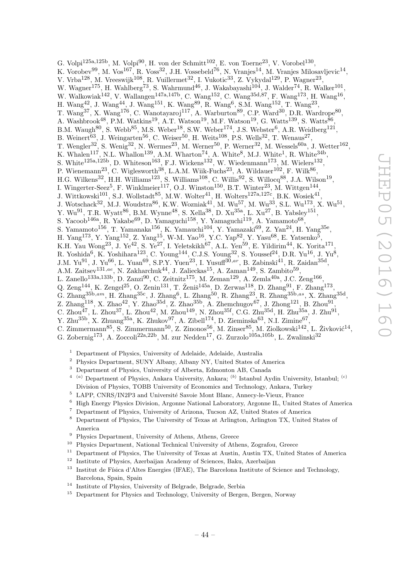G. Volpi<sup>125a,125b</sup>, M. Volpi<sup>90</sup>, H. von der Schmitt<sup>102</sup>, E. von Toerne<sup>23</sup>, V. Vorobel<sup>130</sup>, K. Vorobev $^{99}$ , M. Vos $^{167}$ , R. Voss $^{32}$ , J.H. Vossebeld $^{76}$ , N. Vranjes $^{14}$ , M. Vranjes Milosavljevic $^{14}$ , V. Vrba<sup>128</sup>, M. Vreeswijk<sup>108</sup>, R. Vuillermet<sup>32</sup>, I. Vukotic<sup>33</sup>, Z. Vykydal<sup>129</sup>, P. Wagner<sup>23</sup>, W. Wagner<sup>175</sup>, H. Wahlberg<sup>73</sup>, S. Wahrmund<sup>46</sup>, J. Wakabayashi<sup>104</sup>, J. Walder<sup>74</sup>, R. Walker<sup>101</sup>, W. Walkowiak<sup>142</sup>, V. Wallangen<sup>147a,147b</sup>, C. Wang<sup>152</sup>, C. Wang<sup>35d,87</sup>, F. Wang<sup>173</sup>, H. Wang<sup>16</sup>, H.  $\text{Wang}^{42}$ , J.  $\text{Wang}^{44}$ , J.  $\text{Wang}^{151}$ , K.  $\text{Wang}^{89}$ , R.  $\text{Wang}^6$ , S.M.  $\text{Wang}^{152}$ , T.  $\text{Wang}^{23}$ , T. Wang<sup>37</sup>, X. Wang<sup>176</sup>, C. Wanotayaroj<sup>117</sup>, A. Warburton<sup>89</sup>, C.P. Ward<sup>30</sup>, D.R. Wardrope<sup>80</sup>, A. Washbrook<sup>48</sup>, P.M. Watkins<sup>19</sup>, A.T. Watson<sup>19</sup>, M.F. Watson<sup>19</sup>, G. Watts<sup>139</sup>, S. Watts<sup>86</sup>, B.M. Waugh<sup>80</sup>, S. Webb<sup>85</sup>, M.S. Weber<sup>18</sup>, S.W. Weber<sup>174</sup>, J.S. Webster<sup>6</sup>, A.R. Weidberg<sup>121</sup>, B.M. Waugh<sup>80</sup>, S. Webb<sup>85</sup>, M.S. Weber<sup>18</sup>, S.W. Weber<sup>174</sup>, J.S. Webster<sup>6</sup>, A.R. Weidberg<sup>121</sup>, B. Weinert<sup>63</sup>, J. Weingarten<sup>56</sup>, C. Weiser<sup>50</sup>, H. Weits<sup>108</sup>, P.S. Wells<sup>32</sup>, T. Wenaus<sup>27</sup>, T. Wengler<sup>32</sup>, S. Wenig<sup>32</sup>, N. Wermes<sup>23</sup>, M. Werner<sup>50</sup>, P. Werner<sup>32</sup>, M. Wessels<sup>60a</sup>, J. Wetter<sup>162</sup>, K. Whalen<sup>117</sup>, N.L. Whallon<sup>139</sup>, A.M. Wharton<sup>74</sup>, A. White<sup>8</sup>, M.J. White<sup>1</sup>, R. White<sup>34b</sup>, S. White<sup>125a,125b</sup>, D. Whiteson<sup>163</sup>, F.J. Wickens<sup>132</sup>, W. Wiedenmann<sup>173</sup>, M. Wielers<sup>132</sup>, P. Wienemann<sup>23</sup>, C. Wiglesworth<sup>38</sup>, L.A.M. Wiik-Fuchs<sup>23</sup>, A. Wildauer<sup>102</sup>, F. Wilk<sup>86</sup>, H.G. Wilkens<sup>32</sup>, H.H. Williams<sup>123</sup>, S. Williams<sup>108</sup>, C. Willis<sup>92</sup>, S. Willocq<sup>88</sup>, J.A. Wilson<sup>19</sup>, I. Wingerter-Seez<sup>5</sup>, F. Winklmeier<sup>117</sup>, O.J. Winston<sup>150</sup>, B.T. Winter<sup>23</sup>, M. Wittgen<sup>144</sup> , J. Wittkowski<sup>101</sup>, S.J. Wollstadt<sup>85</sup>, M.W. Wolter<sup>41</sup>, H. Wolters<sup>127a,127c</sup>, B.K. Wosiek<sup>41</sup>, J. Wotschack<sup>32</sup>, M.J. Woudstra<sup>86</sup>, K.W. Wozniak<sup>41</sup>, M. Wu<sup>57</sup>, M. Wu<sup>33</sup>, S.L. Wu<sup>173</sup>, X. Wu<sup>51</sup>, Y. Wu $^{91}$ , T.R. Wyatt $^{86}$ , B.M. Wynne $^{48}$ , S. Xella $^{38}$ , D. Xu $^{35a}$ , L. Xu $^{27}$ , B. Yabsley $^{151}$ , S. Yacoob<sup>146a</sup>, R. Yakabe<sup>69</sup>, D. Yamaguchi<sup>158</sup>, Y. Yamaguchi<sup>119</sup>, A. Yamamoto<sup>68</sup>, S. Yamamoto<sup>156</sup>, T. Yamanaka<sup>156</sup>, K. Yamauchi<sup>104</sup>, Y. Yamazaki<sup>69</sup>, Z. Yan<sup>24</sup>, H. Yang<sup>35e</sup>, H. Yang<sup>173</sup>, Y. Yang<sup>152</sup>, Z. Yang<sup>15</sup>, W-M. Yao<sup>16</sup>, Y.C. Yap<sup>82</sup>, Y. Yasu<sup>68</sup>, E. Yatsenko<sup>5</sup>, K.H. Yau Wong<sup>23</sup>, J. Ye<sup>42</sup>, S. Ye<sup>27</sup>, I. Yeletskikh<sup>67</sup>, A.L. Yen<sup>59</sup>, E. Yildirim<sup>44</sup>, K. Yorita<sup>171</sup> , R. Yoshida<sup>6</sup>, K. Yoshihara<sup>123</sup>, C. Young<sup>144</sup>, C.J.S. Young<sup>32</sup>, S. Youssef<sup>24</sup>, D.R. Yu<sup>16</sup>, J. Yu<sup>8</sup>, J.M. Yu<sup>91</sup>, J. Yu<sup>66</sup>, L. Yuan<sup>69</sup>, S.P.Y. Yuen<sup>23</sup>, I. Yusuff<sup>30,ar</sup>, B. Zabinski<sup>41</sup>, R. Zaidan<sup>35d</sup>, A.M. Zaitsev $^{131,ae}$ , N. Zakharchuk $^{44}$ , J. Zalieckas $^{15}$ , A. Zaman $^{149}$ , S. Zambito $^{59}$ , L. Zanello<sup>133a,133b</sup>, D. Zanzi<sup>90</sup>, C. Zeitnitz<sup>175</sup>, M. Zeman<sup>129</sup>, A. Zemla<sup>40a</sup>, J.C. Zeng<sup>166</sup>, Q. Zeng<sup>144</sup>, K. Zengel<sup>25</sup>, O. Zenin<sup>131</sup>, T. Ženiš<sup>145a</sup>, D. Zerwas<sup>118</sup>, D. Zhang<sup>91</sup>, F. Zhang<sup>173</sup>, G. Zhang $^{35\text{b},am}$ , H. Zhang $^{35\text{c}}$ , J. Zhang $^6$ , L. Zhang $^{50}$ , R. Zhang $^{23}$ , R. Zhang $^{35\text{b},as}$ , X. Zhang $^{35\text{d}}$ , Z. Zhang<sup>118</sup>, X. Zhao<sup>42</sup>, Y. Zhao<sup>35d</sup>, Z. Zhao<sup>35b</sup>, A. Zhemchugov<sup>67</sup>, J. Zhong<sup>121</sup>, B. Zhou<sup>91</sup>, C. Zhou $^{47}$ , L. Zhou $^{37}$ , L. Zhou $^{42}$ , M. Zhou $^{149}$ , N. Zhou $^{35f}$ , C.G. Zhu $^{35d}$ , H. Zhu $^{35a}$ , J. Zhu $^{91}$ ,

- Y. Zhu<sup>35b</sup>, X. Zhuang<sup>35a</sup>, K. Zhukov<sup>97</sup>, A. Zibell<sup>174</sup>, D. Zieminska<sup>63</sup>, N.I. Zimine<sup>67</sup>,
- C. Zimmermann $^{85}$ , S. Zimmermann $^{50}$ , Z. Zinonos $^{56}$ , M. Zinser $^{85}$ , M. Ziolkowski $^{142}$ , L. Živković $^{14}$ ,
- G. Zobernig<sup>173</sup>, A. Zoccoli<sup>22a,22b</sup>, M. zur Nedden<sup>17</sup>, G. Zurzolo<sup>105a,105b</sup>, L. Zwalinski<sup>32</sup>
	- <sup>1</sup> Department of Physics, University of Adelaide, Adelaide, Australia
	- <sup>2</sup> Physics Department, SUNY Albany, Albany NY, United States of America
	- <sup>3</sup> Department of Physics, University of Alberta, Edmonton AB, Canada
	- <sup>4</sup> <sup>(a)</sup> Department of Physics, Ankara University, Ankara; <sup>(b)</sup> Istanbul Aydin University, Istanbul; <sup>(c)</sup> Division of Physics, TOBB University of Economics and Technology, Ankara, Turkey
	- $5$  LAPP, CNRS/IN2P3 and Université Savoie Mont Blanc, Annecy-le-Vieux, France
	- <sup>6</sup> High Energy Physics Division, Argonne National Laboratory, Argonne IL, United States of America<br><sup>7</sup> Decembent of Physics University of Arizona Tuggen AZ, United States of America
	- <sup>7</sup> Department of Physics, University of Arizona, Tucson AZ, United States of America
	- <sup>8</sup> Department of Physics, The University of Texas at Arlington, Arlington TX, United States of America
	- <sup>9</sup> Physics Department, University of Athens, Athens, Greece
	- <sup>10</sup> Physics Department, National Technical University of Athens, Zografou, Greece
	- <sup>11</sup> Department of Physics, The University of Texas at Austin, Austin TX, United States of America
	- <sup>12</sup> Institute of Physics, Azerbaijan Academy of Sciences, Baku, Azerbaijan
	- <sup>13</sup> Institut de Física d'Altes Energies (IFAE), The Barcelona Institute of Science and Technology, Barcelona, Spain, Spain
	- <sup>14</sup> Institute of Physics, University of Belgrade, Belgrade, Serbia
	- <sup>15</sup> Department for Physics and Technology, University of Bergen, Bergen, Norway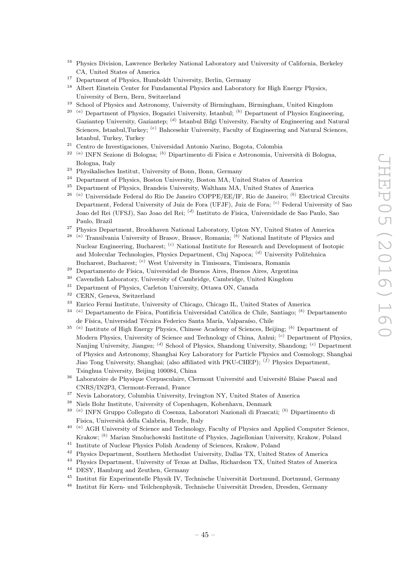- <sup>16</sup> Physics Division, Lawrence Berkeley National Laboratory and University of California, Berkeley CA, United States of America
- <sup>17</sup> Department of Physics, Humboldt University, Berlin, Germany
- <sup>18</sup> Albert Einstein Center for Fundamental Physics and Laboratory for High Energy Physics, University of Bern, Bern, Switzerland
- <sup>19</sup> School of Physics and Astronomy, University of Birmingham, Birmingham, United Kingdom
- <sup>20 (a)</sup> Department of Physics, Bogazici University, Istanbul; <sup>(b)</sup> Department of Physics Engineering, Gaziantep University, Gaziantep; <sup>(d)</sup> Istanbul Bilgi University, Faculty of Engineering and Natural Sciences, Istanbul,Turkey; <sup>(e)</sup> Bahcesehir University, Faculty of Engineering and Natural Sciences, Istanbul, Turkey, Turkey
- <sup>21</sup> Centro de Investigaciones, Universidad Antonio Narino, Bogota, Colombia
- <sup>22 (a</sup>) INFN Sezione di Bologna; <sup>(b</sup>) Dipartimento di Fisica e Astronomia, Università di Bologna, Bologna, Italy
- <sup>23</sup> Physikalisches Institut, University of Bonn, Bonn, Germany<br><sup>24</sup> Department of Physics, Boston University, Boston MA, University
- <sup>24</sup> Department of Physics, Boston University, Boston MA, United States of America
- <sup>25</sup> Department of Physics, Brandeis University, Waltham MA, United States of America
- <sup>26 (a)</sup> Universidade Federal do Rio De Janeiro COPPE/EE/IF, Rio de Janeiro; <sup>(b)</sup> Electrical Circuits Department, Federal University of Juiz de Fora (UFJF), Juiz de Fora; <sup>(c)</sup> Federal University of Sao Joao del Rei (UFSJ), Sao Joao del Rei; <sup>(d)</sup> Instituto de Fisica, Universidade de Sao Paulo, Sao Paulo, Brazil
- <sup>27</sup> Physics Department, Brookhaven National Laboratory, Upton NY, United States of America
- <sup>28 (a)</sup> Transilvania University of Brasov, Brasov, Romania; <sup>(b)</sup> National Institute of Physics and Nuclear Engineering, Bucharest; <sup>(c)</sup> National Institute for Research and Development of Isotopic and Molecular Technologies, Physics Department, Cluj Napoca; <sup>(d)</sup> University Politehnica Bucharest, Bucharest; <sup>(e)</sup> West University in Timisoara, Timisoara, Romania
- <sup>29</sup> Departamento de Física, Universidad de Buenos Aires, Buenos Aires, Argentina
- $30$  Cavendish Laboratory, University of Cambridge, Cambridge, United Kingdom<br> $31$  Department of Physics, Carlotan University, Ottowe ON, Canada
- <sup>31</sup> Department of Physics, Carleton University, Ottawa ON, Canada<br><sup>32</sup> CEDN, Canada Suiteerland
- CERN, Geneva, Switzerland
- <sup>33</sup> Enrico Fermi Institute, University of Chicago, Chicago IL, United States of America
- <sup>34 (a)</sup> Departamento de Física, Pontificia Universidad Católica de Chile, Santiago; <sup>(b)</sup> Departamento de Física, Universidad Técnica Federico Santa María, Valparaíso, Chile
- <sup>35</sup><sup>(a)</sup> Institute of High Energy Physics, Chinese Academy of Sciences, Beijing; <sup>(b)</sup> Department of Modern Physics, University of Science and Technology of China, Anhui; <sup>(c)</sup> Department of Physics, Nanjing University, Jiangsu; <sup>(d)</sup> School of Physics, Shandong University, Shandong; <sup>(e)</sup> Department of Physics and Astronomy, Shanghai Key Laboratory for Particle Physics and Cosmology, Shanghai Jiao Tong University, Shanghai; (also affiliated with PKU-CHEP); <sup>(f)</sup> Physics Department, Tsinghua University, Beijing 100084, China
- <sup>36</sup> Laboratoire de Physique Corpusculaire, Clermont Université and Université Blaise Pascal and CNRS/IN2P3, Clermont-Ferrand, France
- <sup>37</sup> Nevis Laboratory, Columbia University, Irvington NY, United States of America<br><sup>38</sup> Niels Behr Institute, University of Conceptorent Koberhaum, Denmark
- <sup>38</sup> Niels Bohr Institute, University of Copenhagen, Kobenhavn, Denmark
- 39 ( <sup>a)</sup> INFN Gruppo Collegato di Cosenza, Laboratori Nazionali di Frascati; <sup>(b)</sup> Dipartimento di Fisica, Università della Calabria, Rende, Italy
- <sup>40</sup> <sup>(a)</sup> AGH University of Science and Technology, Faculty of Physics and Applied Computer Science, Krakow; <sup>(b)</sup> Marian Smoluchowski Institute of Physics, Jagiellonian University, Krakow, Poland
- <sup>41</sup> Institute of Nuclear Physics Polish Academy of Sciences, Krakow, Poland
- <sup>42</sup> Physics Department, Southern Methodist University, Dallas TX, United States of America
- <sup>43</sup> Physics Department, University of Texas at Dallas, Richardson TX, United States of America
- <sup>44</sup> DESY, Hamburg and Zeuthen, Germany
- <sup>45</sup> Institut für Experimentelle Physik IV, Technische Universität Dortmund, Dortmund, Germany
- <sup>46</sup> Institut für Kern- und Teilchenphysik, Technische Universität Dresden, Dresden, Germany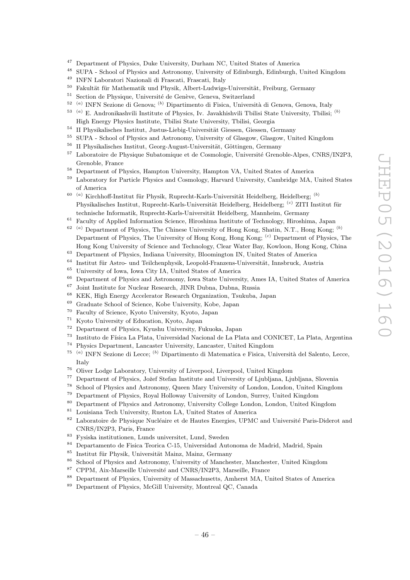- <sup>47</sup> Department of Physics, Duke University, Durham NC, United States of America<br><sup>48</sup> SUDA, School of Physics and Actronomy University of Edinburgh Edinburgh
- <sup>48</sup> SUPA School of Physics and Astronomy, University of Edinburgh, Edinburgh, United Kingdom
- <sup>49</sup> INFN Laboratori Nazionali di Frascati, Frascati, Italy
- <sup>50</sup> Fakultät für Mathematik und Physik, Albert-Ludwigs-Universität, Freiburg, Germany
- $51$  Section de Physique, Université de Genève, Geneva, Switzerland
- <sup>52 (a)</sup> INFN Sezione di Genova; <sup>(b)</sup> Dipartimento di Fisica, Università di Genova, Genova, Italy
- <sup>53</sup><sup>(a)</sup> E. Andronikashvili Institute of Physics, Iv. Javakhishvili Tbilisi State University, Tbilisi; <sup>(b)</sup> High Energy Physics Institute, Tbilisi State University, Tbilisi, Georgia
- <sup>54</sup> II Physikalisches Institut, Justus-Liebig-Universität Giessen, Giessen, Germany
- <sup>55</sup> SUPA School of Physics and Astronomy, University of Glasgow, Glasgow, United Kingdom
- $^{56}\,$  II Physikalisches Institut, Georg-August-Universität, Göttingen, Germany
- <sup>57</sup> Laboratoire de Physique Subatomique et de Cosmologie, Université Grenoble-Alpes, CNRS/IN2P3, Grenoble, France
- <sup>58</sup> Department of Physics, Hampton University, Hampton VA, United States of America<br><sup>59</sup> Laboratory for Particle Physics and Cosmology Harvard University, Cambridge MA
- <sup>59</sup> Laboratory for Particle Physics and Cosmology, Harvard University, Cambridge MA, United States of America
- <sup>60 (a)</sup> Kirchhoff-Institut für Physik, Ruprecht-Karls-Universität Heidelberg, Heidelberg; <sup>(b)</sup> Physikalisches Institut, Ruprecht-Karls-Universität Heidelberg, Heidelberg; <sup>(c)</sup> ZITI Institut für technische Informatik, Ruprecht-Karls-Universität Heidelberg, Mannheim, Germany
- <sup>61</sup> Faculty of Applied Information Science, Hiroshima Institute of Technology, Hiroshima, Japan
- $62$  (a) Department of Physics, The Chinese University of Hong Kong, Shatin, N.T., Hong Kong;  $(b)$ Department of Physics, The University of Hong Kong, Hong Kong; <sup>(c)</sup> Department of Physics, The Hong Kong University of Science and Technology, Clear Water Bay, Kowloon, Hong Kong, China
- $^{63}$  Department of Physics, Indiana University, Bloomington IN, United States of America<br> $^{64}$  Institut für Astro, und Teilebenphysik, Leonald Franzens Universität, Insekrygk, Austr
- <sup>64</sup> Institut für Astro- und Teilchenphysik, Leopold-Franzens-Universität, Innsbruck, Austria<br><sup>65</sup> University of Love Love City LA, United States of America
- <sup>65</sup> University of Iowa, Iowa City IA, United States of America
- $^{66}$  Department of Physics and Astronomy, Iowa State University, Ames IA, United States of America<br> $^{67}$  Joint Institute for Nuelear Besearch, JINP Dubpe, Dubpe, Pussie
- $^{67}$  Joint Institute for Nuclear Research, JINR Dubna, Dubna, Russia<br> $^{68}$  KEK, High Energy Asselenting Research Openingtion, Taulusha
- <sup>68</sup> KEK, High Energy Accelerator Research Organization, Tsukuba, Japan
- $^{69}$  Graduate School of Science, Kobe University, Kobe, Japan  $^{70}$  Eaculty of Science, Kyoto University, Kyoto, Japan
- $^{70}$  Faculty of Science, Kyoto University, Kyoto, Japan  $^{71}$  Kyoto University of Education, Kyoto, Japan
- <sup>71</sup> Kyoto University of Education, Kyoto, Japan<br><sup>72</sup> Doportment of Physics, Kyushu University, Fi
- <sup>72</sup> Department of Physics, Kyushu University, Fukuoka, Japan
- <sup>73</sup> Instituto de Física La Plata, Universidad Nacional de La Plata and CONICET, La Plata, Argentina
- <sup>74</sup> Physics Department, Lancaster University, Lancaster, United Kingdom
- <sup>75 (a)</sup> INFN Sezione di Lecce; <sup>(b)</sup> Dipartimento di Matematica e Fisica, Università del Salento, Lecce, Italy
- <sup>76</sup> Oliver Lodge Laboratory, University of Liverpool, Liverpool, United Kingdom
- <sup>77</sup> Department of Physics, Jožef Stefan Institute and University of Ljubliana, Ljubliana, Slovenia
- <sup>78</sup> School of Physics and Astronomy, Queen Mary University of London, London, United Kingdom<br><sup>79</sup> Department of Physics, Boyal Holloway University of London, Surrey, United Kingdom
- <sup>79</sup> Department of Physics, Royal Holloway University of London, Surrey, United Kingdom<br><sup>80</sup> Department of Physics and Astronomy University College London, London, United Kingdom
- <sup>80</sup> Department of Physics and Astronomy, University College London, London, United Kingdom<br><sup>81</sup> Louisians Tash University Puston LA, United States of America
- $81$  Louisiana Tech University, Ruston LA, United States of America<br> $82$  Laboratoire de Physique Nucléaire et de Hautes Epergies, UPMC
- Laboratoire de Physique Nucléaire et de Hautes Energies, UPMC and Université Paris-Diderot and CNRS/IN2P3, Paris, France
- <sup>83</sup> Fysiska institutionen, Lunds universitet, Lund, Sweden
- <sup>84</sup> Departamento de Fisica Teorica C-15, Universidad Autonoma de Madrid, Madrid, Spain
- $85$  Institut für Physik, Universität Mainz, Mainz, Germany
- <sup>86</sup> School of Physics and Astronomy, University of Manchester, Manchester, United Kingdom
- <sup>87</sup> CPPM, Aix-Marseille Université and CNRS/IN2P3, Marseille, France
- <sup>88</sup> Department of Physics, University of Massachusetts, Amherst MA, United States of America
- <sup>89</sup> Department of Physics, McGill University, Montreal QC, Canada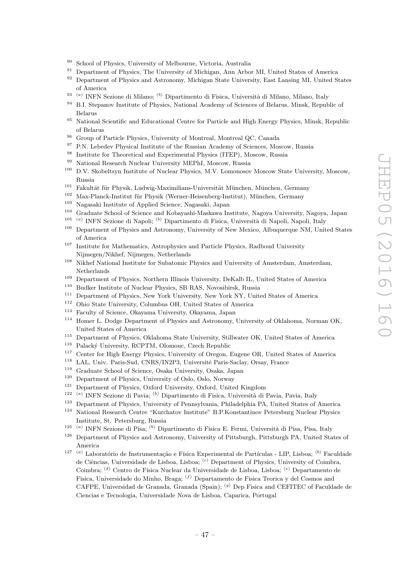- <sup>90</sup> School of Physics, University of Melbourne, Victoria, Australia<br><sup>91</sup> Department of Physics, The University of Michigan, Ann Arbo
- <sup>91</sup> Department of Physics, The University of Michigan, Ann Arbor MI, United States of America
- <sup>92</sup> Department of Physics and Astronomy, Michigan State University, East Lansing MI, United States of America
- <sup>93 (a)</sup> INFN Sezione di Milano; <sup>(b)</sup> Dipartimento di Fisica, Università di Milano, Milano, Italy
- <sup>94</sup> B.I. Stepanov Institute of Physics, National Academy of Sciences of Belarus, Minsk, Republic of Belarus
- <sup>95</sup> National Scientific and Educational Centre for Particle and High Energy Physics, Minsk, Republic of Belarus
- <sup>96</sup> Group of Particle Physics, University of Montreal, Montreal QC, Canada
- <sup>97</sup> P.N. Lebedev Physical Institute of the Russian Academy of Sciences, Moscow, Russia
- <sup>98</sup> Institute for Theoretical and Experimental Physics (ITEP), Moscow, Russia
- <sup>99</sup> National Research Nuclear University MEPhI, Moscow, Russia
- <sup>100</sup> D.V. Skobeltsyn Institute of Nuclear Physics, M.V. Lomonosov Moscow State University, Moscow, Russia
- $101$  Fakultät für Physik, Ludwig-Maximilians-Universität München, München, Germany
- <sup>102</sup> Max-Planck-Institut für Physik (Werner-Heisenberg-Institut), München, Germany
- <sup>103</sup> Nagasaki Institute of Applied Science, Nagasaki, Japan<br><sup>104</sup> Curricute School of Science and Kahasashi Machama In
- <sup>104</sup> Graduate School of Science and Kobayashi-Maskawa Institute, Nagoya University, Nagoya, Japan
- $105\,$ <sup>a)</sup> INFN Sezione di Napoli; <sup>(b)</sup> Dipartimento di Fisica, Università di Napoli, Napoli, Italy
- <sup>106</sup> Department of Physics and Astronomy, University of New Mexico, Albuquerque NM, United States of America
- <sup>107</sup> Institute for Mathematics, Astrophysics and Particle Physics, Radboud University Nijmegen/Nikhef, Nijmegen, Netherlands
- <sup>108</sup> Nikhef National Institute for Subatomic Physics and University of Amsterdam, Amsterdam, Netherlands
- <sup>109</sup> Department of Physics, Northern Illinois University, DeKalb IL, United States of America<br><sup>110</sup> Budker Institute of Nuclear Physics, SB RAS, Novosibirsk, Bussia
- <sup>110</sup> Budker Institute of Nuclear Physics, SB RAS, Novosibirsk, Russia<br><sup>111</sup> Department of Physics, New York University, New York NY, Unit
- <sup>111</sup> Department of Physics, New York University, New York NY, United States of America
- <sup>112</sup> Ohio State University, Columbus OH, United States of America<br><sup>113</sup> Faculty of Science, Okayama University, Okayama, Japan
- <sup>113</sup> Faculty of Science, Okayama University, Okayama, Japan<br><sup>114</sup> Homor L. Dodge Department of Physics and Astronomy
- <sup>114</sup> Homer L. Dodge Department of Physics and Astronomy, University of Oklahoma, Norman OK, United States of America
- <sup>115</sup> Department of Physics, Oklahoma State University, Stillwater OK, United States of America
- <sup>116</sup> Palacký University, RCPTM, Olomouc, Czech Republic
- <sup>117</sup> Center for High Energy Physics, University of Oregon, Eugene OR, United States of America
- $^{118}\,$  LAL, Univ. Paris-Sud, CNRS/IN2P3, Université Paris-Saclay, Orsay, France
- <sup>119</sup> Graduate School of Science, Osaka University, Osaka, Japan
- <sup>120</sup> Department of Physics, University of Oslo, Oslo, Norway
- <sup>121</sup> Department of Physics, Oxford University, Oxford, United Kingdom
- $122\,$ <sup>a)</sup> INFN Sezione di Pavia; <sup>(b)</sup> Dipartimento di Fisica, Università di Pavia, Pavia, Italy
- <sup>123</sup> Department of Physics, University of Pennsylvania, Philadelphia PA, United States of America<br><sup>124</sup> National Bessensk Centre "Kurshator Institute", P.B.Konstantinov Petershum Nuslear Physics
- <sup>124</sup> National Research Centre "Kurchatov Institute" B.P.Konstantinov Petersburg Nuclear Physics Institute, St. Petersburg, Russia
- <sup>125 (a)</sup> INFN Sezione di Pisa; <sup>(b)</sup> Dipartimento di Fisica E. Fermi, Università di Pisa, Pisa, Italy
- <sup>126</sup> Department of Physics and Astronomy, University of Pittsburgh, Pittsburgh PA, United States of America
- <sup>127 (a)</sup> Laboratório de Instrumentação e Física Experimental de Partículas LIP, Lisboa; <sup>(b)</sup> Faculdade de Ciências, Universidade de Lisboa, Lisboa; <sup>(c)</sup> Department of Physics, University of Coimbra, Coimbra; <sup>(d)</sup> Centro de Física Nuclear da Universidade de Lisboa, Lisboa; <sup>(e)</sup> Departamento de Fisica, Universidade do Minho, Braga; <sup>(f)</sup> Departamento de Fisica Teorica y del Cosmos and CAFPE, Universidad de Granada, Granada (Spain); <sup>(g)</sup> Dep Fisica and CEFITEC of Faculdade de Ciencias e Tecnologia, Universidade Nova de Lisboa, Caparica, Portugal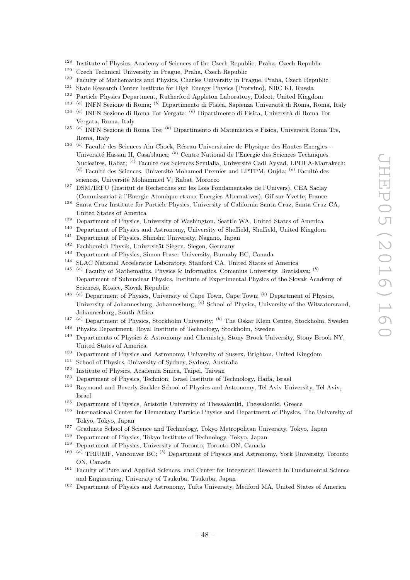- <sup>128</sup> Institute of Physics, Academy of Sciences of the Czech Republic, Praha, Czech Republic<br><sup>129</sup> Creek Technical University in Prague, Praha, Czech Republic,
- Czech Technical University in Prague, Praha, Czech Republic
- <sup>130</sup> Faculty of Mathematics and Physics, Charles University in Prague, Praha, Czech Republic
- <sup>131</sup> State Research Center Institute for High Energy Physics (Protvino), NRC KI, Russia<br><sup>132</sup> Portials Physics Department, Butberford Appleton, Laboratory, Didact, United Kingdo
- <sup>132</sup> Particle Physics Department, Rutherford Appleton Laboratory, Didcot, United Kingdom
- <sup>133 (a)</sup> INFN Sezione di Roma; <sup>(b)</sup> Dipartimento di Fisica, Sapienza Università di Roma, Roma, Italy
- <sup>134 (a)</sup> INFN Sezione di Roma Tor Vergata; <sup>(b)</sup> Dipartimento di Fisica, Università di Roma Tor Vergata, Roma, Italy
- <sup>135 (a)</sup> INFN Sezione di Roma Tre; <sup>(b)</sup> Dipartimento di Matematica e Fisica, Università Roma Tre, Roma, Italy
- <sup>136 (a)</sup> Faculté des Sciences Ain Chock, Réseau Universitaire de Physique des Hautes Energies -Université Hassan II, Casablanca; <sup>(b)</sup> Centre National de l'Energie des Sciences Techniques Nucleaires, Rabat; <sup>(c)</sup> Faculté des Sciences Semlalia, Université Cadi Ayyad, LPHEA-Marrakech; (d) Faculté des Sciences, Université Mohamed Premier and LPTPM, Oujda;  $^{(e)}$  Faculté des sciences, Université Mohammed V, Rabat, Morocco
- <sup>137</sup> DSM/IRFU (Institut de Recherches sur les Lois Fondamentales de l'Univers), CEA Saclay (Commissariat `a l'Energie Atomique et aux Energies Alternatives), Gif-sur-Yvette, France
- <sup>138</sup> Santa Cruz Institute for Particle Physics, University of California Santa Cruz, Santa Cruz CA, United States of America
- <sup>139</sup> Department of Physics, University of Washington, Seattle WA, United States of America
- <sup>140</sup> Department of Physics and Astronomy, University of Sheffield, Sheffield, United Kingdom
- <sup>141</sup> Department of Physics, Shinshu University, Nagano, Japan
- $142$  Fachbereich Physik, Universität Siegen, Siegen, Germany
- <sup>143</sup> Department of Physics, Simon Fraser University, Burnaby BC, Canada<br><sup>144</sup> SLAC National Accelerator Laboratory Stanford CA. United States of
- <sup>144</sup> SLAC National Accelerator Laboratory, Stanford CA, United States of America
- <sup>145</sup><sup>(a)</sup> Faculty of Mathematics, Physics & Informatics, Comenius University, Bratislava; <sup>(b)</sup> Department of Subnuclear Physics, Institute of Experimental Physics of the Slovak Academy of Sciences, Kosice, Slovak Republic
- <sup>146</sup> (*a*) Department of Physics, University of Cape Town, Cape Town; <sup>(*b*)</sup> Department of Physics, University of Johannesburg, Johannesburg; <sup>(c)</sup> School of Physics, University of the Witwatersrand, Johannesburg, South Africa
- <sup>147 (a)</sup> Department of Physics, Stockholm University; <sup>(b)</sup> The Oskar Klein Centre, Stockholm, Sweden
- <sup>148</sup> Physics Department, Royal Institute of Technology, Stockholm, Sweden<br><sup>149</sup> Departments of Physics & Astronomy and Chemistry Stony Brook Uni
- <sup>149</sup> Departments of Physics & Astronomy and Chemistry, Stony Brook University, Stony Brook NY, United States of America
- <sup>150</sup> Department of Physics and Astronomy, University of Sussex, Brighton, United Kingdom
- <sup>151</sup> School of Physics, University of Sydney, Sydney, Australia
- <sup>152</sup> Institute of Physics, Academia Sinica, Taipei, Taiwan
- <sup>153</sup> Department of Physics, Technion: Israel Institute of Technology, Haifa, Israel
- <sup>154</sup> Raymond and Beverly Sackler School of Physics and Astronomy, Tel Aviv University, Tel Aviv, Israel
- <sup>155</sup> Department of Physics, Aristotle University of Thessaloniki, Thessaloniki, Greece<br><sup>156</sup> International Canter for Elementary Partials Physics and Department of Physics
- <sup>156</sup> International Center for Elementary Particle Physics and Department of Physics, The University of Tokyo, Tokyo, Japan
- <sup>157</sup> Graduate School of Science and Technology, Tokyo Metropolitan University, Tokyo, Japan<br><sup>158</sup> Department of Physics, Tokyo Institute of Technology, Tokyo, Japan
- <sup>158</sup> Department of Physics, Tokyo Institute of Technology, Tokyo, Japan
- <sup>159</sup> Department of Physics, University of Toronto, Toronto ON, Canada
- <sup>160 (a)</sup> TRIUMF, Vancouver BC; <sup>(b)</sup> Department of Physics and Astronomy, York University, Toronto ON, Canada
- <sup>161</sup> Faculty of Pure and Applied Sciences, and Center for Integrated Research in Fundamental Science and Engineering, University of Tsukuba, Tsukuba, Japan
- <sup>162</sup> Department of Physics and Astronomy, Tufts University, Medford MA, United States of America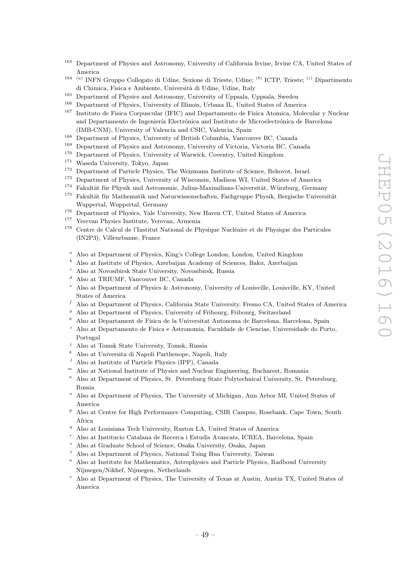- <sup>163</sup> Department of Physics and Astronomy, University of California Irvine, Irvine CA, United States of America
- <sup>164 (a)</sup> INFN Gruppo Collegato di Udine, Sezione di Trieste, Udine; <sup>(b)</sup> ICTP, Trieste; <sup>(c)</sup> Dipartimento di Chimica, Fisica e Ambiente, Universit`a di Udine, Udine, Italy
- <sup>165</sup> Department of Physics and Astronomy, University of Uppsala, Uppsala, Sweden<br><sup>166</sup> Department of Physics University of Illinois United States of Ameri
- <sup>166</sup> Department of Physics, University of Illinois, Urbana IL, United States of America
- <sup>167</sup> Instituto de Fisica Corpuscular (IFIC) and Departamento de Fisica Atomica, Molecular y Nuclear and Departamento de Ingeniería Electrónica and Instituto de Microelectrónica de Barcelona (IMB-CNM), University of Valencia and CSIC, Valencia, Spain
- <sup>168</sup> Department of Physics, University of British Columbia, Vancouver BC, Canada
- <sup>169</sup> Department of Physics and Astronomy, University of Victoria, Victoria BC, Canada<br><sup>170</sup> Department of Physics University of Warwick, Coventry, United Kingdom
- <sup>170</sup> Department of Physics, University of Warwick, Coventry, United Kingdom
- <sup>171</sup> Waseda University, Tokyo, Japan
- <sup>172</sup> Department of Particle Physics, The Weizmann Institute of Science, Rehovot, Israel<br><sup>173</sup> Department of Physics, University of Wisconsin, Medican WL United States of Ameri
- <sup>173</sup> Department of Physics, University of Wisconsin, Madison WI, United States of America
- <sup>174</sup> Fakultät für Physik und Astronomie, Julius-Maximilians-Universität, Würzburg, Germany<br><sup>175</sup> Fakultät für Mathematik und Naturwissenschaften. Facherunne Physik. Bereische Univers
- Fakultät für Mathematik und Naturwissenschaften, Fachgruppe Physik, Bergische Universität Wuppertal, Wuppertal, Germany
- <sup>176</sup> Department of Physics, Yale University, New Haven CT, United States of America<br><sup>177</sup> Vereyan Physics Institute Vereyan Armenia
- <sup>177</sup> Yerevan Physics Institute, Yerevan, Armenia<br><sup>178</sup> Centre de Calcul de l'Institut National de Ph
- Centre de Calcul de l'Institut National de Physique Nucléaire et de Physique des Particules (IN2P3), Villeurbanne, France
- <sup>a</sup> Also at Department of Physics, King's College London, London, United Kingdom
- $<sup>b</sup>$  Also at Institute of Physics, Azerbaijan Academy of Sciences, Baku, Azerbaijan</sup>
- <sup>c</sup> Also at Novosibirsk State University, Novosibirsk, Russia
- <sup>d</sup> Also at TRIUMF, Vancouver BC, Canada
- <sup>e</sup> Also at Department of Physics & Astronomy, University of Louisville, Louisville, KY, United States of America
- $f$  Also at Department of Physics, California State University, Fresno CA, United States of America
- $\sigma$  Also at Department of Physics, University of Fribourg, Fribourg, Switzerland
- $h$  Also at Departament de Fisica de la Universitat Autonoma de Barcelona, Barcelona, Spain
- <sup>i</sup> Also at Departamento de Fisica e Astronomia, Faculdade de Ciencias, Universidade do Porto, Portugal
- <sup>j</sup> Also at Tomsk State University, Tomsk, Russia
- <sup>k</sup> Also at Universita di Napoli Parthenope, Napoli, Italy
- <sup>l</sup> Also at Institute of Particle Physics (IPP), Canada
- $<sup>m</sup>$  Also at National Institute of Physics and Nuclear Engineering, Bucharest, Romania</sup>
- $n<sup>n</sup>$  Also at Department of Physics, St. Petersburg State Polytechnical University, St. Petersburg, Russia
- <sup>o</sup> Also at Department of Physics, The University of Michigan, Ann Arbor MI, United States of America
- $p$  Also at Centre for High Performance Computing, CSIR Campus, Rosebank, Cape Town, South Africa
- <sup>q</sup> Also at Louisiana Tech University, Ruston LA, United States of America
- <sup>r</sup> Also at Institucio Catalana de Recerca i Estudis Avancats, ICREA, Barcelona, Spain
- <sup>s</sup> Also at Graduate School of Science, Osaka University, Osaka, Japan
- <sup>t</sup> Also at Department of Physics, National Tsing Hua University, Taiwan
- <sup>u</sup> Also at Institute for Mathematics, Astrophysics and Particle Physics, Radboud University Nijmegen/Nikhef, Nijmegen, Netherlands
- $\mathbf{v}$  Also at Department of Physics, The University of Texas at Austin, Austin TX, United States of America